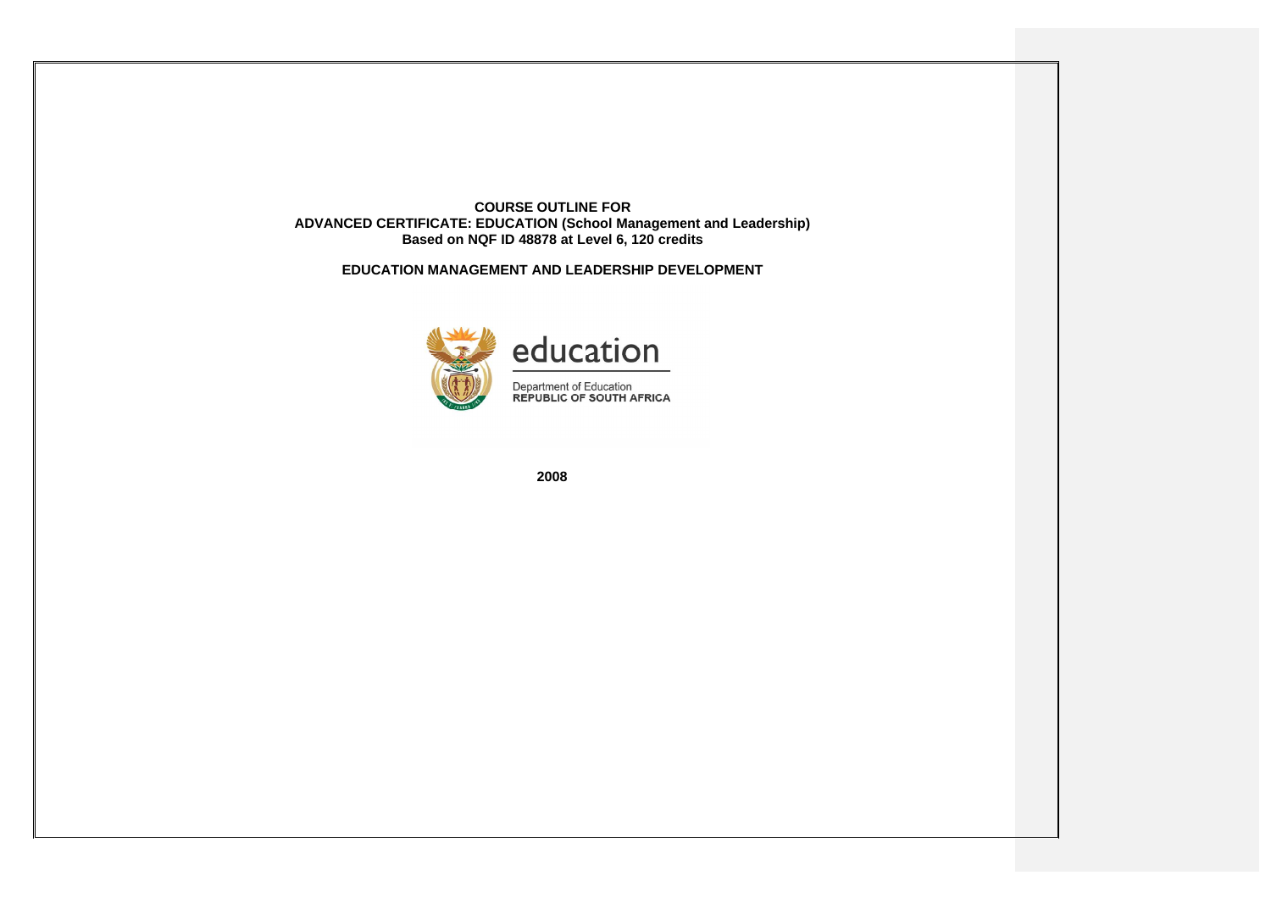**COURSE OUTLINE FOR ADVANCED CERTIFICATE: EDUCATION (School Management and Leadership) Based on NQF ID 48878 at Level 6, 120 credits**

**EDUCATION MANAGEMENT AND LEADERSHIP DEVELOPMENT**



**2008**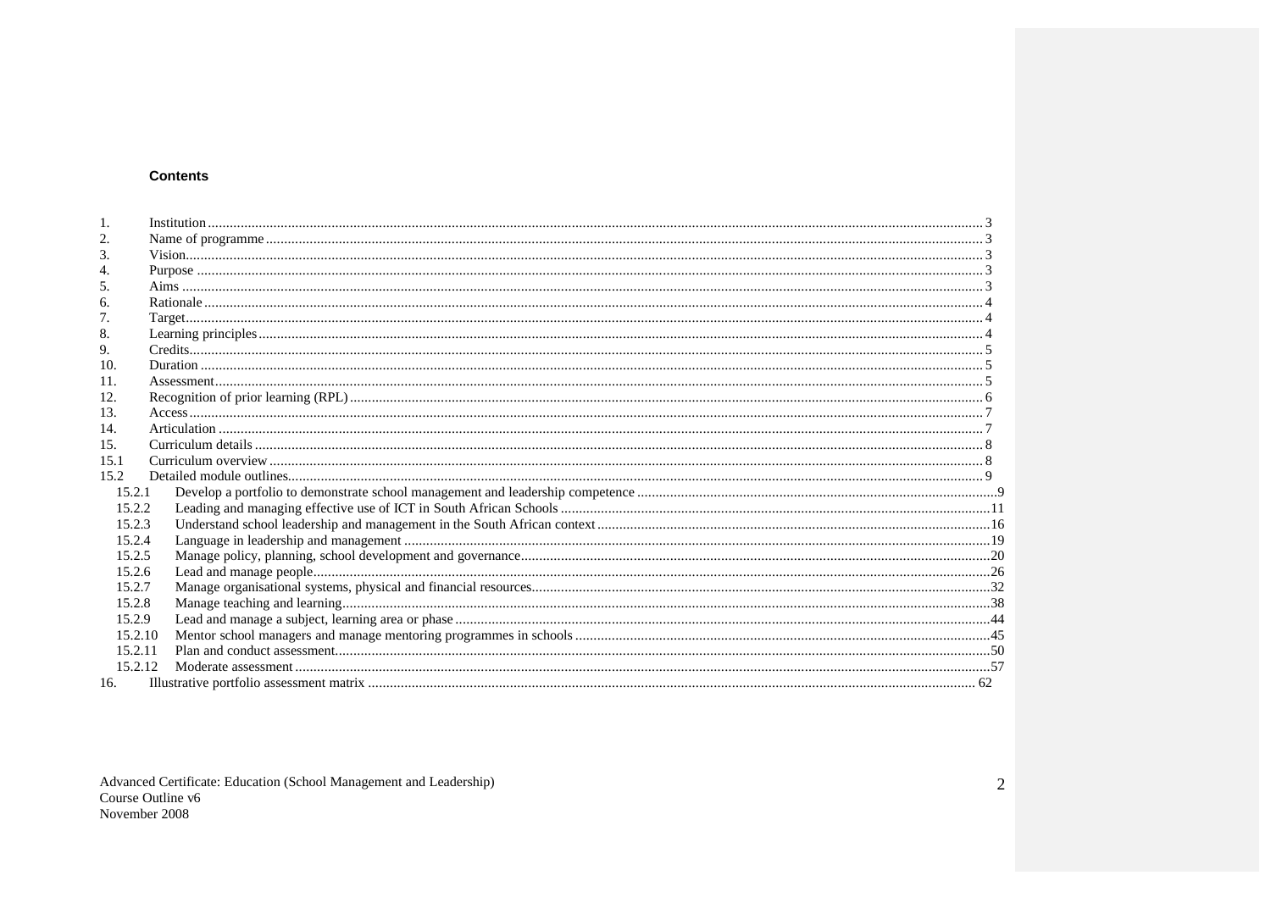### **Contents**

| 3.      |  |
|---------|--|
|         |  |
| 5.      |  |
| 6.      |  |
| 7.      |  |
| 8.      |  |
| 9.      |  |
| 10.     |  |
| 11.     |  |
| 12.     |  |
| 13.     |  |
| 14.     |  |
| 15.     |  |
| 15.1    |  |
| 15.2    |  |
| 15.2.1  |  |
| 15.2.2  |  |
|         |  |
| 15.2.3  |  |
| 15.2.4  |  |
| 15.2.5  |  |
| 15.2.6  |  |
| 15.2.7  |  |
| 15.2.8  |  |
| 15.2.9  |  |
| 15.2.10 |  |
| 15.2.11 |  |
| 15.2.12 |  |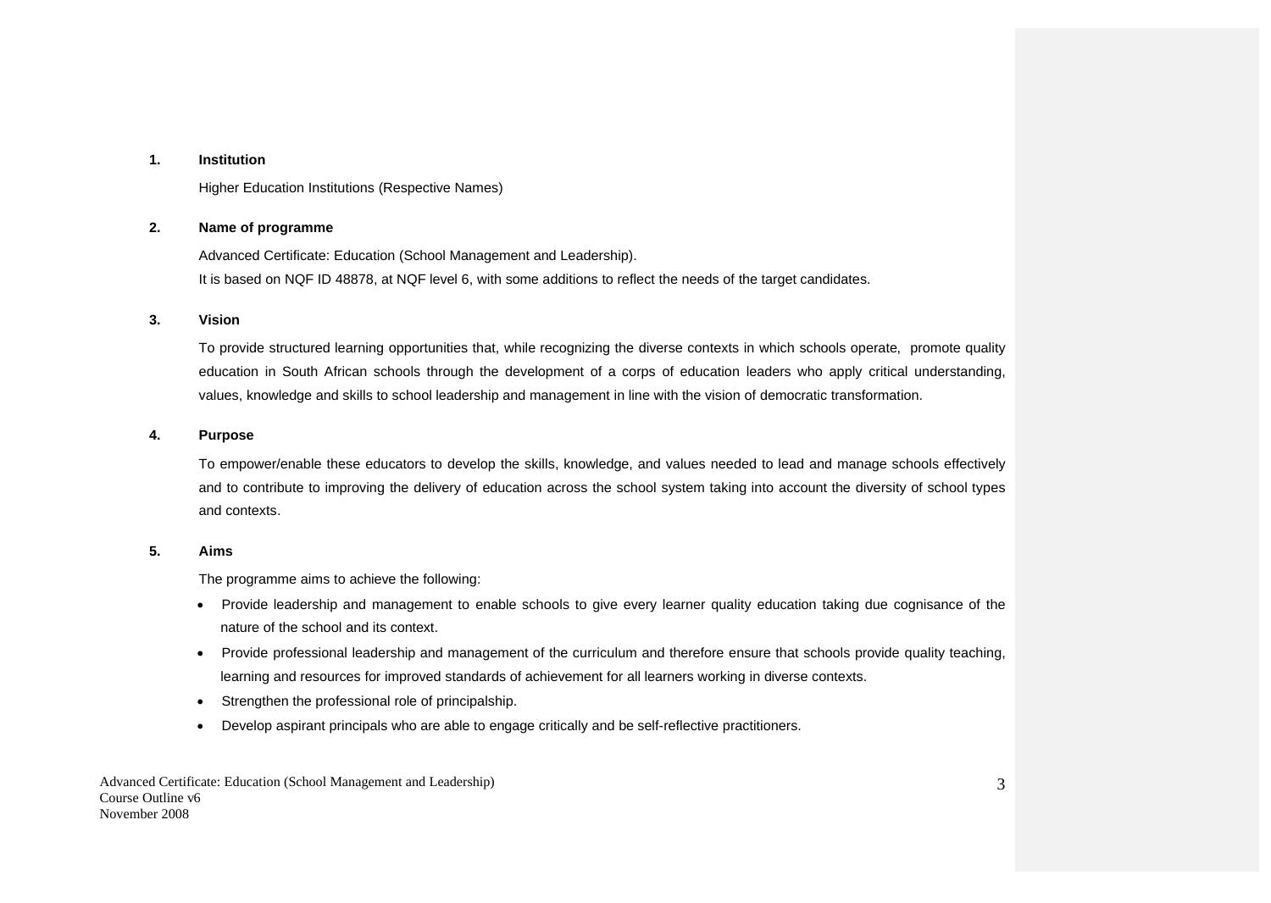#### **1. Institution**

Higher Education Institutions (Respective Names)

#### **2. Name of programme**

Advanced Certificate: Education (School Management and Leadership). It is based on NQF ID 48878, at NQF level 6, with some additions to reflect the needs of the target candidates.

#### **3. Vision**

To provide structured learning opportunities that, while recognizing the diverse contexts in which schools operate, promote quality education in South African schools through the development of a corps of education leaders who apply critical understanding, values, knowledge and skills to school leadership and management in line with the vision of democratic transformation.

#### **4. Purpose**

To empower/enable these educators to develop the skills, knowledge, and values needed to lead and manage schools effectively and to contribute to improving the delivery of education across the school system taking into account the diversity of school types and contexts.

#### **5. Aims**

The programme aims to achieve the following:

- Provide leadership and management to enable schools to give every learner quality education taking due cognisance of the nature of the school and its context.
- Provide professional leadership and management of the curriculum and therefore ensure that schools provide quality teaching, learning and resources for improved standards of achievement for all learners working in diverse contexts.
- Strengthen the professional role of principalship.
- Develop aspirant principals who are able to engage critically and be self-reflective practitioners.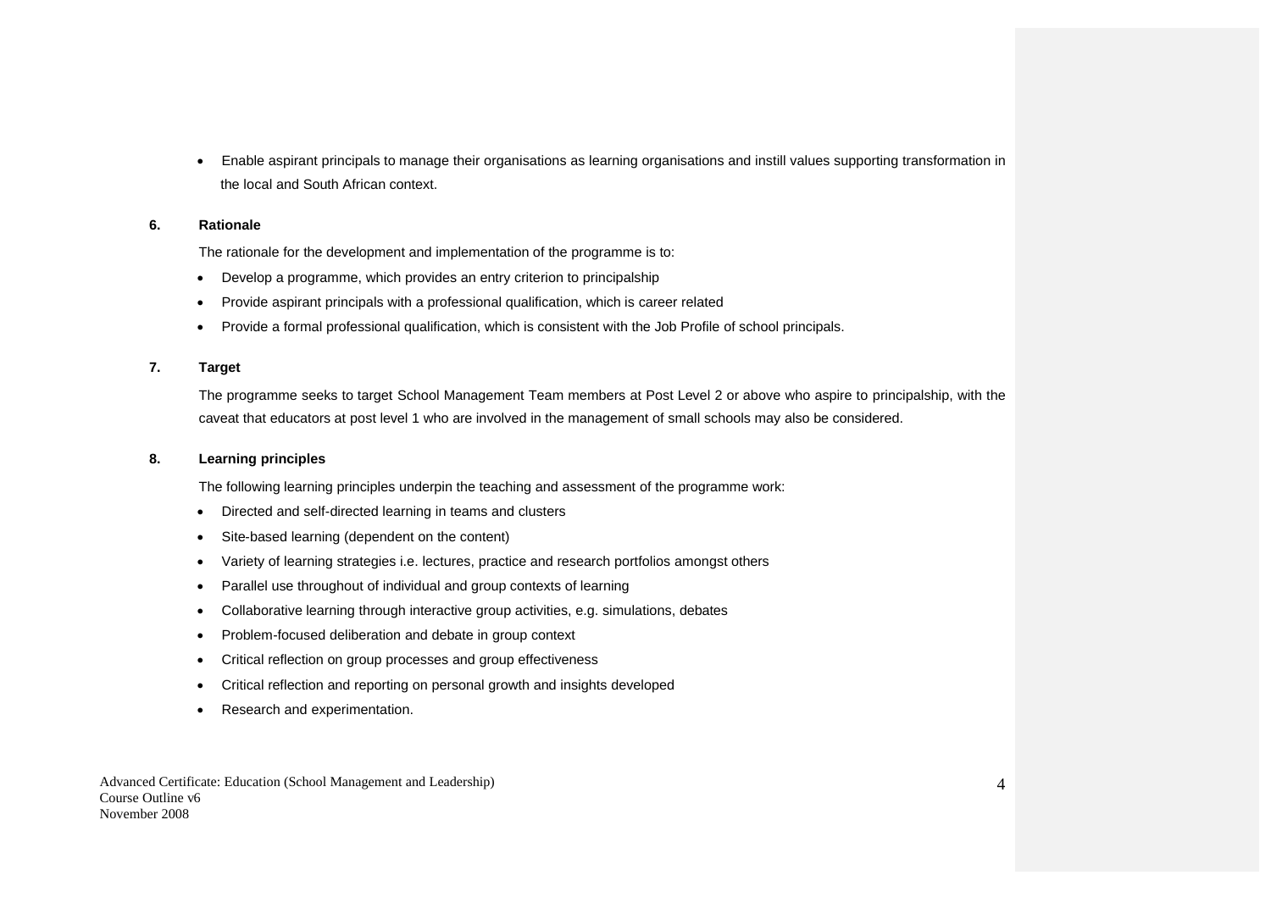Enable aspirant principals to manage their organisations as learning organisations and instill values supporting transformation in the local and South African context.

#### **6. Rationale**

The rationale for the development and implementation of the programme is to:

- Develop a programme, which provides an entry criterion to principalship
- Provide aspirant principals with a professional qualification, which is career related
- Provide a formal professional qualification, which is consistent with the Job Profile of school principals.

#### **7. Target**

The programme seeks to target School Management Team members at Post Level 2 or above who aspire to principalship, with the caveat that educators at post level 1 who are involved in the management of small schools may also be considered.

#### **8. Learning principles**

The following learning principles underpin the teaching and assessment of the programme work:

- Directed and self-directed learning in teams and clusters
- Site-based learning (dependent on the content)
- Variety of learning strategies i.e. lectures, practice and research portfolios amongst others
- Parallel use throughout of individual and group contexts of learning
- Collaborative learning through interactive group activities, e.g. simulations, debates
- Problem-focused deliberation and debate in group context
- Critical reflection on group processes and group effectiveness
- Critical reflection and reporting on personal growth and insights developed
- Research and experimentation.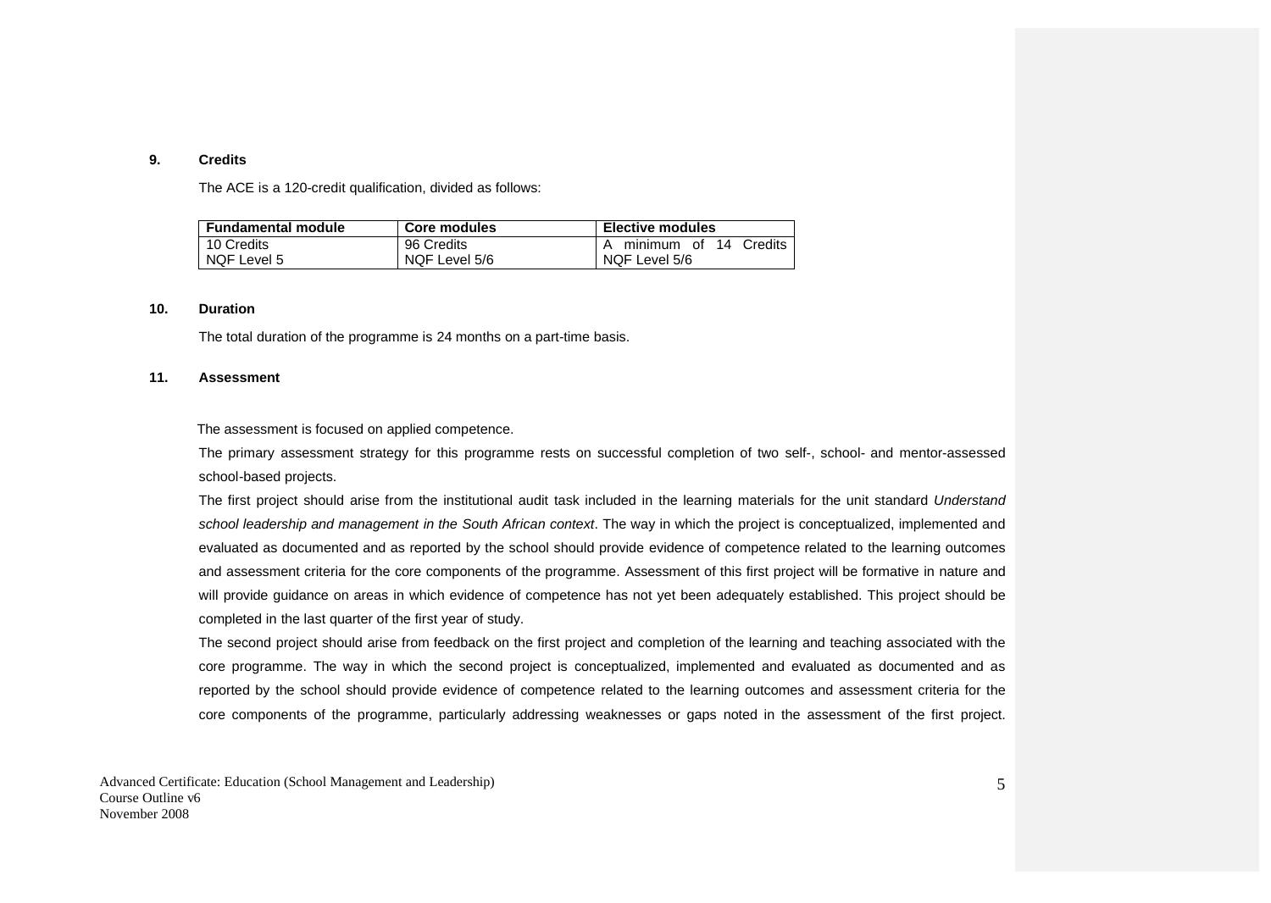#### **9. Credits**

The ACE is a 120-credit qualification, divided as follows:

| <b>Fundamental module</b> | Core modules  | Elective modules             |
|---------------------------|---------------|------------------------------|
| 10 Credits                | 96 Credits    | l A minimum of 14<br>Credits |
| NQF Level 5               | NQF Level 5/6 | NQF Level 5/6                |

#### **10. Duration**

The total duration of the programme is 24 months on a part-time basis.

#### **11. Assessment**

The assessment is focused on applied competence.

The primary assessment strategy for this programme rests on successful completion of two self-, school- and mentor-assessed school-based projects.

The first project should arise from the institutional audit task included in the learning materials for the unit standard *Understand school leadership and management in the South African context*. The way in which the project is conceptualized, implemented and evaluated as documented and as reported by the school should provide evidence of competence related to the learning outcomes and assessment criteria for the core components of the programme. Assessment of this first project will be formative in nature and will provide guidance on areas in which evidence of competence has not yet been adequately established. This project should be completed in the last quarter of the first year of study.

The second project should arise from feedback on the first project and completion of the learning and teaching associated with the core programme. The way in which the second project is conceptualized, implemented and evaluated as documented and as reported by the school should provide evidence of competence related to the learning outcomes and assessment criteria for the core components of the programme, particularly addressing weaknesses or gaps noted in the assessment of the first project.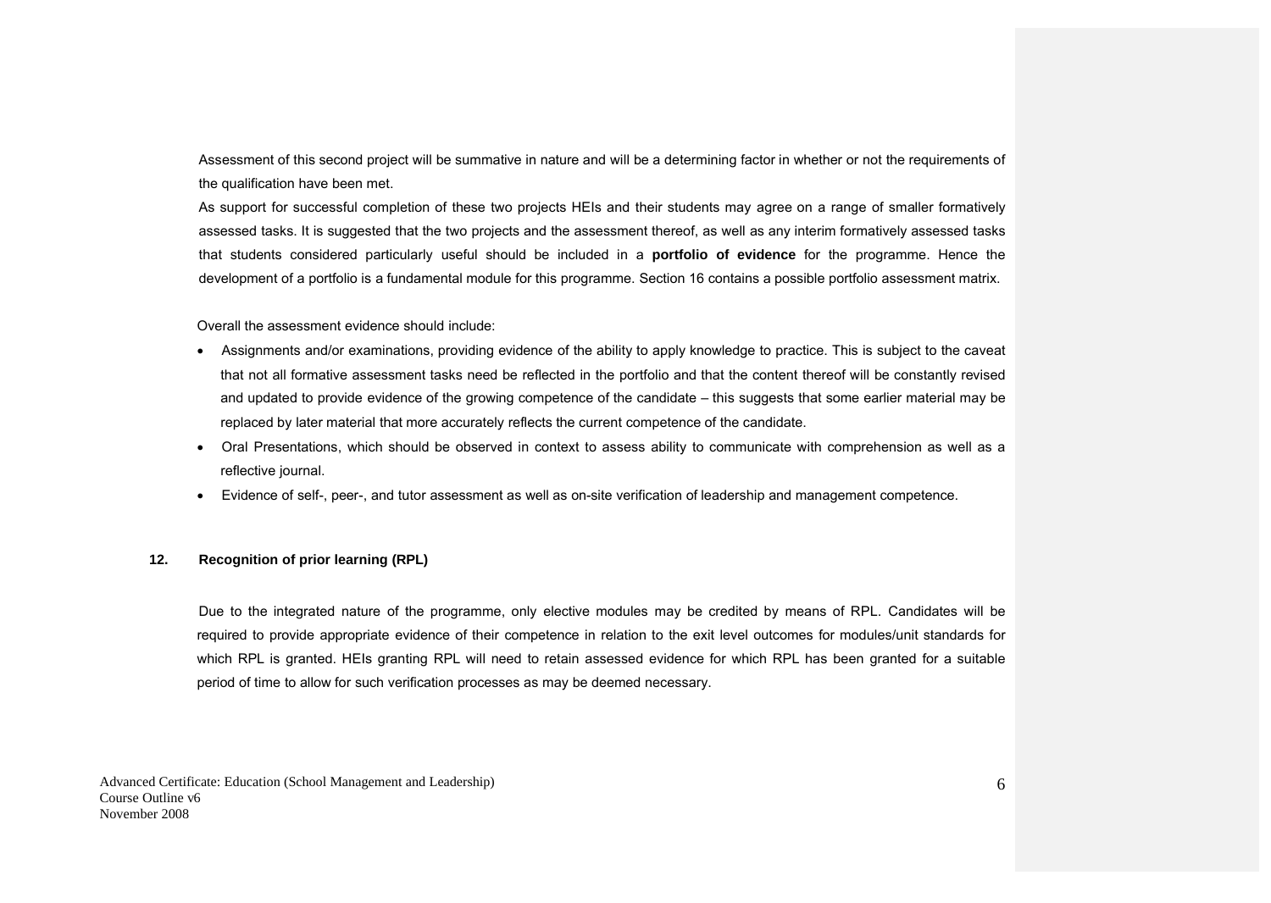Assessment of this second project will be summative in nature and will be a determining factor in whether or not the requirements of the qualification have been met.

As support for successful completion of these two projects HEIs and their students may agree on a range of smaller formatively assessed tasks. It is suggested that the two projects and the assessment thereof, as well as any interim formatively assessed tasks that students considered particularly useful should be included in a **portfolio of evidence** for the programme. Hence the development of a portfolio is a fundamental module for this programme. Section 16 contains a possible portfolio assessment matrix.

Overall the assessment evidence should include:

- Assignments and/or examinations, providing evidence of the ability to apply knowledge to practice. This is subject to the caveat that not all formative assessment tasks need be reflected in the portfolio and that the content thereof will be constantly revised and updated to provide evidence of the growing competence of the candidate – this suggests that some earlier material may be replaced by later material that more accurately reflects the current competence of the candidate.
- Oral Presentations, which should be observed in context to assess ability to communicate with comprehension as well as a reflective journal.
- Evidence of self-, peer-, and tutor assessment as well as on-site verification of leadership and management competence.

#### **12. Recognition of prior learning (RPL)**

Due to the integrated nature of the programme, only elective modules may be credited by means of RPL. Candidates will be required to provide appropriate evidence of their competence in relation to the exit level outcomes for modules/unit standards for which RPL is granted. HEIs granting RPL will need to retain assessed evidence for which RPL has been granted for a suitable period of time to allow for such verification processes as may be deemed necessary.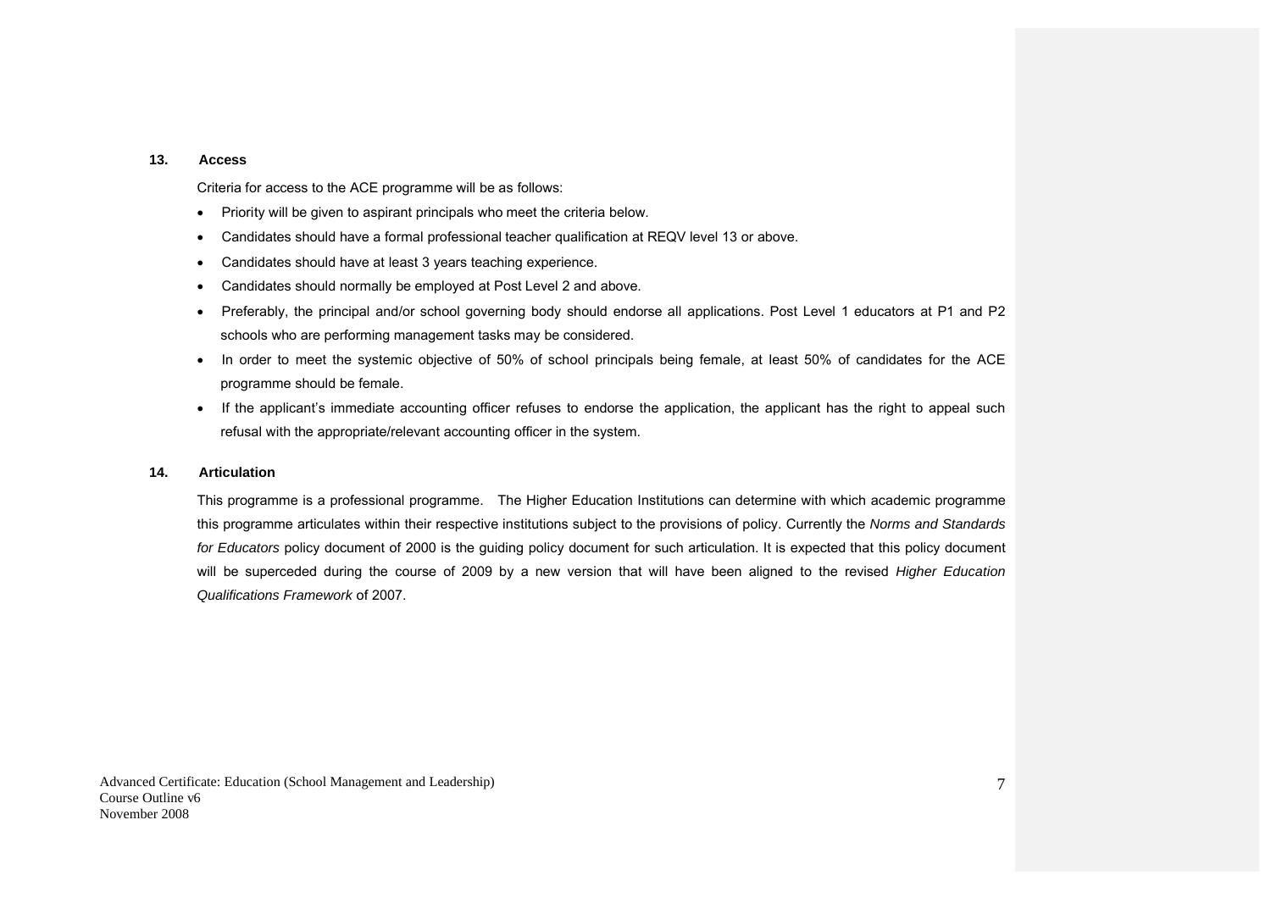#### **13. Access**

Criteria for access to the ACE programme will be as follows:

- Priority will be given to aspirant principals who meet the criteria below.
- Candidates should have a formal professional teacher qualification at REQV level 13 or above.
- Candidates should have at least 3 years teaching experience.
- Candidates should normally be employed at Post Level 2 and above.
- Preferably, the principal and/or school governing body should endorse all applications. Post Level 1 educators at P1 and P2 schools who are performing management tasks may be considered.
- In order to meet the systemic objective of 50% of school principals being female, at least 50% of candidates for the ACE programme should be female.
- If the applicant's immediate accounting officer refuses to endorse the application, the applicant has the right to appeal such refusal with the appropriate/relevant accounting officer in the system.

#### **14. Articulation**

This programme is a professional programme. The Higher Education Institutions can determine with which academic programme this programme articulates within their respective institutions subject to the provisions of policy. Currently the *Norms and Standards for Educators* policy document of 2000 is the guiding policy document for such articulation. It is expected that this policy document will be superceded during the course of 2009 by a new version that will have been aligned to the revised *Higher Education Qualifications Framework* of 2007.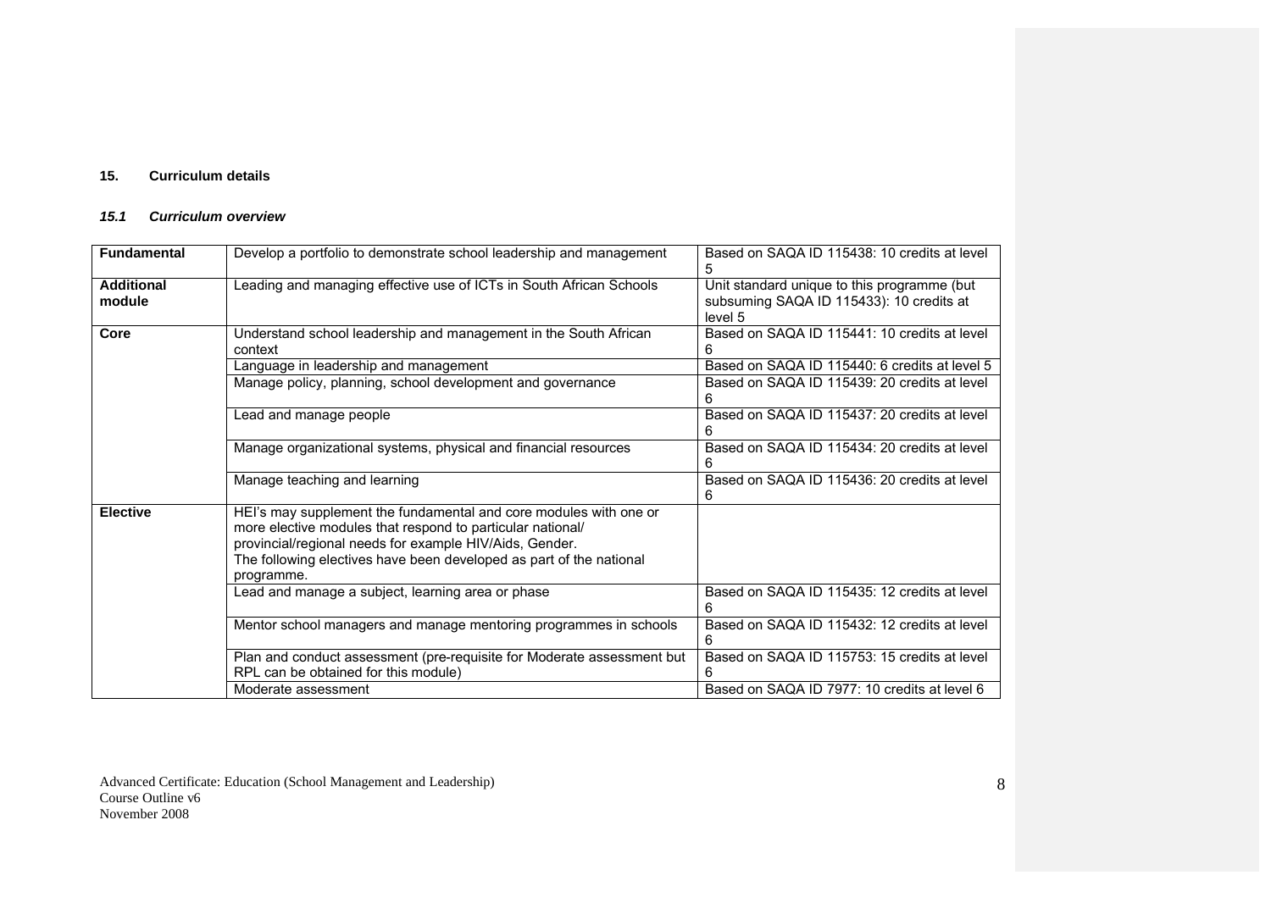## **15. Curriculum details**

### *15.1 Curriculum overview*

| <b>Fundamental</b>          | Develop a portfolio to demonstrate school leadership and management                                                                                                                                                                                                             | Based on SAQA ID 115438: 10 credits at level<br>5                                                  |
|-----------------------------|---------------------------------------------------------------------------------------------------------------------------------------------------------------------------------------------------------------------------------------------------------------------------------|----------------------------------------------------------------------------------------------------|
| <b>Additional</b><br>module | Leading and managing effective use of ICTs in South African Schools                                                                                                                                                                                                             | Unit standard unique to this programme (but<br>subsuming SAQA ID 115433): 10 credits at<br>level 5 |
| Core                        | Understand school leadership and management in the South African<br>context                                                                                                                                                                                                     | Based on SAQA ID 115441: 10 credits at level                                                       |
|                             | Language in leadership and management                                                                                                                                                                                                                                           | Based on SAQA ID 115440: 6 credits at level 5                                                      |
|                             | Manage policy, planning, school development and governance                                                                                                                                                                                                                      | Based on SAQA ID 115439: 20 credits at level                                                       |
|                             | Lead and manage people                                                                                                                                                                                                                                                          | Based on SAQA ID 115437: 20 credits at level<br>6                                                  |
|                             | Manage organizational systems, physical and financial resources                                                                                                                                                                                                                 | Based on SAQA ID 115434: 20 credits at level<br>6                                                  |
|                             | Manage teaching and learning                                                                                                                                                                                                                                                    | Based on SAQA ID 115436: 20 credits at level<br>6                                                  |
| <b>Elective</b>             | HEI's may supplement the fundamental and core modules with one or<br>more elective modules that respond to particular national/<br>provincial/regional needs for example HIV/Aids, Gender.<br>The following electives have been developed as part of the national<br>programme. |                                                                                                    |
|                             | Lead and manage a subject, learning area or phase                                                                                                                                                                                                                               | Based on SAQA ID 115435: 12 credits at level<br>6                                                  |
|                             | Mentor school managers and manage mentoring programmes in schools                                                                                                                                                                                                               | Based on SAQA ID 115432: 12 credits at level                                                       |
|                             | Plan and conduct assessment (pre-requisite for Moderate assessment but<br>RPL can be obtained for this module)                                                                                                                                                                  | Based on SAQA ID 115753: 15 credits at level                                                       |
|                             | Moderate assessment                                                                                                                                                                                                                                                             | Based on SAQA ID 7977: 10 credits at level 6                                                       |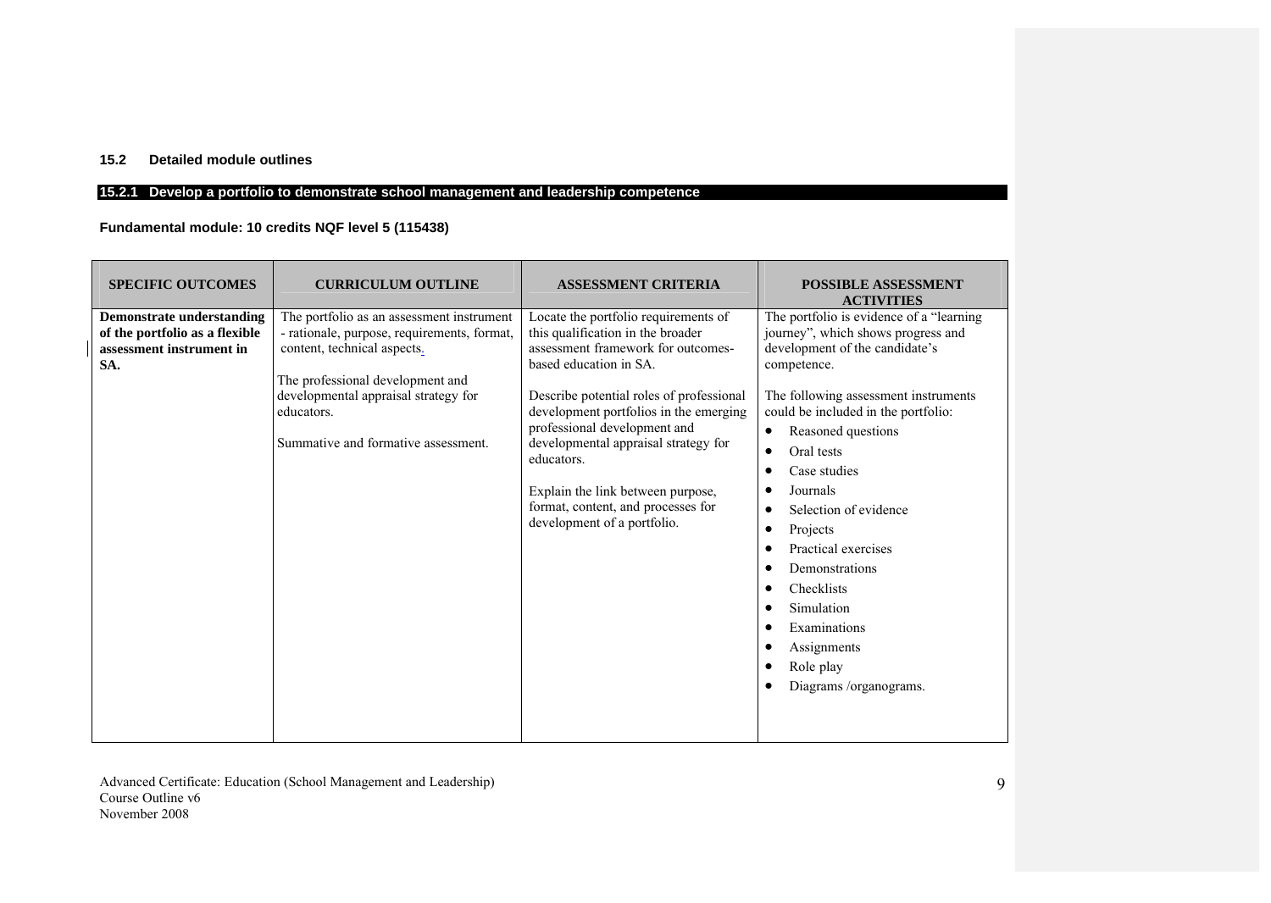## **15.2 Detailed module outlines**

## **15.2.1 Develop a portfolio to demonstrate school management and leadership competence**

## **Fundamental module: 10 credits NQF level 5 (115438)**

| <b>SPECIFIC OUTCOMES</b>                                                                              | <b>CURRICULUM OUTLINE</b>                                                                                                                                                                                                                                | <b>ASSESSMENT CRITERIA</b>                                                                                                                                                                                                                                                                                                                                                                                                      | <b>POSSIBLE ASSESSMENT</b><br><b>ACTIVITIES</b>                                                                                                                                                                                                                                                                                                                                                                                                                                           |
|-------------------------------------------------------------------------------------------------------|----------------------------------------------------------------------------------------------------------------------------------------------------------------------------------------------------------------------------------------------------------|---------------------------------------------------------------------------------------------------------------------------------------------------------------------------------------------------------------------------------------------------------------------------------------------------------------------------------------------------------------------------------------------------------------------------------|-------------------------------------------------------------------------------------------------------------------------------------------------------------------------------------------------------------------------------------------------------------------------------------------------------------------------------------------------------------------------------------------------------------------------------------------------------------------------------------------|
| <b>Demonstrate understanding</b><br>of the portfolio as a flexible<br>assessment instrument in<br>SA. | The portfolio as an assessment instrument<br>- rationale, purpose, requirements, format,<br>content, technical aspects.<br>The professional development and<br>developmental appraisal strategy for<br>educators.<br>Summative and formative assessment. | Locate the portfolio requirements of<br>this qualification in the broader<br>assessment framework for outcomes-<br>based education in SA.<br>Describe potential roles of professional<br>development portfolios in the emerging<br>professional development and<br>developmental appraisal strategy for<br>educators.<br>Explain the link between purpose,<br>format, content, and processes for<br>development of a portfolio. | The portfolio is evidence of a "learning"<br>journey", which shows progress and<br>development of the candidate's<br>competence.<br>The following assessment instruments<br>could be included in the portfolio:<br>Reasoned questions<br>$\bullet$<br>Oral tests<br>$\bullet$<br>Case studies<br>Journals<br>Selection of evidence<br>Projects<br>Practical exercises<br>Demonstrations<br>Checklists<br>Simulation<br>Examinations<br>Assignments<br>Role play<br>Diagrams /organograms. |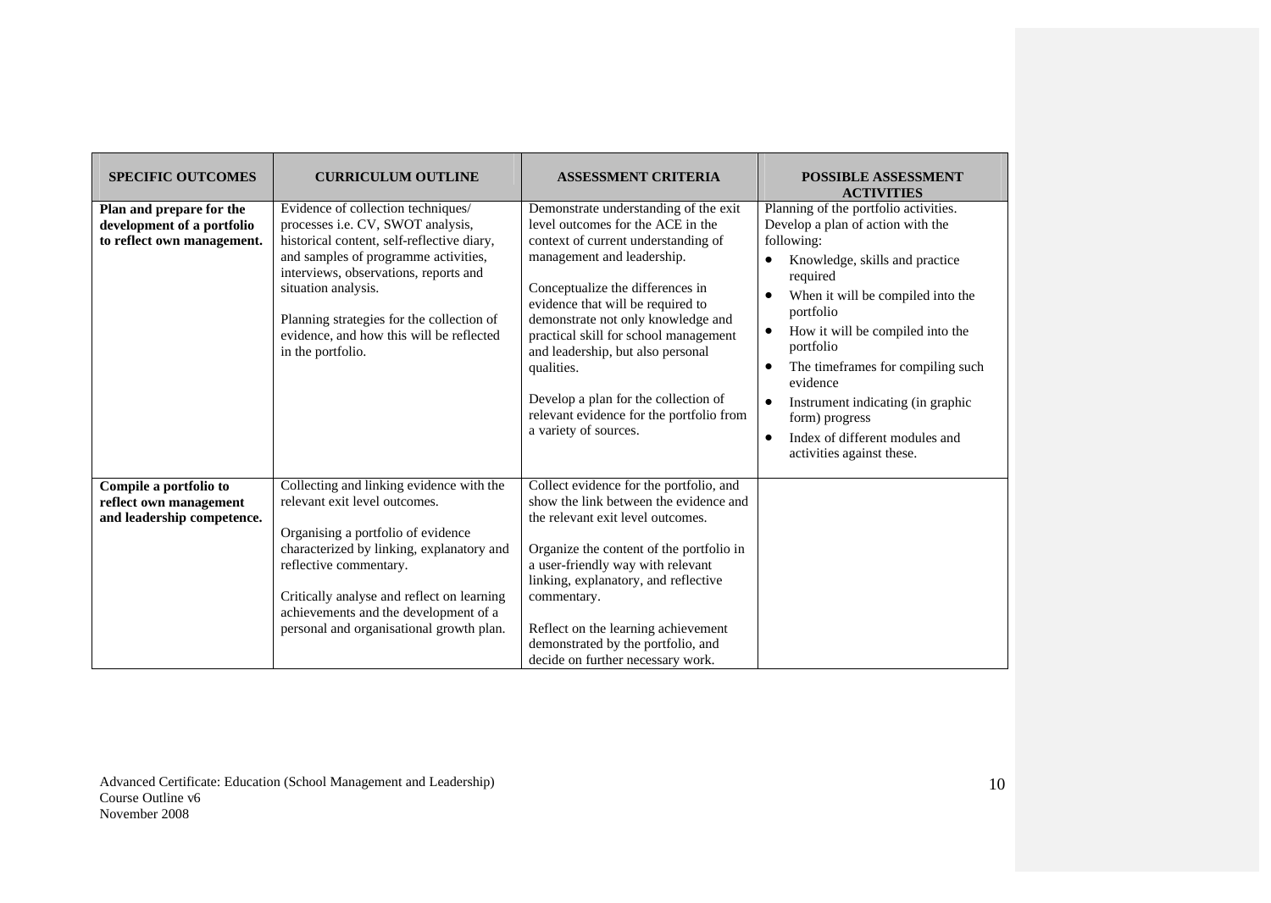| <b>SPECIFIC OUTCOMES</b>                                                             | <b>CURRICULUM OUTLINE</b>                                                                                                                                                                                                                                                                                                                   | <b>ASSESSMENT CRITERIA</b>                                                                                                                                                                                                                                                                                                                                                                                                                                              | <b>POSSIBLE ASSESSMENT</b><br><b>ACTIVITIES</b>                                                                                                                                                                                                                                                                                                                                                                                                                                   |
|--------------------------------------------------------------------------------------|---------------------------------------------------------------------------------------------------------------------------------------------------------------------------------------------------------------------------------------------------------------------------------------------------------------------------------------------|-------------------------------------------------------------------------------------------------------------------------------------------------------------------------------------------------------------------------------------------------------------------------------------------------------------------------------------------------------------------------------------------------------------------------------------------------------------------------|-----------------------------------------------------------------------------------------------------------------------------------------------------------------------------------------------------------------------------------------------------------------------------------------------------------------------------------------------------------------------------------------------------------------------------------------------------------------------------------|
| Plan and prepare for the<br>development of a portfolio<br>to reflect own management. | Evidence of collection techniques/<br>processes i.e. CV, SWOT analysis,<br>historical content, self-reflective diary,<br>and samples of programme activities,<br>interviews, observations, reports and<br>situation analysis.<br>Planning strategies for the collection of<br>evidence, and how this will be reflected<br>in the portfolio. | Demonstrate understanding of the exit<br>level outcomes for the ACE in the<br>context of current understanding of<br>management and leadership.<br>Conceptualize the differences in<br>evidence that will be required to<br>demonstrate not only knowledge and<br>practical skill for school management<br>and leadership, but also personal<br>qualities.<br>Develop a plan for the collection of<br>relevant evidence for the portfolio from<br>a variety of sources. | Planning of the portfolio activities.<br>Develop a plan of action with the<br>following:<br>Knowledge, skills and practice<br>$\bullet$<br>required<br>When it will be compiled into the<br>$\bullet$<br>portfolio<br>How it will be compiled into the<br>$\bullet$<br>portfolio<br>The timeframes for compiling such<br>evidence<br>Instrument indicating (in graphic<br>$\bullet$<br>form) progress<br>Index of different modules and<br>$\bullet$<br>activities against these. |
| Compile a portfolio to<br>reflect own management<br>and leadership competence.       | Collecting and linking evidence with the<br>relevant exit level outcomes.<br>Organising a portfolio of evidence<br>characterized by linking, explanatory and<br>reflective commentary.<br>Critically analyse and reflect on learning<br>achievements and the development of a<br>personal and organisational growth plan.                   | Collect evidence for the portfolio, and<br>show the link between the evidence and<br>the relevant exit level outcomes.<br>Organize the content of the portfolio in<br>a user-friendly way with relevant<br>linking, explanatory, and reflective<br>commentary.<br>Reflect on the learning achievement<br>demonstrated by the portfolio, and<br>decide on further necessary work.                                                                                        |                                                                                                                                                                                                                                                                                                                                                                                                                                                                                   |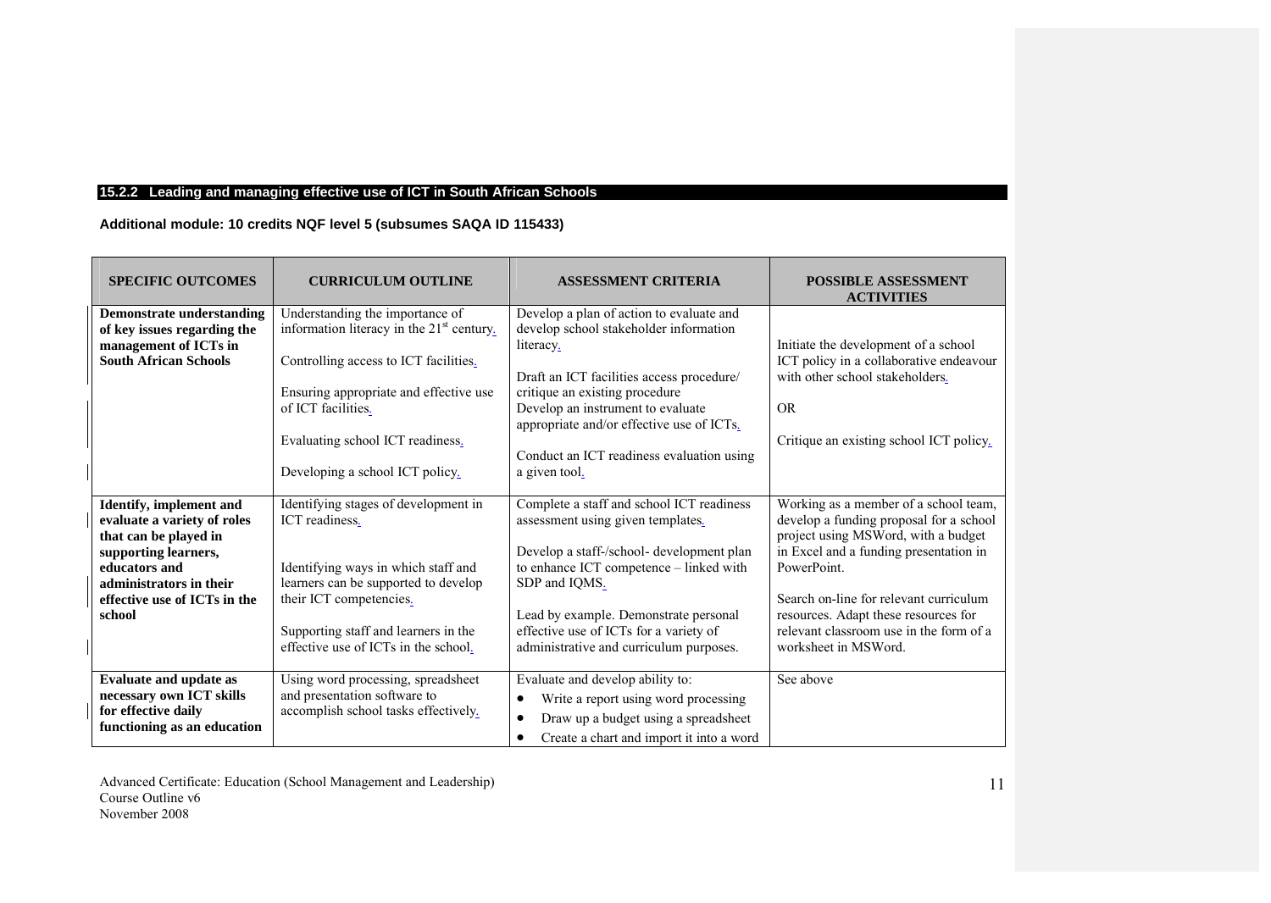## **15.2.2 Leading and managing effective use of ICT in South African Schools**

**Additional module: 10 credits NQF level 5 (subsumes SAQA ID 115433)**

| <b>SPECIFIC OUTCOMES</b>                                                                                                                                                                             | <b>CURRICULUM OUTLINE</b>                                                                                                                                                                                                                                                | <b>ASSESSMENT CRITERIA</b>                                                                                                                                                                                                                                                                                                     | <b>POSSIBLE ASSESSMENT</b><br><b>ACTIVITIES</b>                                                                                                                                                                                                                                                                                       |
|------------------------------------------------------------------------------------------------------------------------------------------------------------------------------------------------------|--------------------------------------------------------------------------------------------------------------------------------------------------------------------------------------------------------------------------------------------------------------------------|--------------------------------------------------------------------------------------------------------------------------------------------------------------------------------------------------------------------------------------------------------------------------------------------------------------------------------|---------------------------------------------------------------------------------------------------------------------------------------------------------------------------------------------------------------------------------------------------------------------------------------------------------------------------------------|
| Demonstrate understanding<br>of key issues regarding the<br>management of ICTs in<br><b>South African Schools</b>                                                                                    | Understanding the importance of<br>information literacy in the 21 <sup>st</sup> century.<br>Controlling access to ICT facilities.<br>Ensuring appropriate and effective use<br>of ICT facilities.<br>Evaluating school ICT readiness.<br>Developing a school ICT policy. | Develop a plan of action to evaluate and<br>develop school stakeholder information<br>literacy.<br>Draft an ICT facilities access procedure/<br>critique an existing procedure<br>Develop an instrument to evaluate<br>appropriate and/or effective use of ICTs.<br>Conduct an ICT readiness evaluation using<br>a given tool. | Initiate the development of a school<br>ICT policy in a collaborative endeavour<br>with other school stakeholders.<br><b>OR</b><br>Critique an existing school ICT policy.                                                                                                                                                            |
| <b>Identify, implement and</b><br>evaluate a variety of roles<br>that can be played in<br>supporting learners,<br>educators and<br>administrators in their<br>effective use of ICTs in the<br>school | Identifying stages of development in<br>ICT readiness.<br>Identifying ways in which staff and<br>learners can be supported to develop<br>their ICT competencies.<br>Supporting staff and learners in the<br>effective use of ICTs in the school.                         | Complete a staff and school ICT readiness<br>assessment using given templates.<br>Develop a staff-/school- development plan<br>to enhance ICT competence - linked with<br>SDP and IQMS.<br>Lead by example. Demonstrate personal<br>effective use of ICTs for a variety of<br>administrative and curriculum purposes.          | Working as a member of a school team,<br>develop a funding proposal for a school<br>project using MSWord, with a budget<br>in Excel and a funding presentation in<br>PowerPoint.<br>Search on-line for relevant curriculum<br>resources. Adapt these resources for<br>relevant classroom use in the form of a<br>worksheet in MSWord. |
| <b>Evaluate and update as</b><br>necessary own ICT skills<br>for effective daily<br>functioning as an education                                                                                      | Using word processing, spreadsheet<br>and presentation software to<br>accomplish school tasks effectively.                                                                                                                                                               | Evaluate and develop ability to:<br>Write a report using word processing<br>$\bullet$<br>Draw up a budget using a spreadsheet<br>$\bullet$<br>Create a chart and import it into a word<br>$\bullet$                                                                                                                            | See above                                                                                                                                                                                                                                                                                                                             |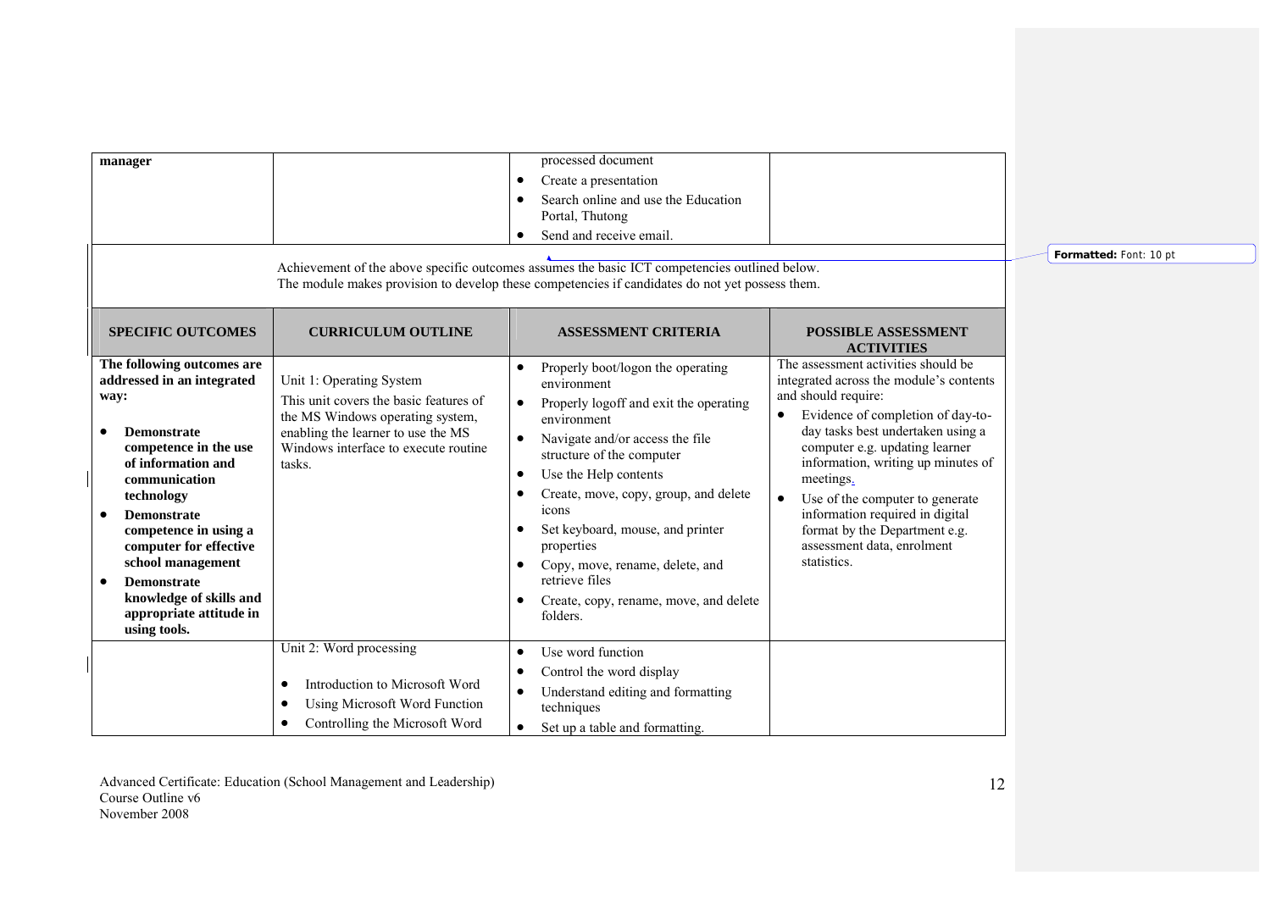| manager                                                                                                                                                                                                                                                                                                                                                                               |                                                                                                                                                                                                | processed document<br>Create a presentation<br>$\bullet$<br>Search online and use the Education<br>Portal, Thutong<br>Send and receive email.<br>Achievement of the above specific outcomes assumes the basic ICT competencies outlined below.<br>The module makes provision to develop these competencies if candidates do not yet possess them.                                                                                           |                                                                                                                                                                                                                                                                                                                                                                                                                                       | Formatted: Font: 10 pt |
|---------------------------------------------------------------------------------------------------------------------------------------------------------------------------------------------------------------------------------------------------------------------------------------------------------------------------------------------------------------------------------------|------------------------------------------------------------------------------------------------------------------------------------------------------------------------------------------------|---------------------------------------------------------------------------------------------------------------------------------------------------------------------------------------------------------------------------------------------------------------------------------------------------------------------------------------------------------------------------------------------------------------------------------------------|---------------------------------------------------------------------------------------------------------------------------------------------------------------------------------------------------------------------------------------------------------------------------------------------------------------------------------------------------------------------------------------------------------------------------------------|------------------------|
| <b>SPECIFIC OUTCOMES</b>                                                                                                                                                                                                                                                                                                                                                              | <b>CURRICULUM OUTLINE</b>                                                                                                                                                                      | <b>ASSESSMENT CRITERIA</b>                                                                                                                                                                                                                                                                                                                                                                                                                  | <b>POSSIBLE ASSESSMENT</b><br><b>ACTIVITIES</b>                                                                                                                                                                                                                                                                                                                                                                                       |                        |
| The following outcomes are<br>addressed in an integrated<br>way:<br><b>Demonstrate</b><br>$\bullet$<br>competence in the use<br>of information and<br>communication<br>technology<br><b>Demonstrate</b><br>٠<br>competence in using a<br>computer for effective<br>school management<br><b>Demonstrate</b><br>٠<br>knowledge of skills and<br>appropriate attitude in<br>using tools. | Unit 1: Operating System<br>This unit covers the basic features of<br>the MS Windows operating system,<br>enabling the learner to use the MS<br>Windows interface to execute routine<br>tasks. | Properly boot/logon the operating<br>environment<br>Properly logoff and exit the operating<br>$\bullet$<br>environment<br>Navigate and/or access the file<br>structure of the computer<br>Use the Help contents<br>$\bullet$<br>Create, move, copy, group, and delete<br>icons<br>Set keyboard, mouse, and printer<br>properties<br>Copy, move, rename, delete, and<br>retrieve files<br>Create, copy, rename, move, and delete<br>folders. | The assessment activities should be<br>integrated across the module's contents<br>and should require:<br>Evidence of completion of day-to-<br>day tasks best undertaken using a<br>computer e.g. updating learner<br>information, writing up minutes of<br>meetings.<br>Use of the computer to generate<br>$\bullet$<br>information required in digital<br>format by the Department e.g.<br>assessment data, enrolment<br>statistics. |                        |
|                                                                                                                                                                                                                                                                                                                                                                                       | Unit 2: Word processing<br>Introduction to Microsoft Word<br>٠<br><b>Using Microsoft Word Function</b><br>$\bullet$<br>Controlling the Microsoft Word                                          | Use word function<br>$\bullet$<br>Control the word display<br>Understand editing and formatting<br>techniques<br>Set up a table and formatting.<br>$\bullet$                                                                                                                                                                                                                                                                                |                                                                                                                                                                                                                                                                                                                                                                                                                                       |                        |

12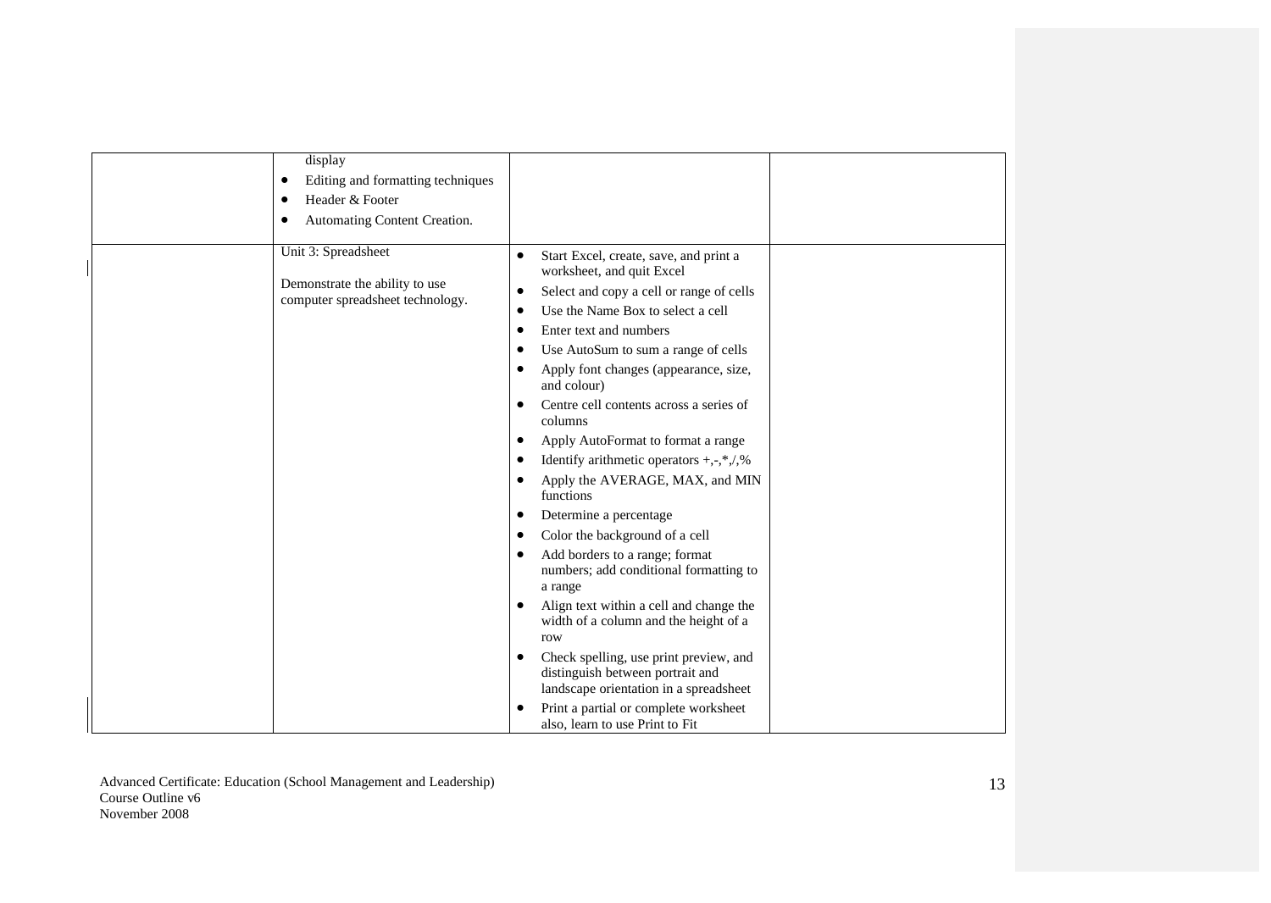| display<br>Editing and formatting techniques<br>٠<br>Header & Footer<br>Automating Content Creation.<br>Unit 3: Spreadsheet<br>Demonstrate the ability to use<br>computer spreadsheet technology. | Start Excel, create, save, and print a<br>٠<br>worksheet, and quit Excel<br>Select and copy a cell or range of cells<br>٠<br>Use the Name Box to select a cell<br>Enter text and numbers<br>٠<br>Use AutoSum to sum a range of cells<br>Apply font changes (appearance, size,<br>٠<br>and colour)<br>Centre cell contents across a series of<br>columns |
|---------------------------------------------------------------------------------------------------------------------------------------------------------------------------------------------------|---------------------------------------------------------------------------------------------------------------------------------------------------------------------------------------------------------------------------------------------------------------------------------------------------------------------------------------------------------|
|                                                                                                                                                                                                   | Apply AutoFormat to format a range<br>٠                                                                                                                                                                                                                                                                                                                 |
|                                                                                                                                                                                                   | Identify arithmetic operators $+, \cdot, *, \cdot, \frac{9}{9}$                                                                                                                                                                                                                                                                                         |
|                                                                                                                                                                                                   | Apply the AVERAGE, MAX, and MIN<br>٠<br>functions                                                                                                                                                                                                                                                                                                       |
|                                                                                                                                                                                                   | Determine a percentage                                                                                                                                                                                                                                                                                                                                  |
|                                                                                                                                                                                                   | Color the background of a cell<br>٠                                                                                                                                                                                                                                                                                                                     |
|                                                                                                                                                                                                   | Add borders to a range; format<br>numbers; add conditional formatting to<br>a range                                                                                                                                                                                                                                                                     |
|                                                                                                                                                                                                   | Align text within a cell and change the<br>width of a column and the height of a<br>row                                                                                                                                                                                                                                                                 |
|                                                                                                                                                                                                   | Check spelling, use print preview, and<br>distinguish between portrait and<br>landscape orientation in a spreadsheet                                                                                                                                                                                                                                    |
|                                                                                                                                                                                                   | Print a partial or complete worksheet<br>also, learn to use Print to Fit                                                                                                                                                                                                                                                                                |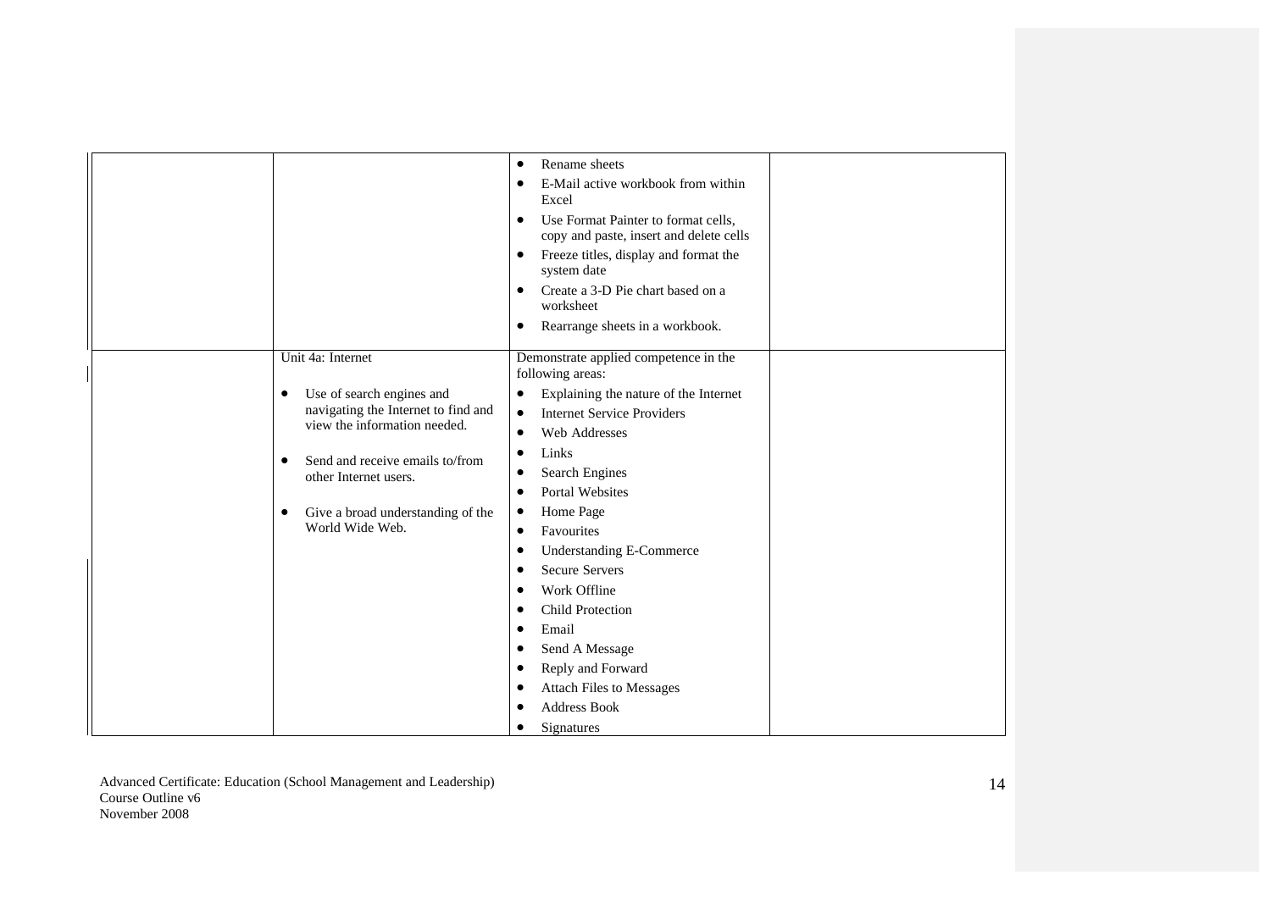|                                                                                                                                                                                                                                                                  | Rename sheets<br>$\bullet$<br>E-Mail active workbook from within<br>Excel<br>Use Format Painter to format cells,<br>٠<br>copy and paste, insert and delete cells<br>Freeze titles, display and format the<br>system date<br>Create a 3-D Pie chart based on a<br>worksheet<br>Rearrange sheets in a workbook.                                                                                                                                                                                            |  |
|------------------------------------------------------------------------------------------------------------------------------------------------------------------------------------------------------------------------------------------------------------------|----------------------------------------------------------------------------------------------------------------------------------------------------------------------------------------------------------------------------------------------------------------------------------------------------------------------------------------------------------------------------------------------------------------------------------------------------------------------------------------------------------|--|
| Unit 4a: Internet<br>Use of search engines and<br>٠<br>navigating the Internet to find and<br>view the information needed.<br>Send and receive emails to/from<br>$\bullet$<br>other Internet users.<br>Give a broad understanding of the<br>٠<br>World Wide Web. | Demonstrate applied competence in the<br>following areas:<br>Explaining the nature of the Internet<br><b>Internet Service Providers</b><br>$\bullet$<br>Web Addresses<br>٠<br>Links<br>٠<br>Search Engines<br><b>Portal Websites</b><br>Home Page<br>Favourites<br>٠<br><b>Understanding E-Commerce</b><br><b>Secure Servers</b><br>Work Offline<br><b>Child Protection</b><br>Email<br>Send A Message<br>٠<br>Reply and Forward<br><b>Attach Files to Messages</b><br><b>Address Book</b><br>Signatures |  |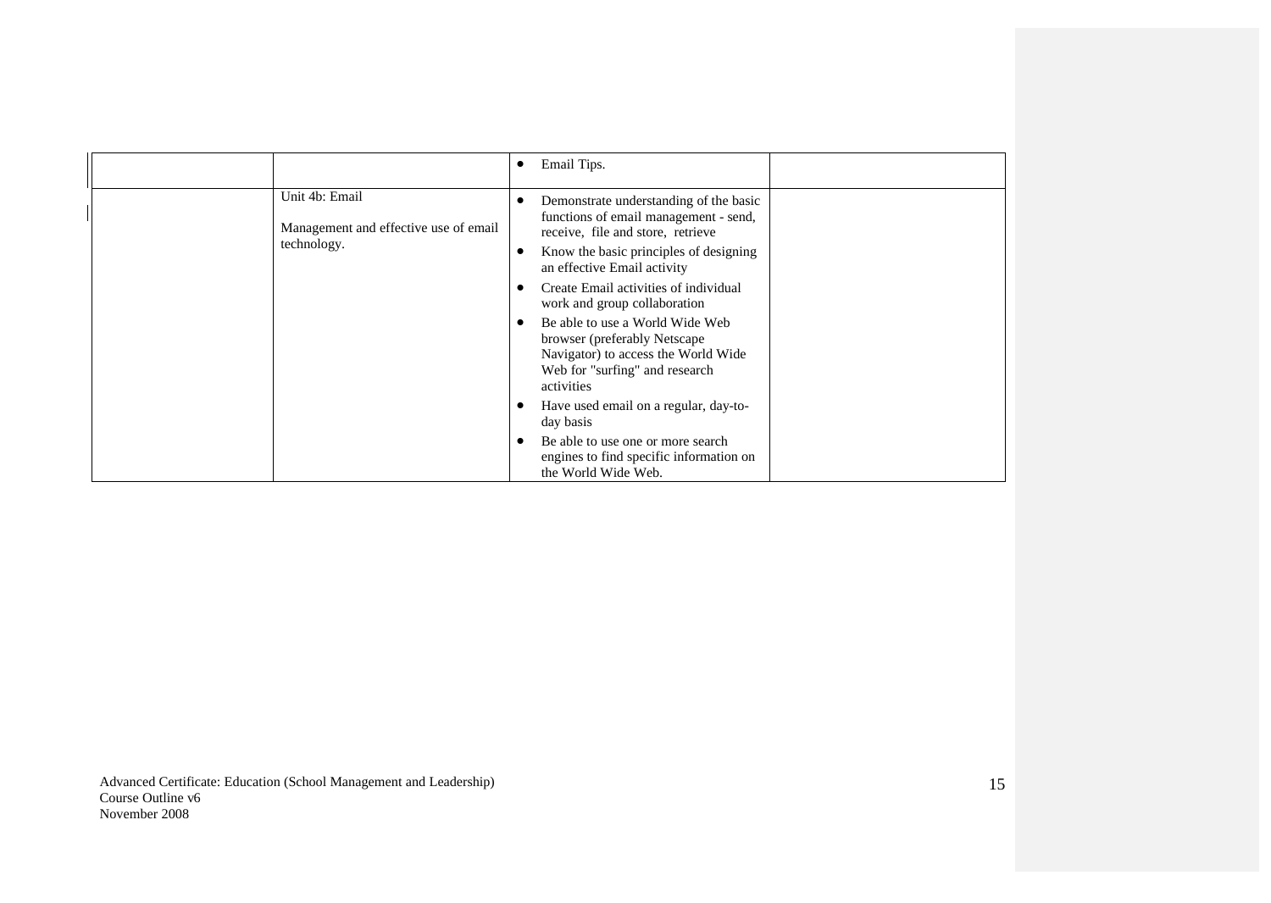|                                                                        | Email Tips.                                                                                                                                                                                   |
|------------------------------------------------------------------------|-----------------------------------------------------------------------------------------------------------------------------------------------------------------------------------------------|
| Unit 4b: Email<br>Management and effective use of email<br>technology. | Demonstrate understanding of the basic<br>functions of email management - send,<br>receive, file and store, retrieve<br>Know the basic principles of designing<br>an effective Email activity |
|                                                                        | Create Email activities of individual<br>work and group collaboration                                                                                                                         |
|                                                                        | Be able to use a World Wide Web<br>browser (preferably Netscape)<br>Navigator) to access the World Wide<br>Web for "surfing" and research<br>activities                                       |
|                                                                        | Have used email on a regular, day-to-<br>day basis                                                                                                                                            |
|                                                                        | Be able to use one or more search<br>engines to find specific information on<br>the World Wide Web.                                                                                           |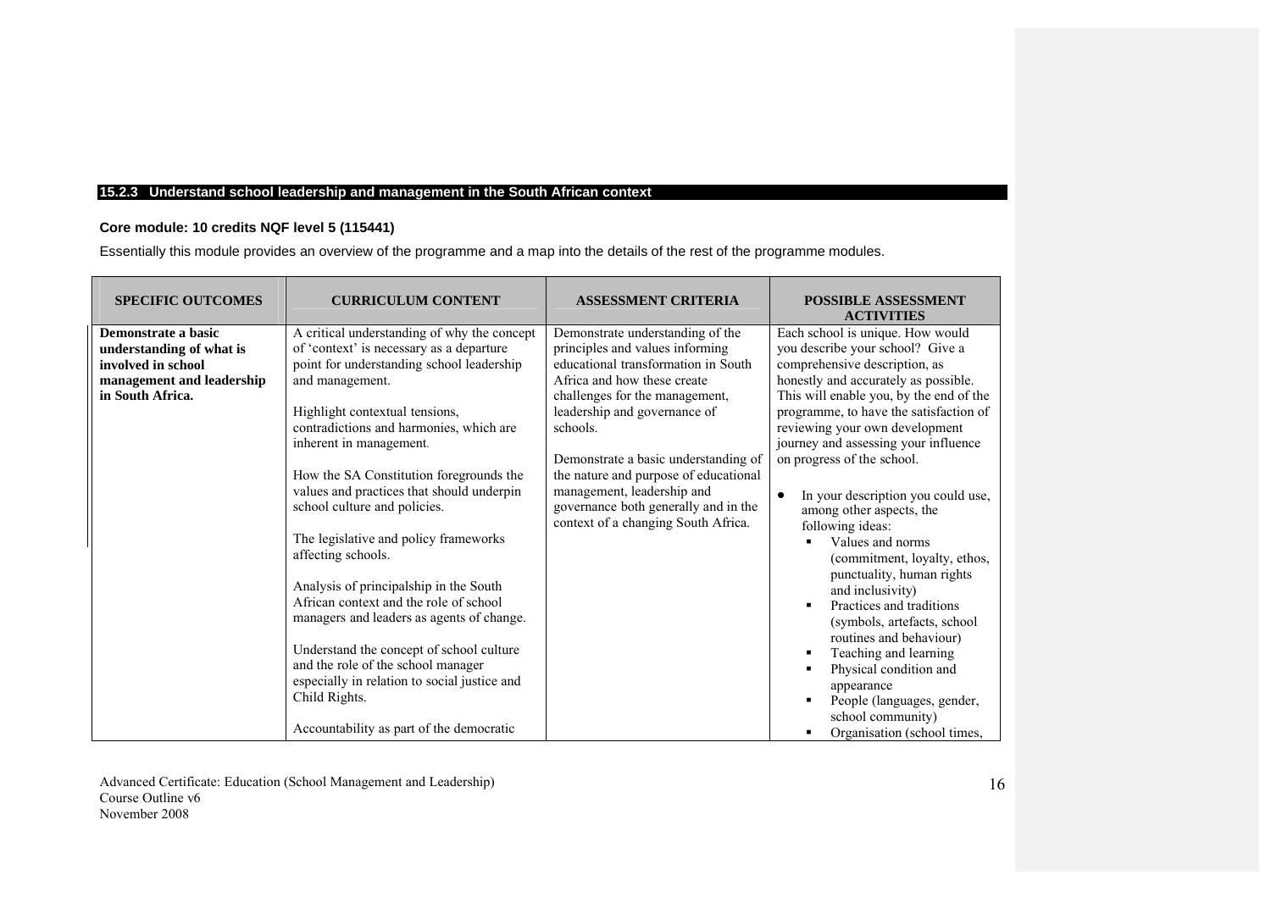## **15.2.3 Understand school leadership and management in the South African context**

## **Core module: 10 credits NQF level 5 (115441)**

Essentially this module provides an overview of the programme and a map into the details of the rest of the programme modules.

| <b>SPECIFIC OUTCOMES</b>                                                                                               | <b>CURRICULUM CONTENT</b>                                                                                                                                                                                                                                                                                                                                                                                                                                                                                                                                                                                                                                                                                                                                                              | <b>ASSESSMENT CRITERIA</b>                                                                                                                                                                                                                                                                                                                                                                                            | <b>POSSIBLE ASSESSMENT</b><br><b>ACTIVITIES</b>                                                                                                                                                                                                                                                                                                                                                                                                                                                                                                                                                                                                                                                                                                                                |
|------------------------------------------------------------------------------------------------------------------------|----------------------------------------------------------------------------------------------------------------------------------------------------------------------------------------------------------------------------------------------------------------------------------------------------------------------------------------------------------------------------------------------------------------------------------------------------------------------------------------------------------------------------------------------------------------------------------------------------------------------------------------------------------------------------------------------------------------------------------------------------------------------------------------|-----------------------------------------------------------------------------------------------------------------------------------------------------------------------------------------------------------------------------------------------------------------------------------------------------------------------------------------------------------------------------------------------------------------------|--------------------------------------------------------------------------------------------------------------------------------------------------------------------------------------------------------------------------------------------------------------------------------------------------------------------------------------------------------------------------------------------------------------------------------------------------------------------------------------------------------------------------------------------------------------------------------------------------------------------------------------------------------------------------------------------------------------------------------------------------------------------------------|
| Demonstrate a basic<br>understanding of what is<br>involved in school<br>management and leadership<br>in South Africa. | A critical understanding of why the concept<br>of 'context' is necessary as a departure<br>point for understanding school leadership<br>and management.<br>Highlight contextual tensions,<br>contradictions and harmonies, which are<br>inherent in management.<br>How the SA Constitution foregrounds the<br>values and practices that should underpin<br>school culture and policies.<br>The legislative and policy frameworks<br>affecting schools.<br>Analysis of principalship in the South<br>African context and the role of school<br>managers and leaders as agents of change.<br>Understand the concept of school culture<br>and the role of the school manager<br>especially in relation to social justice and<br>Child Rights.<br>Accountability as part of the democratic | Demonstrate understanding of the<br>principles and values informing<br>educational transformation in South<br>Africa and how these create<br>challenges for the management,<br>leadership and governance of<br>schools.<br>Demonstrate a basic understanding of<br>the nature and purpose of educational<br>management, leadership and<br>governance both generally and in the<br>context of a changing South Africa. | Each school is unique. How would<br>you describe your school? Give a<br>comprehensive description, as<br>honestly and accurately as possible.<br>This will enable you, by the end of the<br>programme, to have the satisfaction of<br>reviewing your own development<br>journey and assessing your influence<br>on progress of the school.<br>In your description you could use,<br>among other aspects, the<br>following ideas:<br>Values and norms<br>(commitment, loyalty, ethos,<br>punctuality, human rights<br>and inclusivity)<br>Practices and traditions<br>(symbols, artefacts, school<br>routines and behaviour)<br>Teaching and learning<br>Physical condition and<br>appearance<br>People (languages, gender,<br>school community)<br>Organisation (school times, |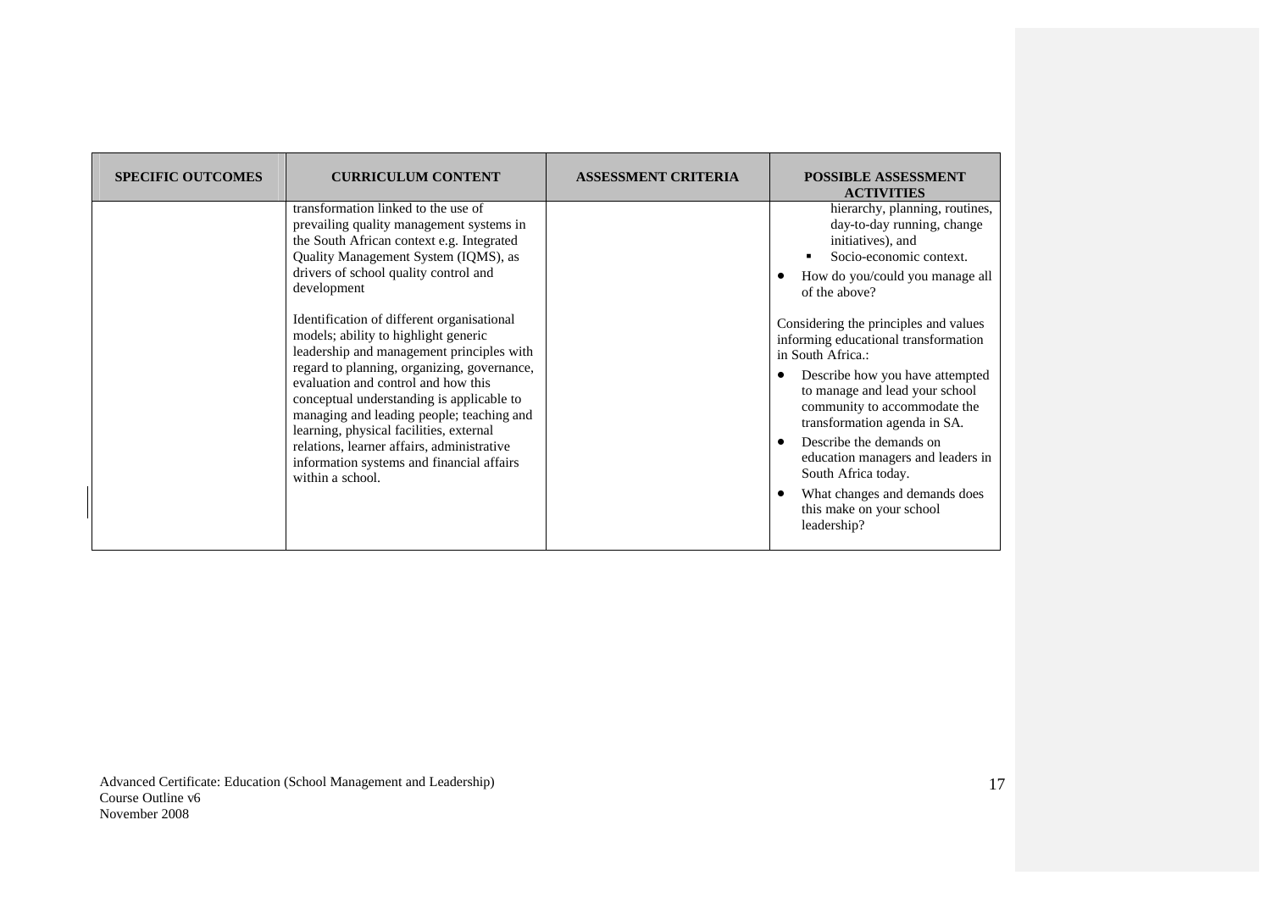| <b>SPECIFIC OUTCOMES</b> | <b>CURRICULUM CONTENT</b>                                                                                                                                                                                                                                                                                                                                                                                                                                                                                                                                                                                                                                                                                 | <b>ASSESSMENT CRITERIA</b> | <b>POSSIBLE ASSESSMENT</b><br><b>ACTIVITIES</b>                                                                                                                                                                                                                                                                                                                                                                                                                                                                                                                                |
|--------------------------|-----------------------------------------------------------------------------------------------------------------------------------------------------------------------------------------------------------------------------------------------------------------------------------------------------------------------------------------------------------------------------------------------------------------------------------------------------------------------------------------------------------------------------------------------------------------------------------------------------------------------------------------------------------------------------------------------------------|----------------------------|--------------------------------------------------------------------------------------------------------------------------------------------------------------------------------------------------------------------------------------------------------------------------------------------------------------------------------------------------------------------------------------------------------------------------------------------------------------------------------------------------------------------------------------------------------------------------------|
|                          | transformation linked to the use of<br>prevailing quality management systems in<br>the South African context e.g. Integrated<br>Quality Management System (IQMS), as<br>drivers of school quality control and<br>development<br>Identification of different organisational<br>models; ability to highlight generic<br>leadership and management principles with<br>regard to planning, organizing, governance,<br>evaluation and control and how this<br>conceptual understanding is applicable to<br>managing and leading people; teaching and<br>learning, physical facilities, external<br>relations, learner affairs, administrative<br>information systems and financial affairs<br>within a school. |                            | hierarchy, planning, routines,<br>day-to-day running, change<br>initiatives), and<br>Socio-economic context.<br>How do you/could you manage all<br>of the above?<br>Considering the principles and values<br>informing educational transformation<br>in South Africa.:<br>Describe how you have attempted<br>to manage and lead your school<br>community to accommodate the<br>transformation agenda in SA.<br>Describe the demands on<br>education managers and leaders in<br>South Africa today.<br>What changes and demands does<br>this make on your school<br>leadership? |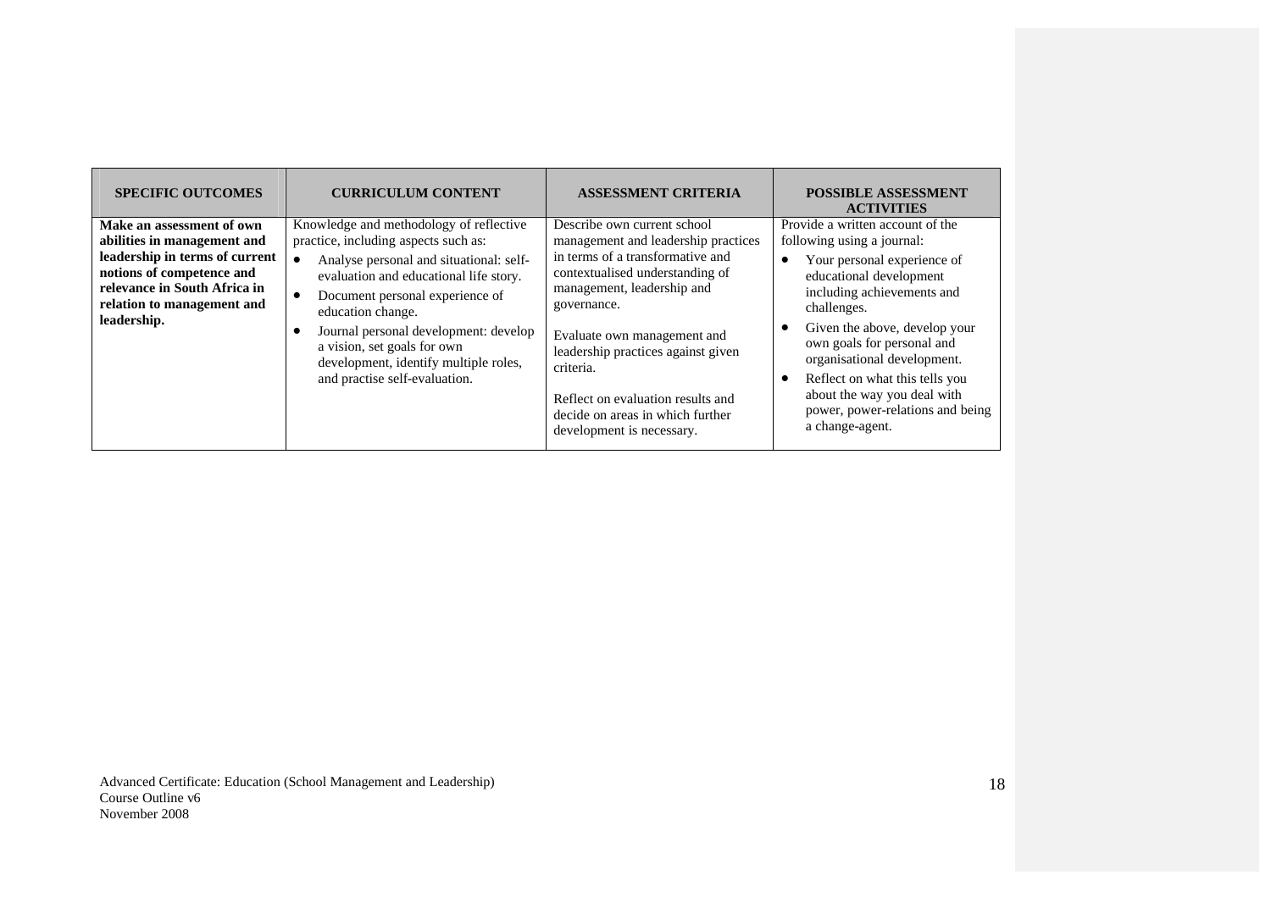| <b>SPECIFIC OUTCOMES</b>                                                                                                                                                                             | <b>CURRICULUM CONTENT</b>                                                                                                                                                                                                                                                                                                                                                                   | <b>ASSESSMENT CRITERIA</b>                                                                                                                                                                                                                                                                                                                                                     | <b>POSSIBLE ASSESSMENT</b><br><b>ACTIVITIES</b>                                                                                                                                                                                                                                                                                                                                             |
|------------------------------------------------------------------------------------------------------------------------------------------------------------------------------------------------------|---------------------------------------------------------------------------------------------------------------------------------------------------------------------------------------------------------------------------------------------------------------------------------------------------------------------------------------------------------------------------------------------|--------------------------------------------------------------------------------------------------------------------------------------------------------------------------------------------------------------------------------------------------------------------------------------------------------------------------------------------------------------------------------|---------------------------------------------------------------------------------------------------------------------------------------------------------------------------------------------------------------------------------------------------------------------------------------------------------------------------------------------------------------------------------------------|
| Make an assessment of own<br>abilities in management and<br>leadership in terms of current<br>notions of competence and<br>relevance in South Africa in<br>relation to management and<br>leadership. | Knowledge and methodology of reflective<br>practice, including aspects such as:<br>Analyse personal and situational: self-<br>evaluation and educational life story.<br>Document personal experience of<br>$\bullet$<br>education change.<br>Journal personal development: develop<br>a vision, set goals for own<br>development, identify multiple roles,<br>and practise self-evaluation. | Describe own current school<br>management and leadership practices<br>in terms of a transformative and<br>contextualised understanding of<br>management, leadership and<br>governance.<br>Evaluate own management and<br>leadership practices against given<br>criteria.<br>Reflect on evaluation results and<br>decide on areas in which further<br>development is necessary. | Provide a written account of the<br>following using a journal:<br>Your personal experience of<br>educational development<br>including achievements and<br>challenges.<br>Given the above, develop your<br>own goals for personal and<br>organisational development.<br>Reflect on what this tells you<br>about the way you deal with<br>power, power-relations and being<br>a change-agent. |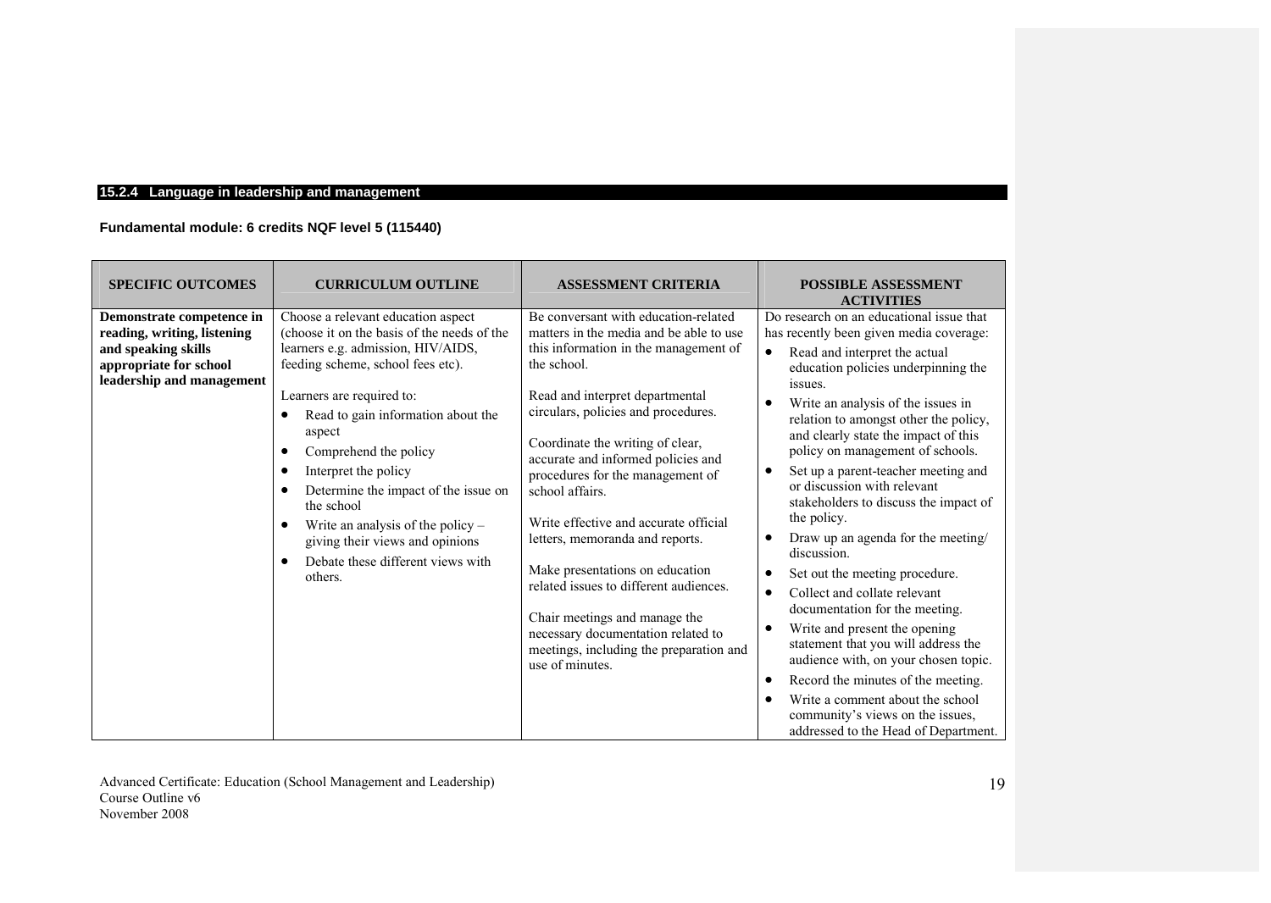# **15.2.4 Language in leadership and management**

# **Fundamental module: 6 credits NQF level 5 (115440)**

| <b>SPECIFIC OUTCOMES</b>                                                                                                               | <b>CURRICULUM OUTLINE</b>                                                                                                                                                                                                                                                                                                                                                                                                                                                                            | <b>ASSESSMENT CRITERIA</b>                                                                                                                                                                                                                                                                                                                                                                                                                                                                                                                                                                                                                       | <b>POSSIBLE ASSESSMENT</b><br><b>ACTIVITIES</b>                                                                                                                                                                                                                                                                                                                                                                                                                                                                                                                                                                                                                                                                                                                                                                                                                                                                                                                                           |
|----------------------------------------------------------------------------------------------------------------------------------------|------------------------------------------------------------------------------------------------------------------------------------------------------------------------------------------------------------------------------------------------------------------------------------------------------------------------------------------------------------------------------------------------------------------------------------------------------------------------------------------------------|--------------------------------------------------------------------------------------------------------------------------------------------------------------------------------------------------------------------------------------------------------------------------------------------------------------------------------------------------------------------------------------------------------------------------------------------------------------------------------------------------------------------------------------------------------------------------------------------------------------------------------------------------|-------------------------------------------------------------------------------------------------------------------------------------------------------------------------------------------------------------------------------------------------------------------------------------------------------------------------------------------------------------------------------------------------------------------------------------------------------------------------------------------------------------------------------------------------------------------------------------------------------------------------------------------------------------------------------------------------------------------------------------------------------------------------------------------------------------------------------------------------------------------------------------------------------------------------------------------------------------------------------------------|
| Demonstrate competence in<br>reading, writing, listening<br>and speaking skills<br>appropriate for school<br>leadership and management | Choose a relevant education aspect<br>(choose it on the basis of the needs of the<br>learners e.g. admission, HIV/AIDS,<br>feeding scheme, school fees etc).<br>Learners are required to:<br>Read to gain information about the<br>aspect<br>Comprehend the policy<br>$\bullet$<br>Interpret the policy<br>$\bullet$<br>Determine the impact of the issue on<br>the school<br>Write an analysis of the policy $-$<br>giving their views and opinions<br>Debate these different views with<br>others. | Be conversant with education-related<br>matters in the media and be able to use<br>this information in the management of<br>the school.<br>Read and interpret departmental<br>circulars, policies and procedures.<br>Coordinate the writing of clear,<br>accurate and informed policies and<br>procedures for the management of<br>school affairs.<br>Write effective and accurate official<br>letters, memoranda and reports.<br>Make presentations on education<br>related issues to different audiences.<br>Chair meetings and manage the<br>necessary documentation related to<br>meetings, including the preparation and<br>use of minutes. | Do research on an educational issue that<br>has recently been given media coverage:<br>Read and interpret the actual<br>$\bullet$<br>education policies underpinning the<br>issues.<br>Write an analysis of the issues in<br>relation to amongst other the policy,<br>and clearly state the impact of this<br>policy on management of schools.<br>Set up a parent-teacher meeting and<br>$\bullet$<br>or discussion with relevant<br>stakeholders to discuss the impact of<br>the policy.<br>Draw up an agenda for the meeting/<br>$\bullet$<br>discussion.<br>Set out the meeting procedure.<br>$\bullet$<br>Collect and collate relevant<br>$\bullet$<br>documentation for the meeting.<br>Write and present the opening<br>$\bullet$<br>statement that you will address the<br>audience with, on your chosen topic.<br>Record the minutes of the meeting.<br>$\bullet$<br>Write a comment about the school<br>community's views on the issues,<br>addressed to the Head of Department. |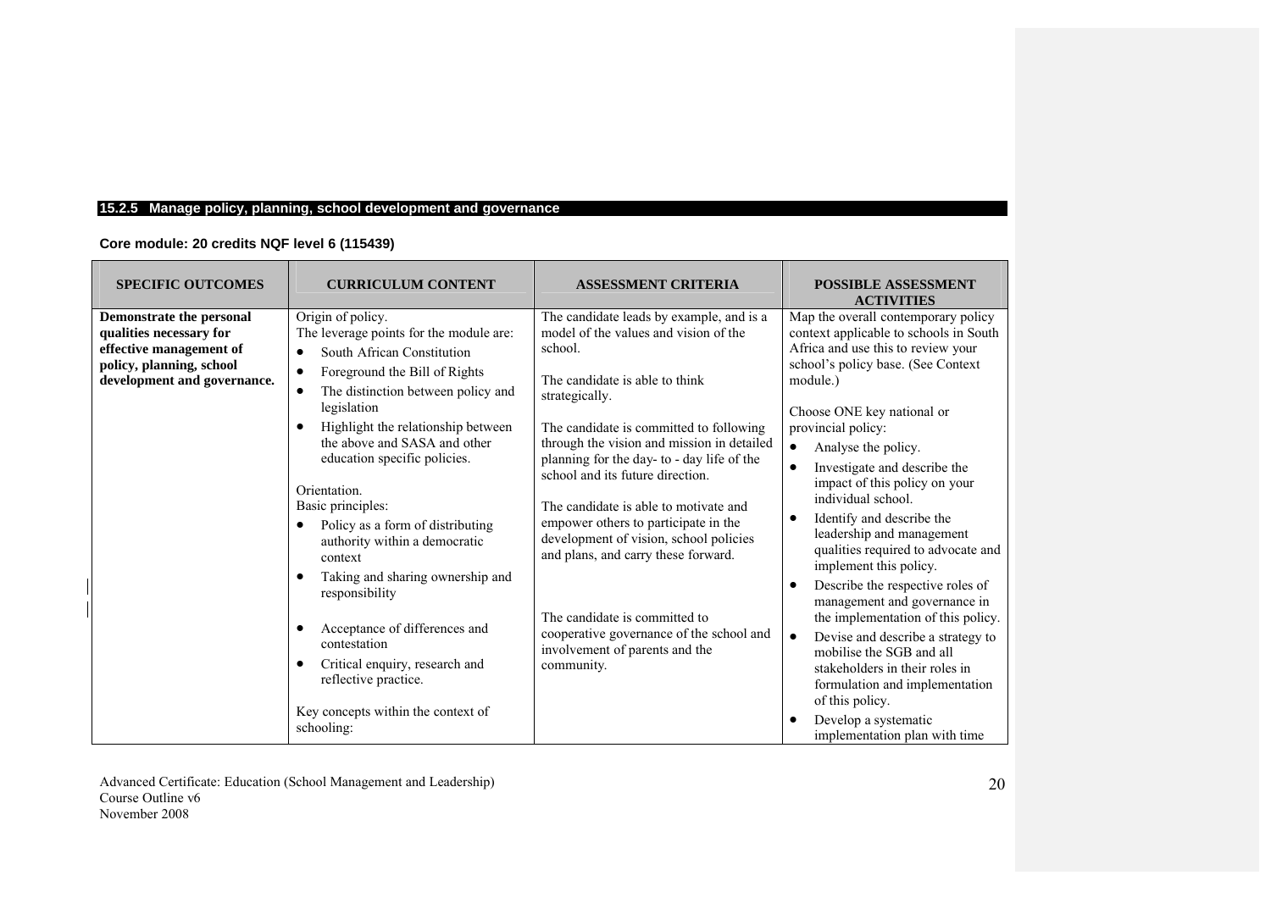# **15.2.5 Manage policy, planning, school development and governance**

| Core module: 20 credits NQF level 6 (115439) |  |
|----------------------------------------------|--|
|----------------------------------------------|--|

| <b>SPECIFIC OUTCOMES</b>                                                                                                                  | <b>CURRICULUM CONTENT</b>                                                                                                                                                                                                                                                                                                                                                                                                                                                                                                                                                                                                                     | <b>ASSESSMENT CRITERIA</b>                                                                                                                                                                                                                                                                                                                                                                                                                                                                                                                                                                                                 | <b>POSSIBLE ASSESSMENT</b><br><b>ACTIVITIES</b>                                                                                                                                                                                                                                                                                                                                                                                                                                                                                                                                                                                                                                                                                                                                                                                                               |
|-------------------------------------------------------------------------------------------------------------------------------------------|-----------------------------------------------------------------------------------------------------------------------------------------------------------------------------------------------------------------------------------------------------------------------------------------------------------------------------------------------------------------------------------------------------------------------------------------------------------------------------------------------------------------------------------------------------------------------------------------------------------------------------------------------|----------------------------------------------------------------------------------------------------------------------------------------------------------------------------------------------------------------------------------------------------------------------------------------------------------------------------------------------------------------------------------------------------------------------------------------------------------------------------------------------------------------------------------------------------------------------------------------------------------------------------|---------------------------------------------------------------------------------------------------------------------------------------------------------------------------------------------------------------------------------------------------------------------------------------------------------------------------------------------------------------------------------------------------------------------------------------------------------------------------------------------------------------------------------------------------------------------------------------------------------------------------------------------------------------------------------------------------------------------------------------------------------------------------------------------------------------------------------------------------------------|
| Demonstrate the personal<br>qualities necessary for<br>effective management of<br>policy, planning, school<br>development and governance. | Origin of policy.<br>The leverage points for the module are:<br>South African Constitution<br>$\bullet$<br>Foreground the Bill of Rights<br>The distinction between policy and<br>legislation<br>Highlight the relationship between<br>the above and SASA and other<br>education specific policies.<br>Orientation.<br>Basic principles:<br>Policy as a form of distributing<br>authority within a democratic<br>context<br>Taking and sharing ownership and<br>responsibility<br>Acceptance of differences and<br>contestation<br>Critical enquiry, research and<br>reflective practice.<br>Key concepts within the context of<br>schooling: | The candidate leads by example, and is a<br>model of the values and vision of the<br>school.<br>The candidate is able to think<br>strategically.<br>The candidate is committed to following<br>through the vision and mission in detailed<br>planning for the day- to - day life of the<br>school and its future direction.<br>The candidate is able to motivate and<br>empower others to participate in the<br>development of vision, school policies<br>and plans, and carry these forward.<br>The candidate is committed to<br>cooperative governance of the school and<br>involvement of parents and the<br>community. | Map the overall contemporary policy<br>context applicable to schools in South<br>Africa and use this to review your<br>school's policy base. (See Context<br>module.)<br>Choose ONE key national or<br>provincial policy:<br>Analyse the policy.<br>$\bullet$<br>Investigate and describe the<br>$\bullet$<br>impact of this policy on your<br>individual school.<br>Identify and describe the<br>$\bullet$<br>leadership and management<br>qualities required to advocate and<br>implement this policy.<br>Describe the respective roles of<br>$\bullet$<br>management and governance in<br>the implementation of this policy.<br>Devise and describe a strategy to<br>$\bullet$<br>mobilise the SGB and all<br>stakeholders in their roles in<br>formulation and implementation<br>of this policy.<br>Develop a systematic<br>implementation plan with time |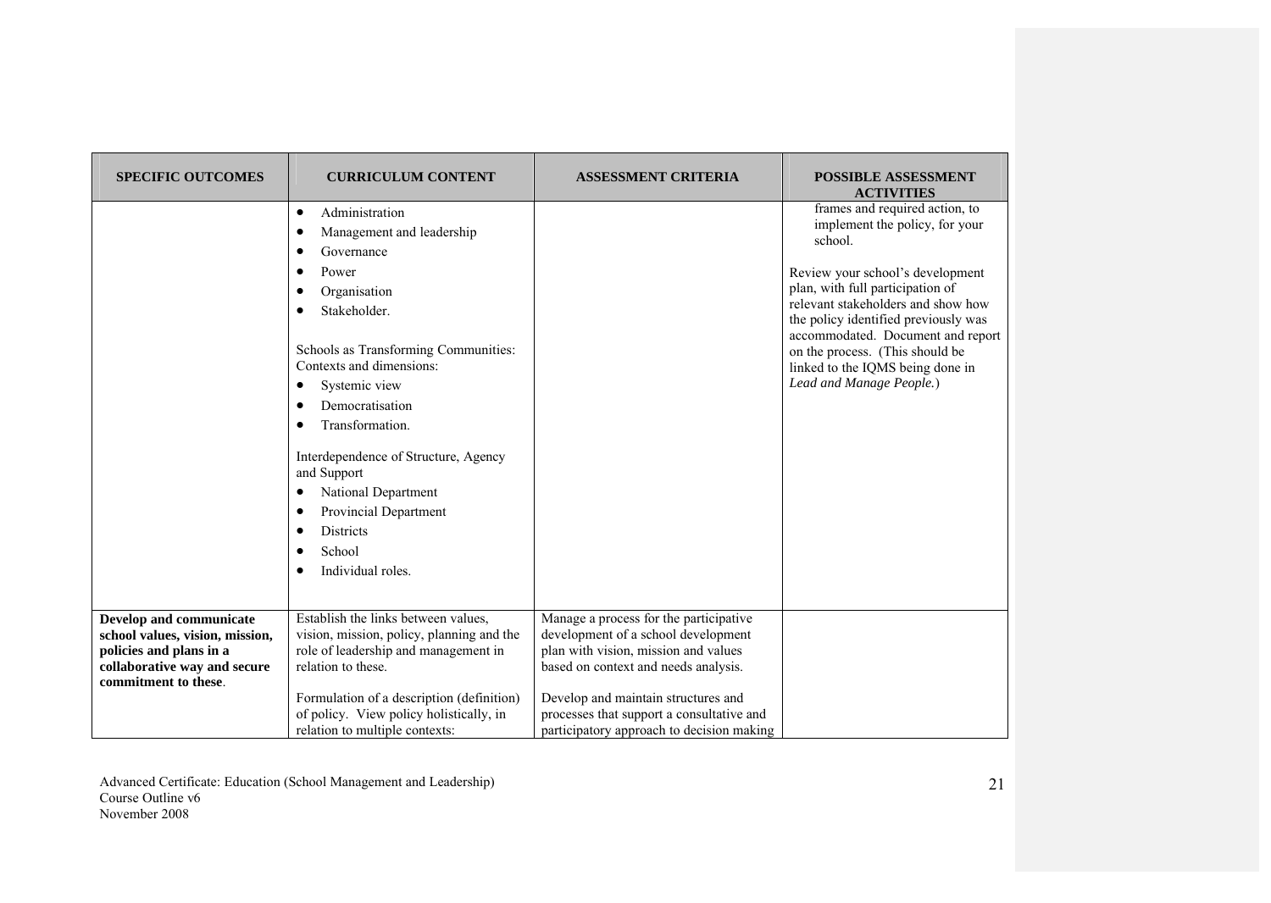| <b>SPECIFIC OUTCOMES</b>        | <b>CURRICULUM CONTENT</b>                                                            | <b>ASSESSMENT CRITERIA</b>                                                       | <b>POSSIBLE ASSESSMENT</b><br><b>ACTIVITIES</b>                           |
|---------------------------------|--------------------------------------------------------------------------------------|----------------------------------------------------------------------------------|---------------------------------------------------------------------------|
|                                 | Administration<br>$\bullet$                                                          |                                                                                  | frames and required action, to                                            |
|                                 | Management and leadership<br>٠                                                       |                                                                                  | implement the policy, for your<br>school.                                 |
|                                 | Governance<br>٠                                                                      |                                                                                  |                                                                           |
|                                 | Power                                                                                |                                                                                  | Review your school's development                                          |
|                                 | Organisation                                                                         |                                                                                  | plan, with full participation of                                          |
|                                 | Stakeholder.                                                                         |                                                                                  | relevant stakeholders and show how                                        |
|                                 |                                                                                      |                                                                                  | the policy identified previously was<br>accommodated. Document and report |
|                                 | Schools as Transforming Communities:                                                 |                                                                                  | on the process. (This should be                                           |
|                                 | Contexts and dimensions:                                                             |                                                                                  | linked to the IQMS being done in                                          |
|                                 | Systemic view<br>٠                                                                   |                                                                                  | Lead and Manage People.)                                                  |
|                                 | Democratisation                                                                      |                                                                                  |                                                                           |
|                                 | Transformation.                                                                      |                                                                                  |                                                                           |
|                                 | Interdependence of Structure, Agency<br>and Support                                  |                                                                                  |                                                                           |
|                                 | National Department                                                                  |                                                                                  |                                                                           |
|                                 | Provincial Department                                                                |                                                                                  |                                                                           |
|                                 | <b>Districts</b>                                                                     |                                                                                  |                                                                           |
|                                 | School                                                                               |                                                                                  |                                                                           |
|                                 | Individual roles.                                                                    |                                                                                  |                                                                           |
|                                 |                                                                                      |                                                                                  |                                                                           |
| Develop and communicate         | Establish the links between values,                                                  | Manage a process for the participative                                           |                                                                           |
| school values, vision, mission, | vision, mission, policy, planning and the                                            | development of a school development                                              |                                                                           |
| policies and plans in a         | role of leadership and management in                                                 | plan with vision, mission and values                                             |                                                                           |
| collaborative way and secure    | relation to these.                                                                   | based on context and needs analysis.                                             |                                                                           |
| commitment to these.            |                                                                                      |                                                                                  |                                                                           |
|                                 | Formulation of a description (definition)<br>of policy. View policy holistically, in | Develop and maintain structures and<br>processes that support a consultative and |                                                                           |
|                                 | relation to multiple contexts:                                                       | participatory approach to decision making                                        |                                                                           |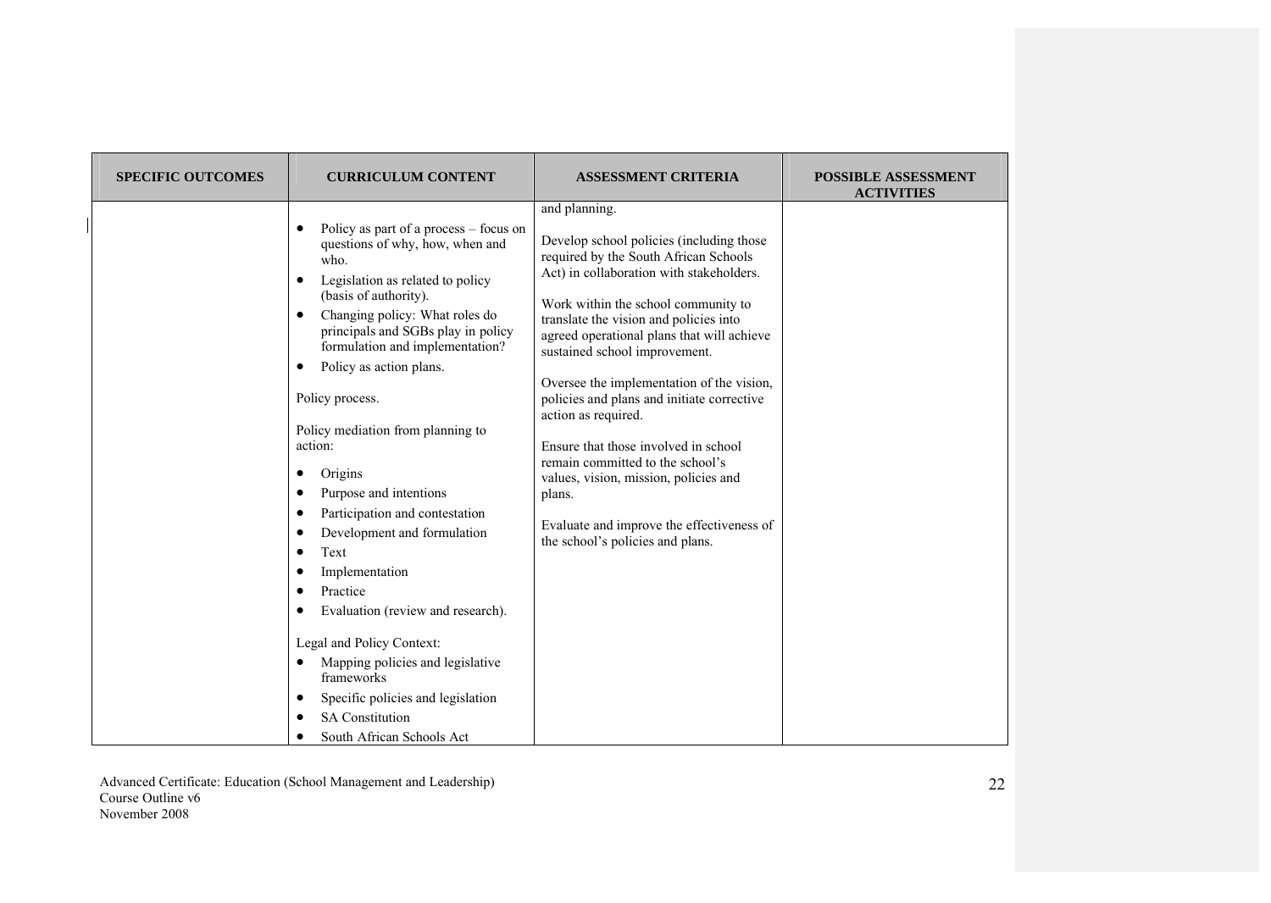| <b>SPECIFIC OUTCOMES</b> | <b>CURRICULUM CONTENT</b>                                                                                                                                                                                                                                                                                                                                                                                                                                                                                                                                                                                                                                                                                                                                   | <b>ASSESSMENT CRITERIA</b>                                                                                                                                                                                                                                                                                                                                                                                                                                                                                                                                                                                                                       | <b>POSSIBLE ASSESSMENT</b><br><b>ACTIVITIES</b> |
|--------------------------|-------------------------------------------------------------------------------------------------------------------------------------------------------------------------------------------------------------------------------------------------------------------------------------------------------------------------------------------------------------------------------------------------------------------------------------------------------------------------------------------------------------------------------------------------------------------------------------------------------------------------------------------------------------------------------------------------------------------------------------------------------------|--------------------------------------------------------------------------------------------------------------------------------------------------------------------------------------------------------------------------------------------------------------------------------------------------------------------------------------------------------------------------------------------------------------------------------------------------------------------------------------------------------------------------------------------------------------------------------------------------------------------------------------------------|-------------------------------------------------|
|                          | Policy as part of a process – focus on<br>٠<br>questions of why, how, when and<br>who.<br>Legislation as related to policy<br>٠<br>(basis of authority).<br>Changing policy: What roles do<br>٠<br>principals and SGBs play in policy<br>formulation and implementation?<br>Policy as action plans.<br>٠<br>Policy process.<br>Policy mediation from planning to<br>action:<br>Origins<br>Purpose and intentions<br>Participation and contestation<br>٠<br>Development and formulation<br>Text<br>٠<br>Implementation<br>Practice<br>٠<br>Evaluation (review and research).<br>Legal and Policy Context:<br>Mapping policies and legislative<br>٠<br>frameworks<br>Specific policies and legislation<br><b>SA Constitution</b><br>South African Schools Act | and planning.<br>Develop school policies (including those<br>required by the South African Schools<br>Act) in collaboration with stakeholders.<br>Work within the school community to<br>translate the vision and policies into<br>agreed operational plans that will achieve<br>sustained school improvement.<br>Oversee the implementation of the vision,<br>policies and plans and initiate corrective<br>action as required.<br>Ensure that those involved in school<br>remain committed to the school's<br>values, vision, mission, policies and<br>plans.<br>Evaluate and improve the effectiveness of<br>the school's policies and plans. |                                                 |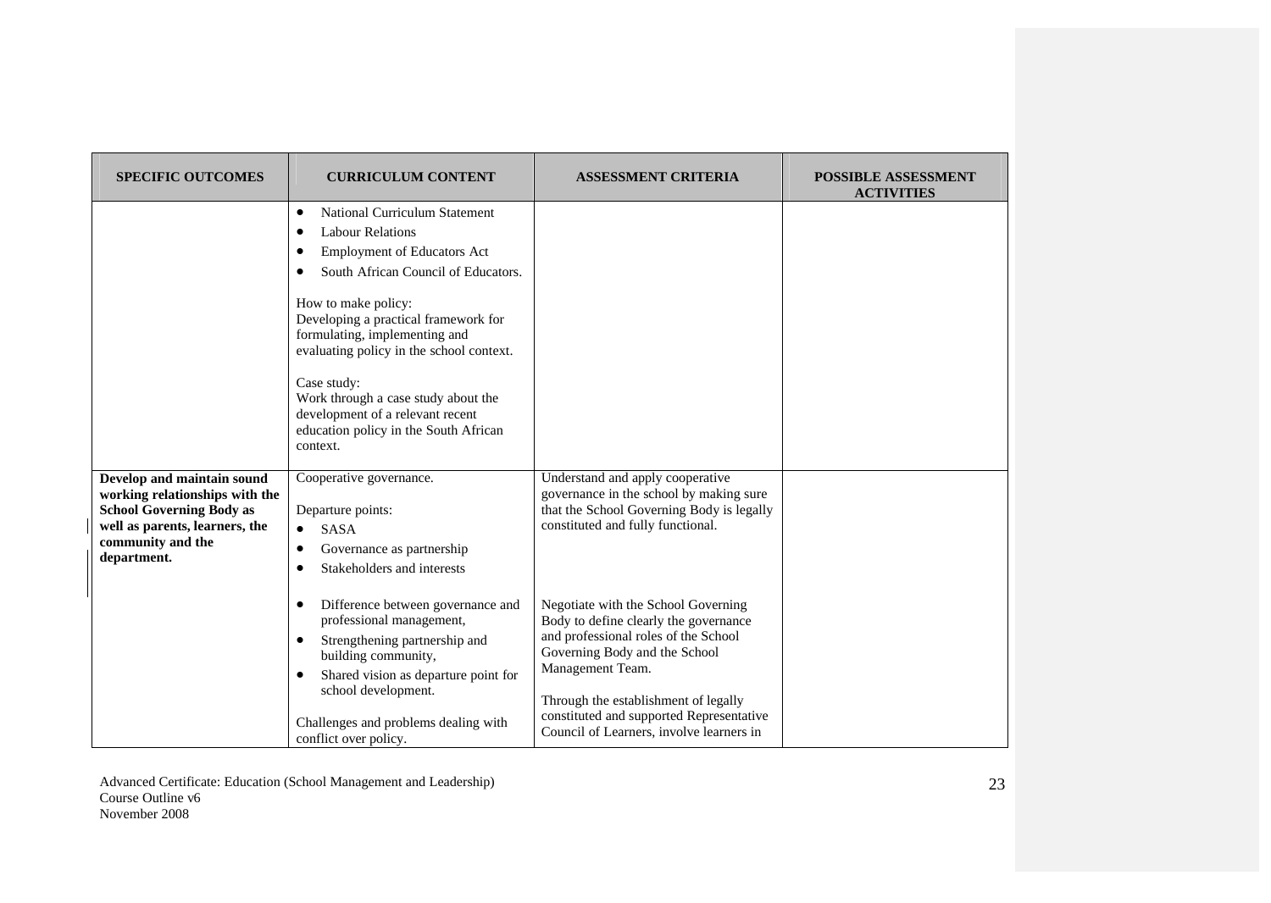| <b>SPECIFIC OUTCOMES</b>                                                                                                                                              | <b>CURRICULUM CONTENT</b>                                                                                                                                                                                                                                                                                                                                                                                                                                 | <b>ASSESSMENT CRITERIA</b>                                                                                                                                                                                                                                                                                                                                                         | <b>POSSIBLE ASSESSMENT</b><br><b>ACTIVITIES</b> |
|-----------------------------------------------------------------------------------------------------------------------------------------------------------------------|-----------------------------------------------------------------------------------------------------------------------------------------------------------------------------------------------------------------------------------------------------------------------------------------------------------------------------------------------------------------------------------------------------------------------------------------------------------|------------------------------------------------------------------------------------------------------------------------------------------------------------------------------------------------------------------------------------------------------------------------------------------------------------------------------------------------------------------------------------|-------------------------------------------------|
|                                                                                                                                                                       | <b>National Curriculum Statement</b><br>$\bullet$<br><b>Labour Relations</b><br>٠<br><b>Employment of Educators Act</b><br>South African Council of Educators.<br>How to make policy:<br>Developing a practical framework for<br>formulating, implementing and<br>evaluating policy in the school context.<br>Case study:<br>Work through a case study about the<br>development of a relevant recent<br>education policy in the South African<br>context. |                                                                                                                                                                                                                                                                                                                                                                                    |                                                 |
| Develop and maintain sound<br>working relationships with the<br><b>School Governing Body as</b><br>well as parents, learners, the<br>community and the<br>department. | Cooperative governance.<br>Departure points:<br><b>SASA</b><br>$\bullet$<br>Governance as partnership<br>٠<br>Stakeholders and interests<br>Difference between governance and<br>professional management,<br>Strengthening partnership and<br>٠<br>building community,<br>Shared vision as departure point for<br>school development.                                                                                                                     | Understand and apply cooperative<br>governance in the school by making sure<br>that the School Governing Body is legally<br>constituted and fully functional.<br>Negotiate with the School Governing<br>Body to define clearly the governance<br>and professional roles of the School<br>Governing Body and the School<br>Management Team.<br>Through the establishment of legally |                                                 |
|                                                                                                                                                                       | Challenges and problems dealing with<br>conflict over policy.                                                                                                                                                                                                                                                                                                                                                                                             | constituted and supported Representative<br>Council of Learners, involve learners in                                                                                                                                                                                                                                                                                               |                                                 |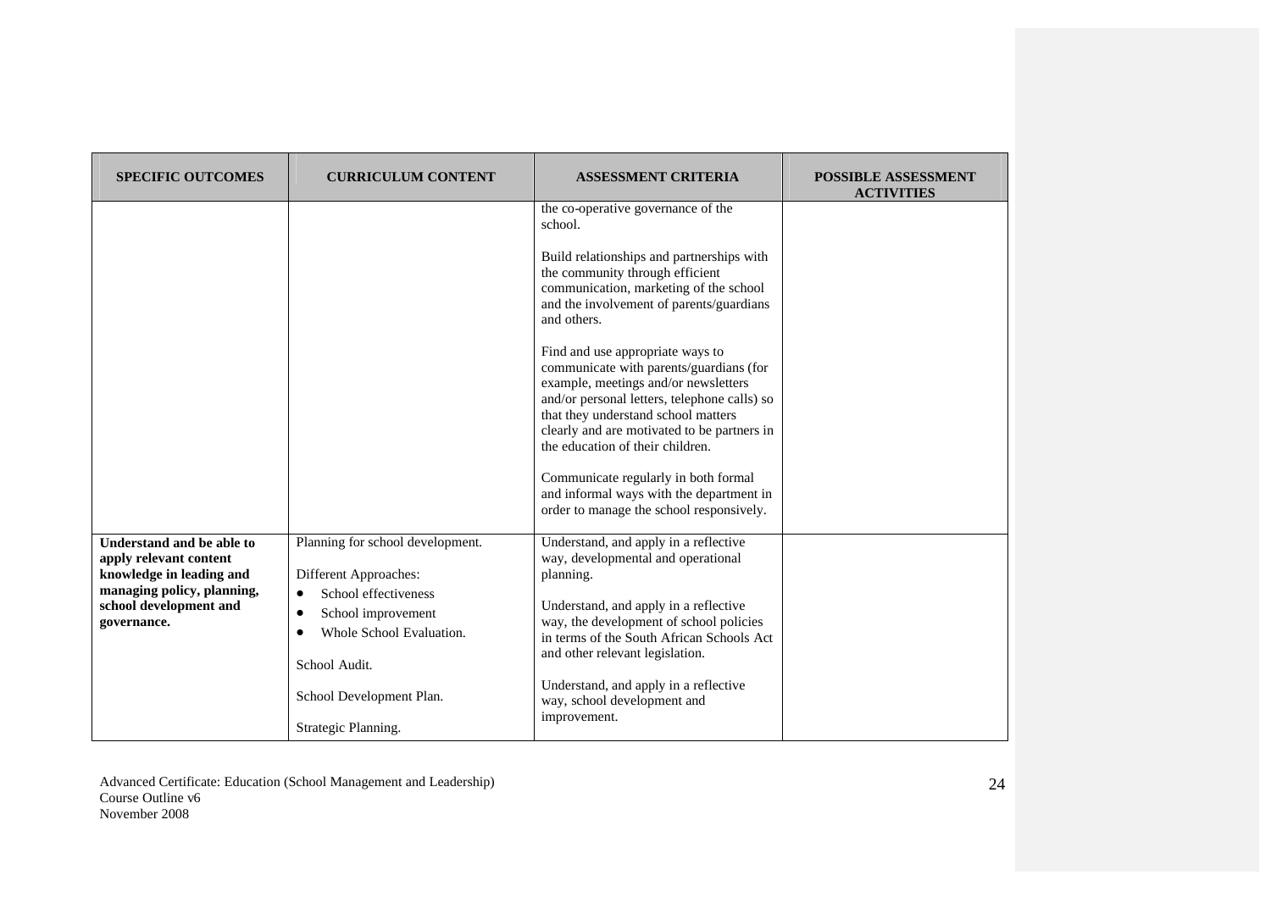| <b>SPECIFIC OUTCOMES</b>                                                                                                                               | <b>CURRICULUM CONTENT</b>                                                                                                                                                                                                         | <b>ASSESSMENT CRITERIA</b>                                                                                                                                                                                                                                                                                                                                                                                                                                                                                                                                                                                                                                          | <b>POSSIBLE ASSESSMENT</b><br><b>ACTIVITIES</b> |
|--------------------------------------------------------------------------------------------------------------------------------------------------------|-----------------------------------------------------------------------------------------------------------------------------------------------------------------------------------------------------------------------------------|---------------------------------------------------------------------------------------------------------------------------------------------------------------------------------------------------------------------------------------------------------------------------------------------------------------------------------------------------------------------------------------------------------------------------------------------------------------------------------------------------------------------------------------------------------------------------------------------------------------------------------------------------------------------|-------------------------------------------------|
|                                                                                                                                                        |                                                                                                                                                                                                                                   | the co-operative governance of the<br>school.<br>Build relationships and partnerships with<br>the community through efficient<br>communication, marketing of the school<br>and the involvement of parents/guardians<br>and others.<br>Find and use appropriate ways to<br>communicate with parents/guardians (for<br>example, meetings and/or newsletters<br>and/or personal letters, telephone calls) so<br>that they understand school matters<br>clearly and are motivated to be partners in<br>the education of their children.<br>Communicate regularly in both formal<br>and informal ways with the department in<br>order to manage the school responsively. |                                                 |
| Understand and be able to<br>apply relevant content<br>knowledge in leading and<br>managing policy, planning,<br>school development and<br>governance. | Planning for school development.<br>Different Approaches:<br>School effectiveness<br>$\bullet$<br>School improvement<br>$\bullet$<br>Whole School Evaluation.<br>School Audit.<br>School Development Plan.<br>Strategic Planning. | Understand, and apply in a reflective<br>way, developmental and operational<br>planning.<br>Understand, and apply in a reflective<br>way, the development of school policies<br>in terms of the South African Schools Act<br>and other relevant legislation.<br>Understand, and apply in a reflective<br>way, school development and<br>improvement.                                                                                                                                                                                                                                                                                                                |                                                 |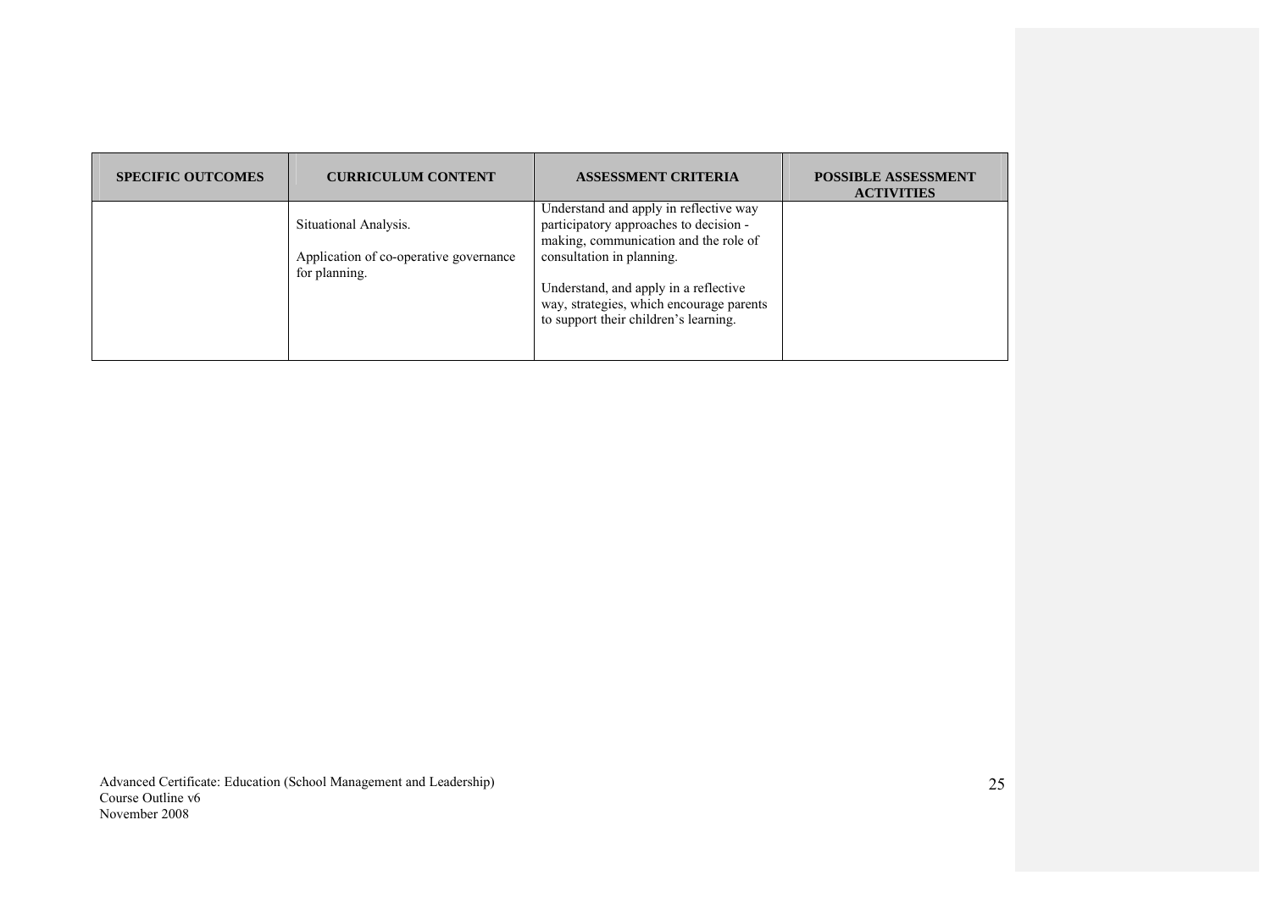| <b>SPECIFIC OUTCOMES</b> | <b>CURRICULUM CONTENT</b>                               | <b>ASSESSMENT CRITERIA</b>                                                                                                 | <b>POSSIBLE ASSESSMENT</b><br><b>ACTIVITIES</b> |
|--------------------------|---------------------------------------------------------|----------------------------------------------------------------------------------------------------------------------------|-------------------------------------------------|
|                          | Situational Analysis.                                   | Understand and apply in reflective way<br>participatory approaches to decision -<br>making, communication and the role of  |                                                 |
|                          | Application of co-operative governance<br>for planning. | consultation in planning.                                                                                                  |                                                 |
|                          |                                                         | Understand, and apply in a reflective<br>way, strategies, which encourage parents<br>to support their children's learning. |                                                 |
|                          |                                                         |                                                                                                                            |                                                 |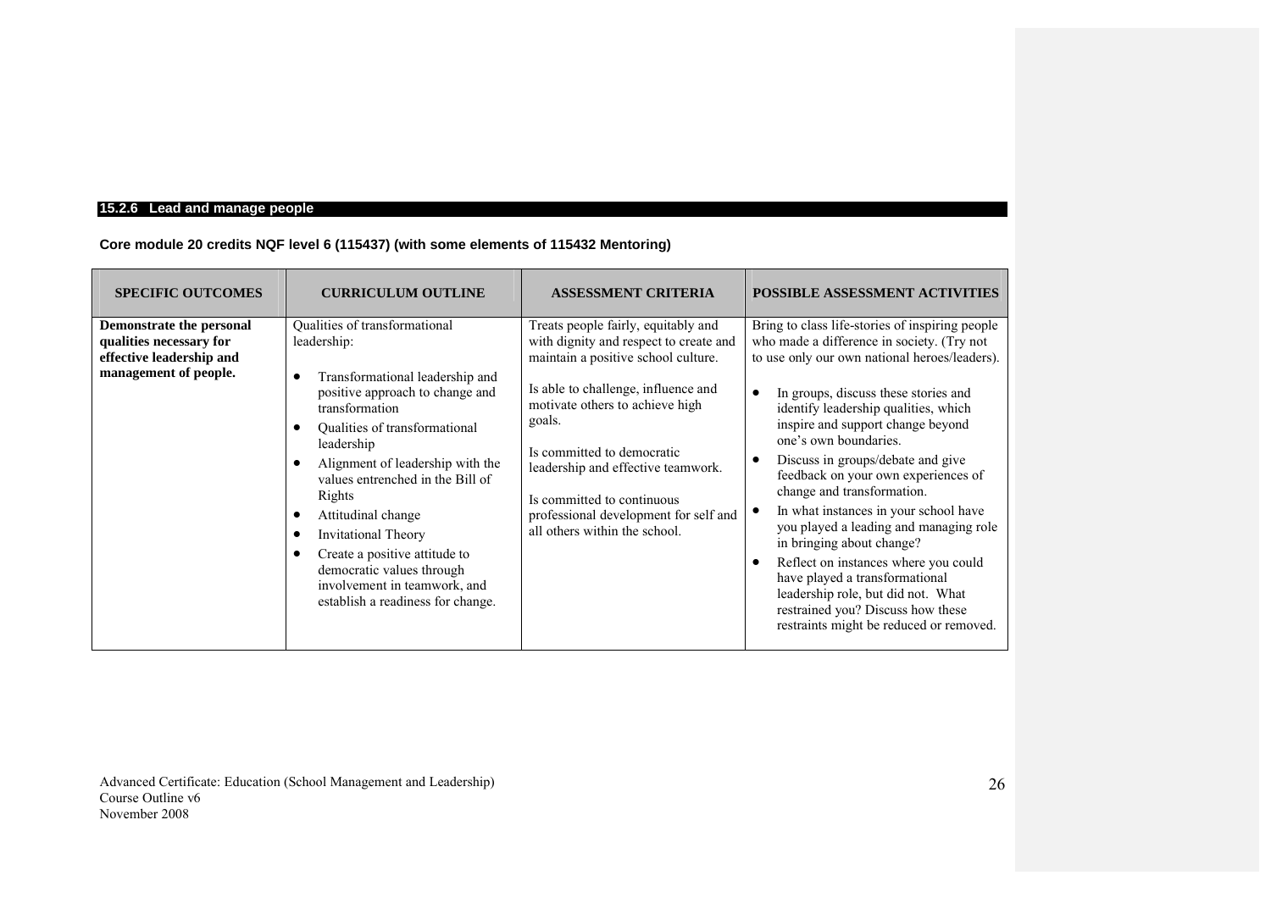# **15.2.6 Lead and manage people**

## **Core module 20 credits NQF level 6 (115437) (with some elements of 115432 Mentoring)**

| <b>SPECIFIC OUTCOMES</b>                                                                                 | <b>CURRICULUM OUTLINE</b>                                                                                                                                                                                                                                                                                                                                                                                                                                                                                 | <b>ASSESSMENT CRITERIA</b>                                                                                                                                                                                                                                                                                                                                                           | <b>POSSIBLE ASSESSMENT ACTIVITIES</b>                                                                                                                                                                                                                                                                                                                                                                                                                                                                                                                                                                                                                                                                                               |
|----------------------------------------------------------------------------------------------------------|-----------------------------------------------------------------------------------------------------------------------------------------------------------------------------------------------------------------------------------------------------------------------------------------------------------------------------------------------------------------------------------------------------------------------------------------------------------------------------------------------------------|--------------------------------------------------------------------------------------------------------------------------------------------------------------------------------------------------------------------------------------------------------------------------------------------------------------------------------------------------------------------------------------|-------------------------------------------------------------------------------------------------------------------------------------------------------------------------------------------------------------------------------------------------------------------------------------------------------------------------------------------------------------------------------------------------------------------------------------------------------------------------------------------------------------------------------------------------------------------------------------------------------------------------------------------------------------------------------------------------------------------------------------|
| Demonstrate the personal<br>qualities necessary for<br>effective leadership and<br>management of people. | Qualities of transformational<br>leadership:<br>Transformational leadership and<br>с<br>positive approach to change and<br>transformation<br>Qualities of transformational<br>$\bullet$<br>leadership<br>Alignment of leadership with the<br>values entrenched in the Bill of<br>Rights<br>Attitudinal change<br>$\bullet$<br><b>Invitational Theory</b><br>$\epsilon$<br>Create a positive attitude to<br>democratic values through<br>involvement in teamwork, and<br>establish a readiness for change. | Treats people fairly, equitably and<br>with dignity and respect to create and<br>maintain a positive school culture.<br>Is able to challenge, influence and<br>motivate others to achieve high<br>goals.<br>Is committed to democratic<br>leadership and effective teamwork.<br>Is committed to continuous<br>professional development for self and<br>all others within the school. | Bring to class life-stories of inspiring people<br>who made a difference in society. (Try not<br>to use only our own national heroes/leaders).<br>In groups, discuss these stories and<br>identify leadership qualities, which<br>inspire and support change beyond<br>one's own boundaries.<br>Discuss in groups/debate and give<br>feedback on your own experiences of<br>change and transformation.<br>In what instances in your school have<br>you played a leading and managing role<br>in bringing about change?<br>Reflect on instances where you could<br>$\bullet$<br>have played a transformational<br>leadership role, but did not. What<br>restrained you? Discuss how these<br>restraints might be reduced or removed. |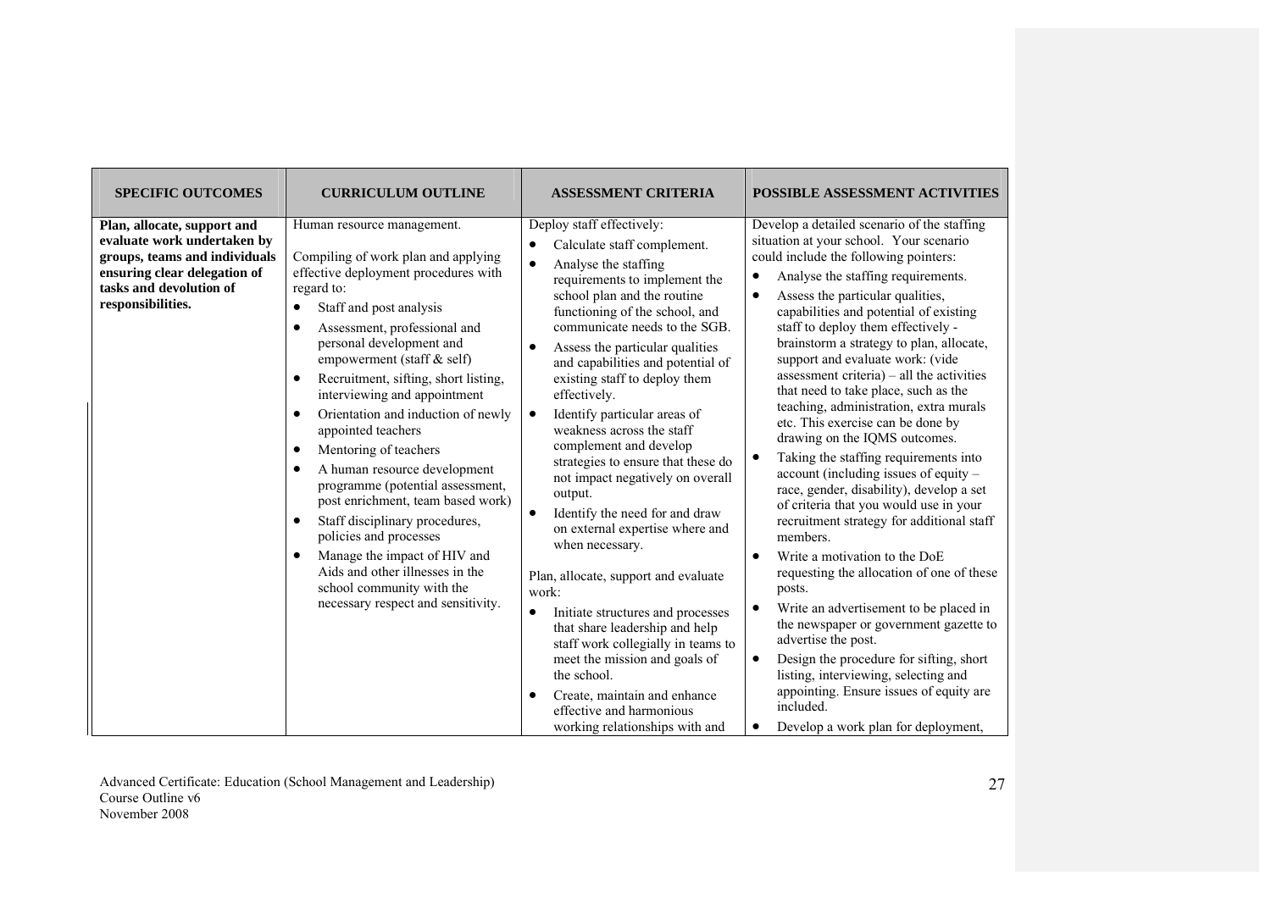| <b>SPECIFIC OUTCOMES</b>                                                                                                                                                    | <b>CURRICULUM OUTLINE</b>                                                                                                                                                                                                                                                                                                                                                                                                                                                                                                                                                                                                                                                                                                                                                                                                    | <b>ASSESSMENT CRITERIA</b>                                                                                                                                                                                                                                                                                                                                                                                                                                                                                                                                                                                                                                                                                                                                                                                                                                                                                                                                          | <b>POSSIBLE ASSESSMENT ACTIVITIES</b>                                                                                                                                                                                                                                                                                                                                                                                                                                                                                                                                                                                                                                                                                                                                                                                                                                                                                                                                                                                                                                                                                                                                                                                                                                                |
|-----------------------------------------------------------------------------------------------------------------------------------------------------------------------------|------------------------------------------------------------------------------------------------------------------------------------------------------------------------------------------------------------------------------------------------------------------------------------------------------------------------------------------------------------------------------------------------------------------------------------------------------------------------------------------------------------------------------------------------------------------------------------------------------------------------------------------------------------------------------------------------------------------------------------------------------------------------------------------------------------------------------|---------------------------------------------------------------------------------------------------------------------------------------------------------------------------------------------------------------------------------------------------------------------------------------------------------------------------------------------------------------------------------------------------------------------------------------------------------------------------------------------------------------------------------------------------------------------------------------------------------------------------------------------------------------------------------------------------------------------------------------------------------------------------------------------------------------------------------------------------------------------------------------------------------------------------------------------------------------------|--------------------------------------------------------------------------------------------------------------------------------------------------------------------------------------------------------------------------------------------------------------------------------------------------------------------------------------------------------------------------------------------------------------------------------------------------------------------------------------------------------------------------------------------------------------------------------------------------------------------------------------------------------------------------------------------------------------------------------------------------------------------------------------------------------------------------------------------------------------------------------------------------------------------------------------------------------------------------------------------------------------------------------------------------------------------------------------------------------------------------------------------------------------------------------------------------------------------------------------------------------------------------------------|
| Plan, allocate, support and<br>evaluate work undertaken by<br>groups, teams and individuals<br>ensuring clear delegation of<br>tasks and devolution of<br>responsibilities. | Human resource management.<br>Compiling of work plan and applying<br>effective deployment procedures with<br>regard to:<br>Staff and post analysis<br>$\bullet$<br>Assessment, professional and<br>$\bullet$<br>personal development and<br>empowerment (staff & self)<br>Recruitment, sifting, short listing,<br>$\bullet$<br>interviewing and appointment<br>Orientation and induction of newly<br>$\bullet$<br>appointed teachers<br>Mentoring of teachers<br>$\bullet$<br>A human resource development<br>$\bullet$<br>programme (potential assessment,<br>post enrichment, team based work)<br>Staff disciplinary procedures,<br>$\bullet$<br>policies and processes<br>Manage the impact of HIV and<br>$\bullet$<br>Aids and other illnesses in the<br>school community with the<br>necessary respect and sensitivity. | Deploy staff effectively:<br>Calculate staff complement.<br>Analyse the staffing<br>$\bullet$<br>requirements to implement the<br>school plan and the routine<br>functioning of the school, and<br>communicate needs to the SGB.<br>Assess the particular qualities<br>and capabilities and potential of<br>existing staff to deploy them<br>effectively.<br>Identify particular areas of<br>$\bullet$<br>weakness across the staff<br>complement and develop<br>strategies to ensure that these do<br>not impact negatively on overall<br>output.<br>Identify the need for and draw<br>$\bullet$<br>on external expertise where and<br>when necessary.<br>Plan, allocate, support and evaluate<br>work:<br>Initiate structures and processes<br>that share leadership and help<br>staff work collegially in teams to<br>meet the mission and goals of<br>the school.<br>Create, maintain and enhance<br>effective and harmonious<br>working relationships with and | Develop a detailed scenario of the staffing<br>situation at your school. Your scenario<br>could include the following pointers:<br>Analyse the staffing requirements.<br>$\bullet$<br>Assess the particular qualities,<br>$\bullet$<br>capabilities and potential of existing<br>staff to deploy them effectively -<br>brainstorm a strategy to plan, allocate,<br>support and evaluate work: (vide<br>assessment criteria) $-$ all the activities<br>that need to take place, such as the<br>teaching, administration, extra murals<br>etc. This exercise can be done by<br>drawing on the IQMS outcomes.<br>Taking the staffing requirements into<br>account (including issues of equity -<br>race, gender, disability), develop a set<br>of criteria that you would use in your<br>recruitment strategy for additional staff<br>members.<br>Write a motivation to the DoE<br>$\bullet$<br>requesting the allocation of one of these<br>posts.<br>Write an advertisement to be placed in<br>$\bullet$<br>the newspaper or government gazette to<br>advertise the post.<br>Design the procedure for sifting, short<br>$\bullet$<br>listing, interviewing, selecting and<br>appointing. Ensure issues of equity are<br>included.<br>Develop a work plan for deployment,<br>$\bullet$ |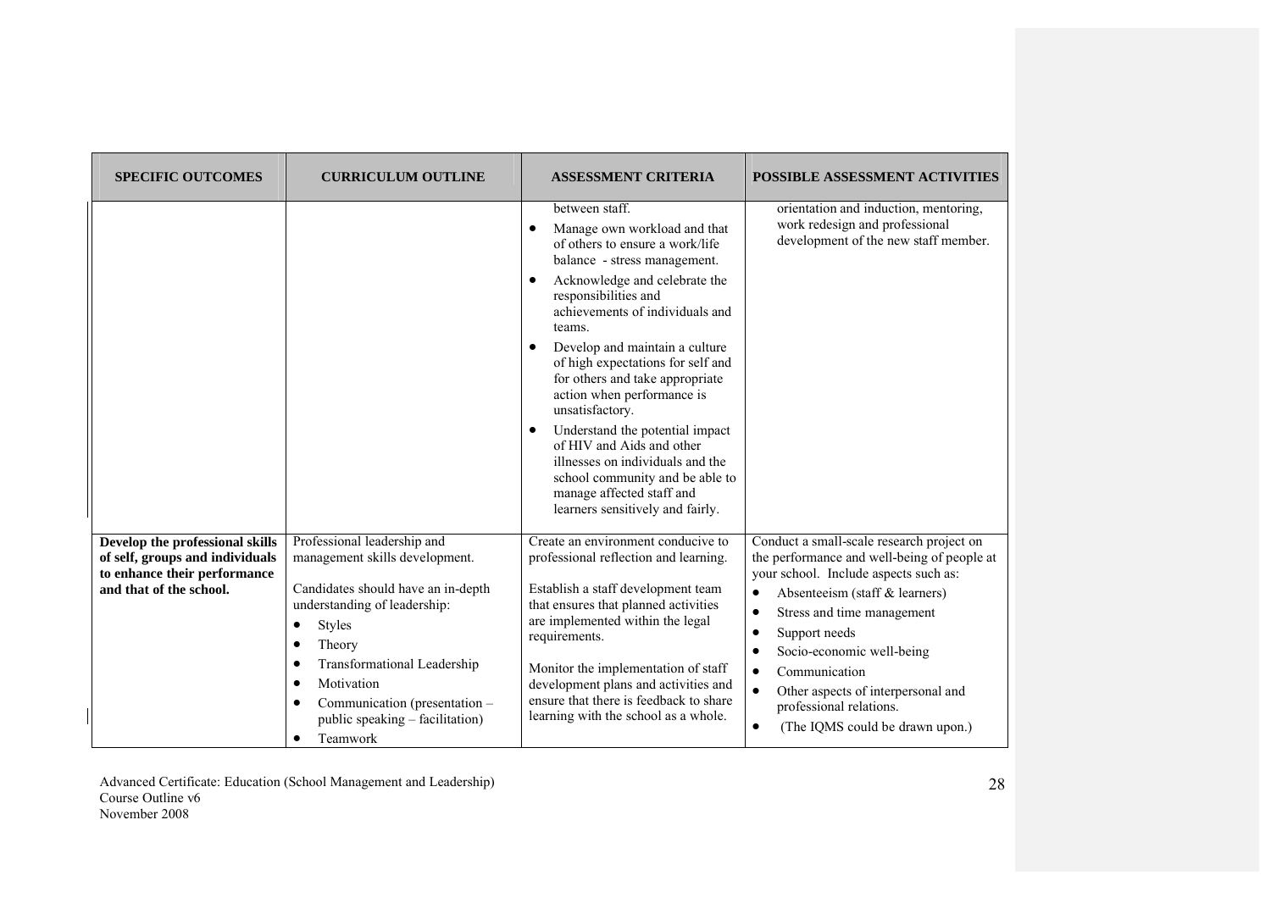| <b>SPECIFIC OUTCOMES</b>                                                                                                      | <b>CURRICULUM OUTLINE</b>                                                                                                                                                                                                                                                                                                                  | <b>ASSESSMENT CRITERIA</b>                                                                                                                                                                                                                                                                                                                                                                                                                                                                                                                                                                              | <b>POSSIBLE ASSESSMENT ACTIVITIES</b>                                                                                                                                                                                                                                                                                                                                                                                                           |
|-------------------------------------------------------------------------------------------------------------------------------|--------------------------------------------------------------------------------------------------------------------------------------------------------------------------------------------------------------------------------------------------------------------------------------------------------------------------------------------|---------------------------------------------------------------------------------------------------------------------------------------------------------------------------------------------------------------------------------------------------------------------------------------------------------------------------------------------------------------------------------------------------------------------------------------------------------------------------------------------------------------------------------------------------------------------------------------------------------|-------------------------------------------------------------------------------------------------------------------------------------------------------------------------------------------------------------------------------------------------------------------------------------------------------------------------------------------------------------------------------------------------------------------------------------------------|
|                                                                                                                               |                                                                                                                                                                                                                                                                                                                                            | between staff.<br>Manage own workload and that<br>$\bullet$<br>of others to ensure a work/life<br>balance - stress management.<br>Acknowledge and celebrate the<br>responsibilities and<br>achievements of individuals and<br>teams.<br>Develop and maintain a culture<br>of high expectations for self and<br>for others and take appropriate<br>action when performance is<br>unsatisfactory.<br>Understand the potential impact<br>of HIV and Aids and other<br>illnesses on individuals and the<br>school community and be able to<br>manage affected staff and<br>learners sensitively and fairly. | orientation and induction, mentoring,<br>work redesign and professional<br>development of the new staff member.                                                                                                                                                                                                                                                                                                                                 |
| Develop the professional skills<br>of self, groups and individuals<br>to enhance their performance<br>and that of the school. | Professional leadership and<br>management skills development.<br>Candidates should have an in-depth<br>understanding of leadership:<br>Styles<br>٠<br>Theory<br>$\bullet$<br>Transformational Leadership<br>$\bullet$<br>Motivation<br>$\bullet$<br>Communication (presentation -<br>٠<br>public speaking – facilitation)<br>Teamwork<br>٠ | Create an environment conducive to<br>professional reflection and learning.<br>Establish a staff development team<br>that ensures that planned activities<br>are implemented within the legal<br>requirements.<br>Monitor the implementation of staff<br>development plans and activities and<br>ensure that there is feedback to share<br>learning with the school as a whole.                                                                                                                                                                                                                         | Conduct a small-scale research project on<br>the performance and well-being of people at<br>your school. Include aspects such as:<br>Absenteeism (staff & learners)<br>٠<br>Stress and time management<br>$\bullet$<br>Support needs<br>٠<br>Socio-economic well-being<br>$\bullet$<br>Communication<br>$\bullet$<br>$\bullet$<br>Other aspects of interpersonal and<br>professional relations.<br>(The IQMS could be drawn upon.)<br>$\bullet$ |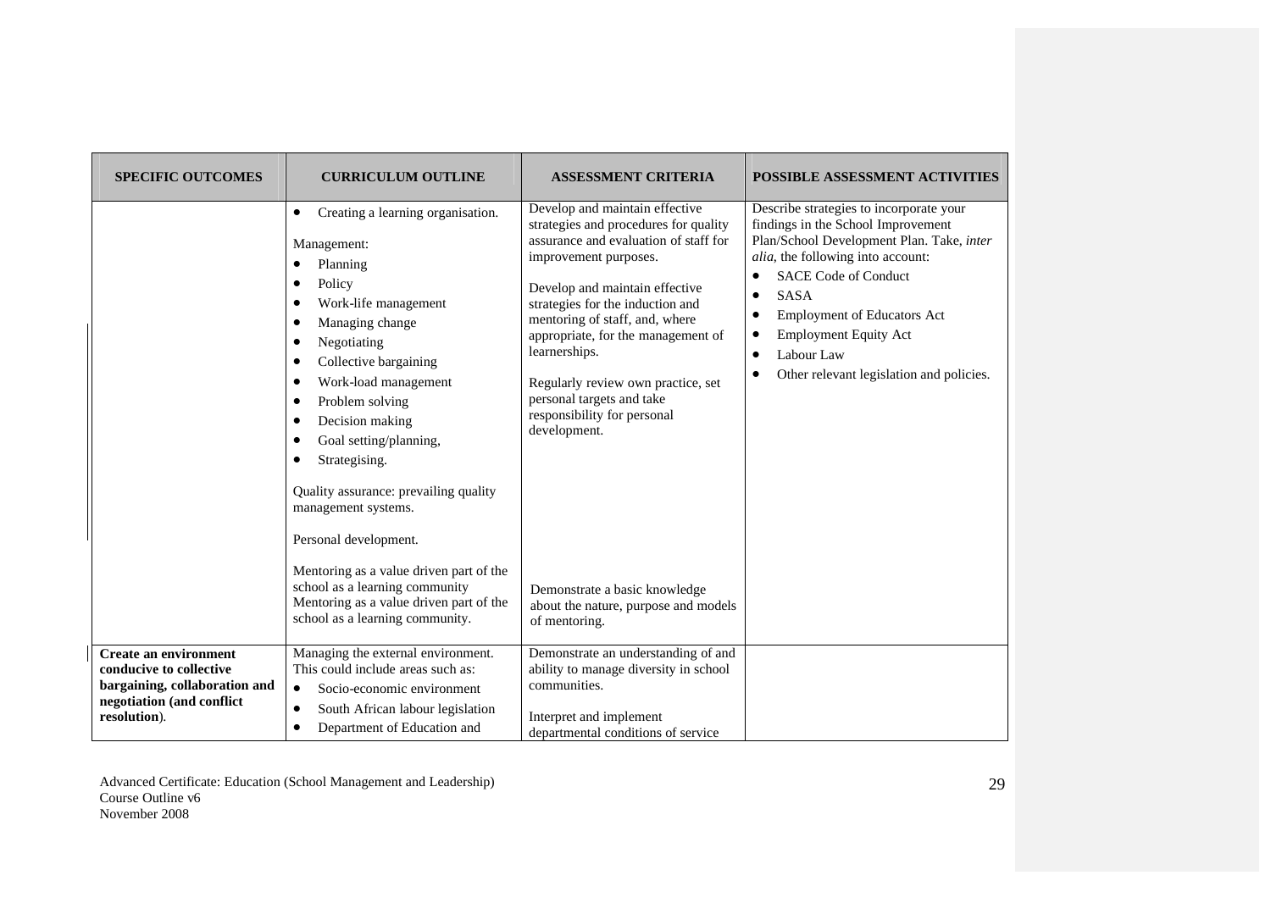| <b>SPECIFIC OUTCOMES</b>                                                                              | <b>CURRICULUM OUTLINE</b>                                                                                                                                                                                                                                                                                                                                        | <b>ASSESSMENT CRITERIA</b>                                                                                                                                                                                                                                                                                                                                                                                                 | <b>POSSIBLE ASSESSMENT ACTIVITIES</b>                                                                                                                                                                                                                                                                                                                                   |
|-------------------------------------------------------------------------------------------------------|------------------------------------------------------------------------------------------------------------------------------------------------------------------------------------------------------------------------------------------------------------------------------------------------------------------------------------------------------------------|----------------------------------------------------------------------------------------------------------------------------------------------------------------------------------------------------------------------------------------------------------------------------------------------------------------------------------------------------------------------------------------------------------------------------|-------------------------------------------------------------------------------------------------------------------------------------------------------------------------------------------------------------------------------------------------------------------------------------------------------------------------------------------------------------------------|
|                                                                                                       | Creating a learning organisation.<br>٠<br>Management:<br>Planning<br>Policy<br>Work-life management<br>Managing change<br>Negotiating<br>Collective bargaining<br>Work-load management<br>Problem solving<br>Decision making<br>Goal setting/planning,<br>Strategising.<br>Quality assurance: prevailing quality<br>management systems.<br>Personal development. | Develop and maintain effective<br>strategies and procedures for quality<br>assurance and evaluation of staff for<br>improvement purposes.<br>Develop and maintain effective<br>strategies for the induction and<br>mentoring of staff, and, where<br>appropriate, for the management of<br>learnerships.<br>Regularly review own practice, set<br>personal targets and take<br>responsibility for personal<br>development. | Describe strategies to incorporate your<br>findings in the School Improvement<br>Plan/School Development Plan. Take, inter<br>alia, the following into account:<br><b>SACE Code of Conduct</b><br>٠<br><b>SASA</b><br>$\bullet$<br>Employment of Educators Act<br>٠<br><b>Employment Equity Act</b><br>٠<br>Labour Law<br>٠<br>Other relevant legislation and policies. |
| <b>Create an environment</b>                                                                          | Mentoring as a value driven part of the<br>school as a learning community<br>Mentoring as a value driven part of the<br>school as a learning community.<br>Managing the external environment.                                                                                                                                                                    | Demonstrate a basic knowledge<br>about the nature, purpose and models<br>of mentoring.<br>Demonstrate an understanding of and                                                                                                                                                                                                                                                                                              |                                                                                                                                                                                                                                                                                                                                                                         |
| conducive to collective<br>bargaining, collaboration and<br>negotiation (and conflict<br>resolution). | This could include areas such as:<br>Socio-economic environment<br>$\bullet$<br>South African labour legislation<br>$\bullet$<br>Department of Education and<br>$\bullet$                                                                                                                                                                                        | ability to manage diversity in school<br>communities.<br>Interpret and implement<br>departmental conditions of service                                                                                                                                                                                                                                                                                                     |                                                                                                                                                                                                                                                                                                                                                                         |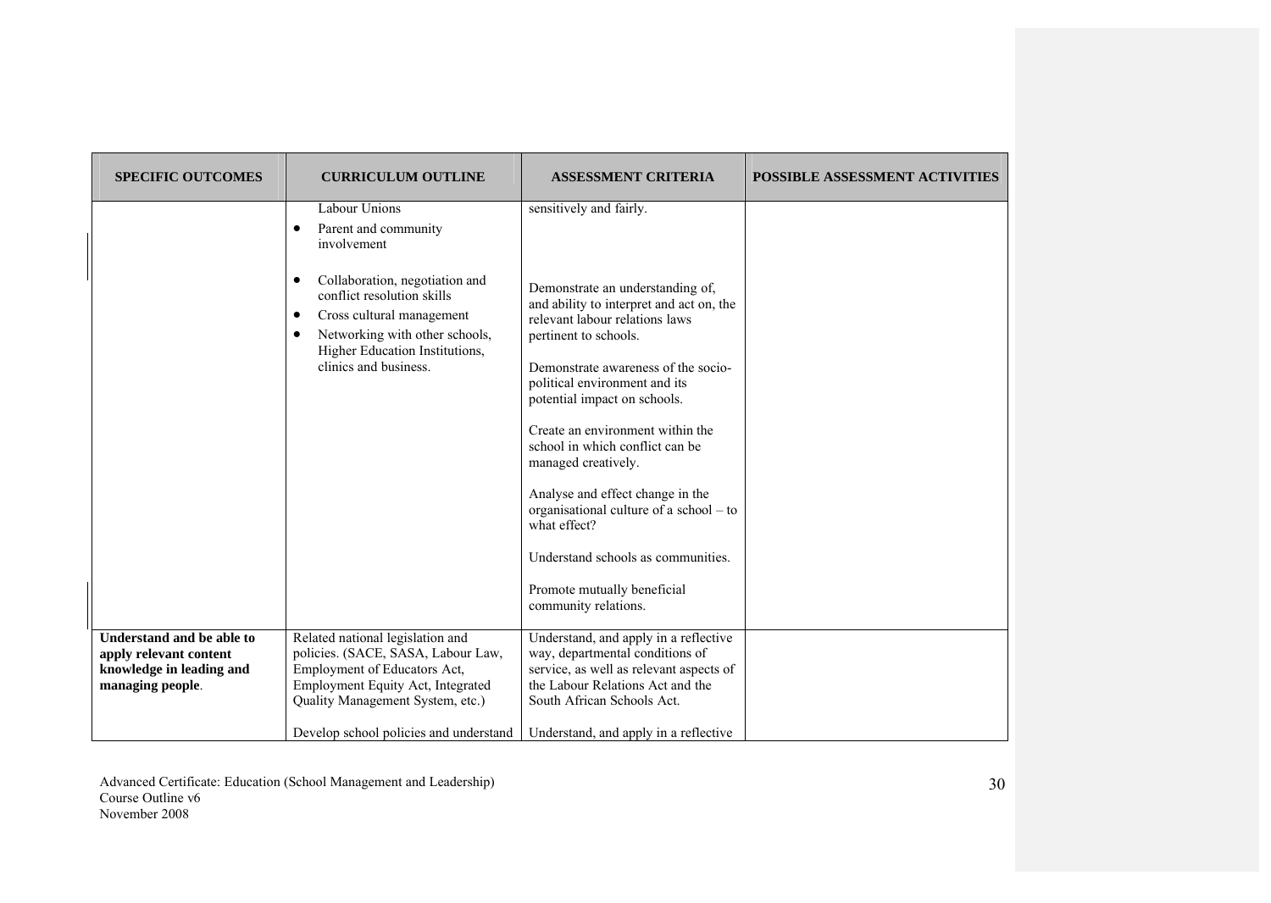| <b>SPECIFIC OUTCOMES</b>                                                                            | <b>CURRICULUM OUTLINE</b>                                                                                                                                                                                                                                        | <b>ASSESSMENT CRITERIA</b>                                                                                                                                                                                                                                                                                                                                                                                                                                                                                                                                           | <b>POSSIBLE ASSESSMENT ACTIVITIES</b> |
|-----------------------------------------------------------------------------------------------------|------------------------------------------------------------------------------------------------------------------------------------------------------------------------------------------------------------------------------------------------------------------|----------------------------------------------------------------------------------------------------------------------------------------------------------------------------------------------------------------------------------------------------------------------------------------------------------------------------------------------------------------------------------------------------------------------------------------------------------------------------------------------------------------------------------------------------------------------|---------------------------------------|
|                                                                                                     | Labour Unions<br>Parent and community<br>$\bullet$<br>involvement<br>Collaboration, negotiation and<br>conflict resolution skills<br>Cross cultural management<br>٠<br>Networking with other schools,<br>Higher Education Institutions,<br>clinics and business. | sensitively and fairly.<br>Demonstrate an understanding of,<br>and ability to interpret and act on, the<br>relevant labour relations laws<br>pertinent to schools.<br>Demonstrate awareness of the socio-<br>political environment and its<br>potential impact on schools.<br>Create an environment within the<br>school in which conflict can be<br>managed creatively.<br>Analyse and effect change in the<br>organisational culture of a school – to<br>what effect?<br>Understand schools as communities.<br>Promote mutually beneficial<br>community relations. |                                       |
| Understand and be able to<br>apply relevant content<br>knowledge in leading and<br>managing people. | Related national legislation and<br>policies. (SACE, SASA, Labour Law,<br>Employment of Educators Act,<br>Employment Equity Act, Integrated<br>Quality Management System, etc.)<br>Develop school policies and understand                                        | Understand, and apply in a reflective<br>way, departmental conditions of<br>service, as well as relevant aspects of<br>the Labour Relations Act and the<br>South African Schools Act.<br>Understand, and apply in a reflective                                                                                                                                                                                                                                                                                                                                       |                                       |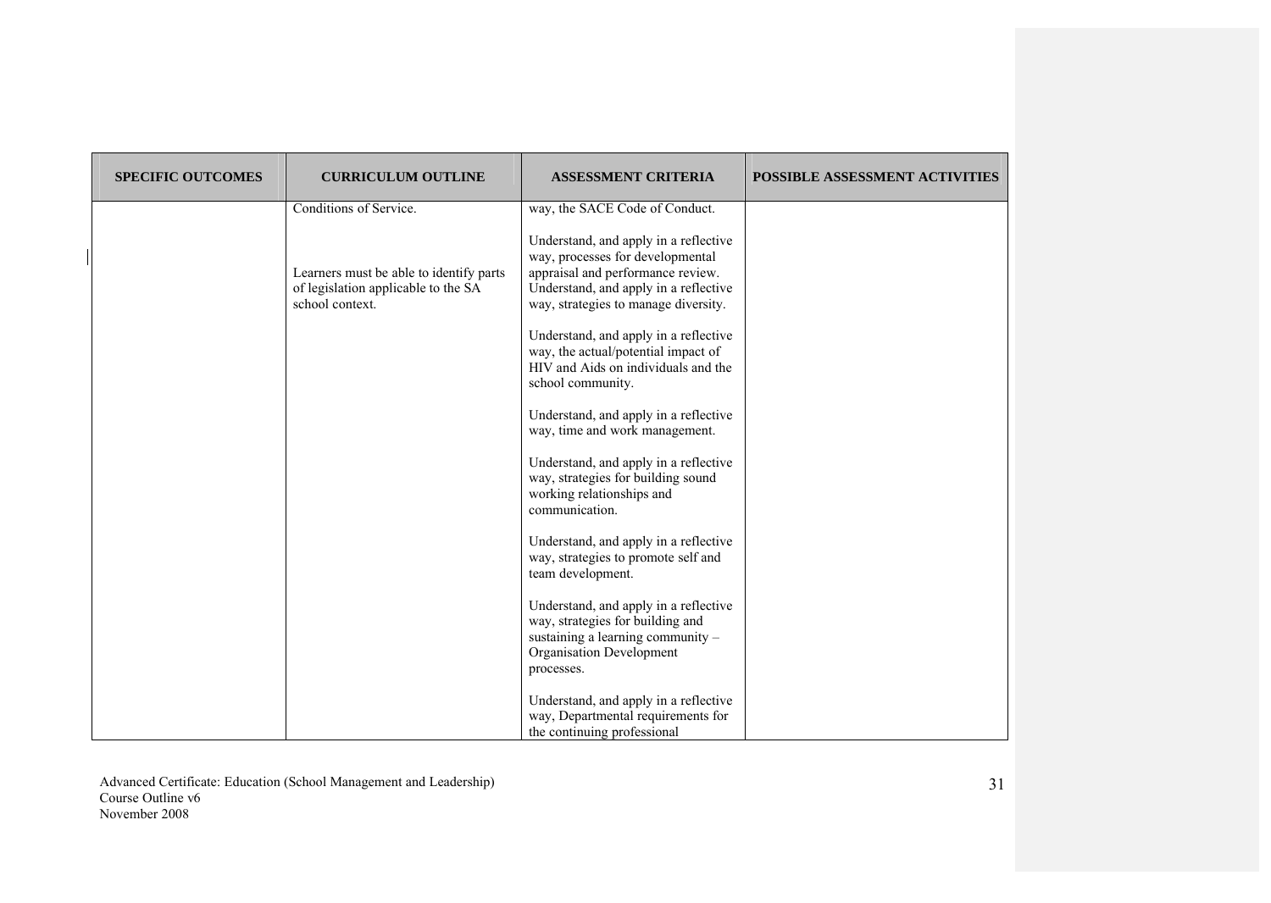| <b>SPECIFIC OUTCOMES</b> | <b>CURRICULUM OUTLINE</b>                                                                         | <b>ASSESSMENT CRITERIA</b>                                                                                                                                                                      | <b>POSSIBLE ASSESSMENT ACTIVITIES</b> |
|--------------------------|---------------------------------------------------------------------------------------------------|-------------------------------------------------------------------------------------------------------------------------------------------------------------------------------------------------|---------------------------------------|
|                          | Conditions of Service.                                                                            | way, the SACE Code of Conduct.                                                                                                                                                                  |                                       |
|                          | Learners must be able to identify parts<br>of legislation applicable to the SA<br>school context. | Understand, and apply in a reflective<br>way, processes for developmental<br>appraisal and performance review.<br>Understand, and apply in a reflective<br>way, strategies to manage diversity. |                                       |
|                          |                                                                                                   | Understand, and apply in a reflective<br>way, the actual/potential impact of<br>HIV and Aids on individuals and the<br>school community.                                                        |                                       |
|                          |                                                                                                   | Understand, and apply in a reflective<br>way, time and work management.                                                                                                                         |                                       |
|                          |                                                                                                   | Understand, and apply in a reflective<br>way, strategies for building sound<br>working relationships and<br>communication.                                                                      |                                       |
|                          |                                                                                                   | Understand, and apply in a reflective<br>way, strategies to promote self and<br>team development.                                                                                               |                                       |
|                          |                                                                                                   | Understand, and apply in a reflective<br>way, strategies for building and<br>sustaining a learning community $-$<br>Organisation Development<br>processes.                                      |                                       |
|                          |                                                                                                   | Understand, and apply in a reflective<br>way, Departmental requirements for<br>the continuing professional                                                                                      |                                       |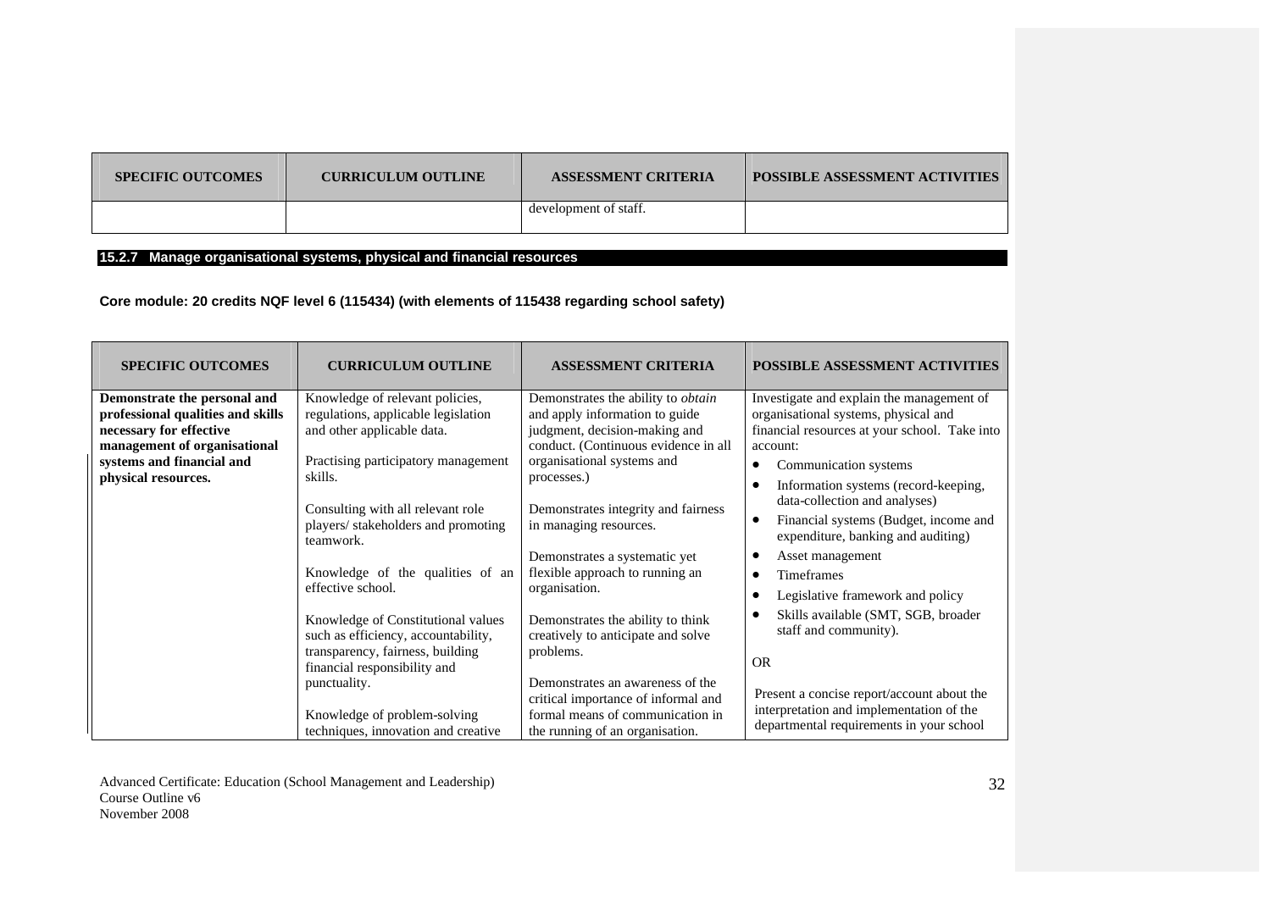| <b>SPECIFIC OUTCOMES</b> | <b>CURRICULUM OUTLINE</b> | <b>ASSESSMENT CRITERIA</b> | <b>POSSIBLE ASSESSMENT ACTIVITIES</b> |
|--------------------------|---------------------------|----------------------------|---------------------------------------|
|                          |                           | development of staff.      |                                       |

## **15.2.7 Manage organisational systems, physical and financial resources**

# **Core module: 20 credits NQF level 6 (115434) (with elements of 115438 regarding school safety)**

| <b>SPECIFIC OUTCOMES</b>          | <b>CURRICULUM OUTLINE</b>                                                 | <b>ASSESSMENT CRITERIA</b>                                                                                  | <b>POSSIBLE ASSESSMENT ACTIVITIES</b>                                                    |
|-----------------------------------|---------------------------------------------------------------------------|-------------------------------------------------------------------------------------------------------------|------------------------------------------------------------------------------------------|
| Demonstrate the personal and      | Knowledge of relevant policies,                                           | Demonstrates the ability to <i>obtain</i>                                                                   | Investigate and explain the management of                                                |
| professional qualities and skills | regulations, applicable legislation                                       | and apply information to guide                                                                              | organisational systems, physical and                                                     |
| necessary for effective           | and other applicable data.                                                | judgment, decision-making and                                                                               | financial resources at your school. Take into                                            |
| management of organisational      |                                                                           | conduct. (Continuous evidence in all                                                                        | account:                                                                                 |
| systems and financial and         | Practising participatory management                                       | organisational systems and                                                                                  | Communication systems<br>$\bullet$                                                       |
| physical resources.               | skills.<br>Consulting with all relevant role                              | processes.)<br>Demonstrates integrity and fairness                                                          | Information systems (record-keeping,<br>٠<br>data-collection and analyses)               |
|                                   | players/ stakeholders and promoting<br>teamwork.                          | in managing resources.                                                                                      | Financial systems (Budget, income and<br>$\bullet$<br>expenditure, banking and auditing) |
|                                   |                                                                           | Demonstrates a systematic yet                                                                               | Asset management<br>$\bullet$                                                            |
|                                   | Knowledge of the qualities of an                                          | flexible approach to running an                                                                             | <b>Timeframes</b><br>$\bullet$                                                           |
|                                   | effective school.                                                         | organisation.                                                                                               | Legislative framework and policy<br>$\bullet$                                            |
|                                   | Knowledge of Constitutional values<br>such as efficiency, accountability, | Demonstrates the ability to think<br>creatively to anticipate and solve                                     | Skills available (SMT, SGB, broader<br>$\bullet$<br>staff and community).                |
|                                   | transparency, fairness, building<br>financial responsibility and          | problems.                                                                                                   | <b>OR</b>                                                                                |
|                                   | punctuality.<br>Knowledge of problem-solving                              | Demonstrates an awareness of the<br>critical importance of informal and<br>formal means of communication in | Present a concise report/account about the<br>interpretation and implementation of the   |
|                                   | techniques, innovation and creative                                       | the running of an organisation.                                                                             | departmental requirements in your school                                                 |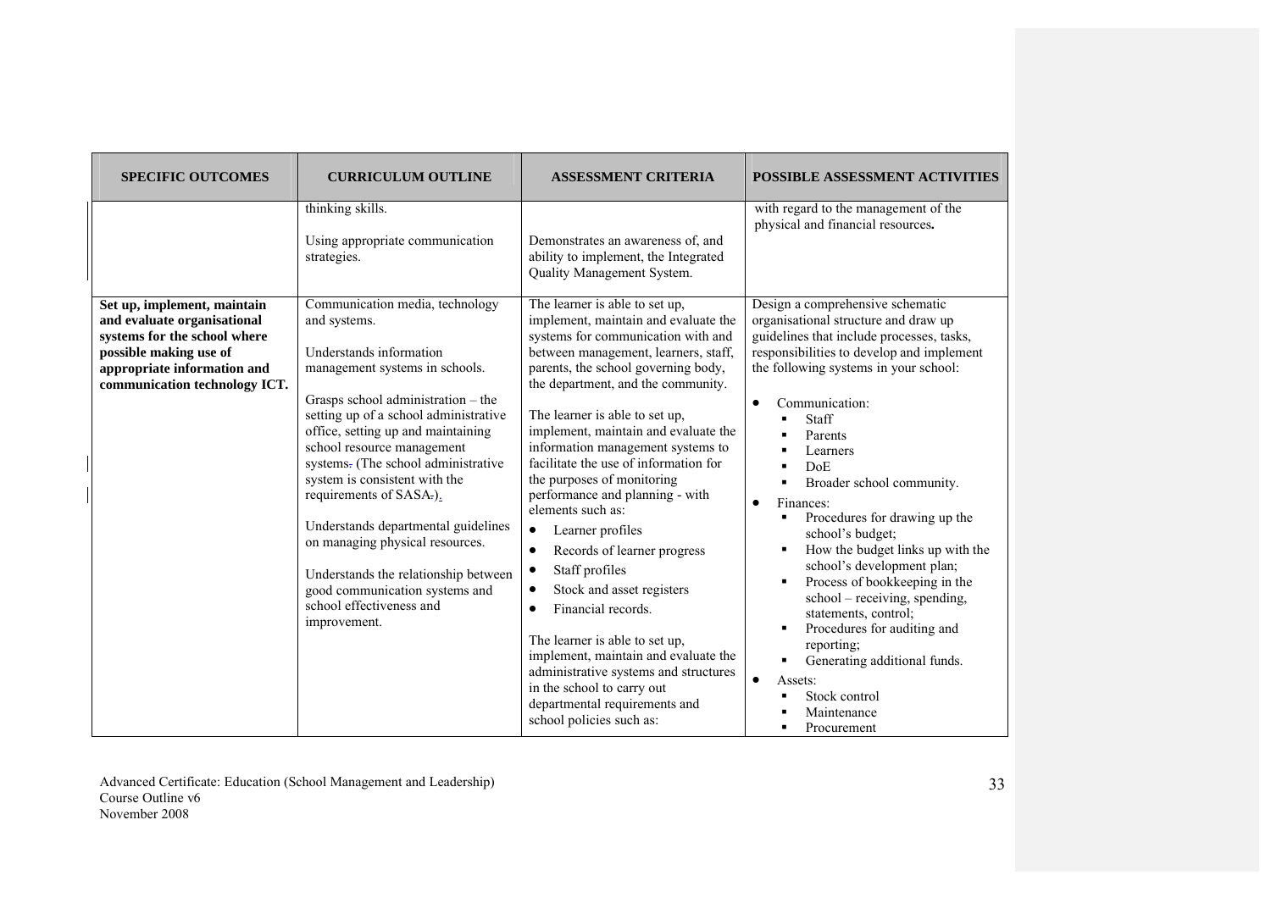| <b>SPECIFIC OUTCOMES</b>                                                                                                                                                             | <b>CURRICULUM OUTLINE</b>                                                                                                                                                                                                                                                                                                                                                                                                                                                                                                                                          | <b>ASSESSMENT CRITERIA</b>                                                                                                                                                                                                                                                                                                                                                                                                                                                                                                                                                                                                                                                                                                                                                                                                                                     | <b>POSSIBLE ASSESSMENT ACTIVITIES</b>                                                                                                                                                                                                                                                                                                                                                                                                                                                                                                                                                                                                                                                                                                         |
|--------------------------------------------------------------------------------------------------------------------------------------------------------------------------------------|--------------------------------------------------------------------------------------------------------------------------------------------------------------------------------------------------------------------------------------------------------------------------------------------------------------------------------------------------------------------------------------------------------------------------------------------------------------------------------------------------------------------------------------------------------------------|----------------------------------------------------------------------------------------------------------------------------------------------------------------------------------------------------------------------------------------------------------------------------------------------------------------------------------------------------------------------------------------------------------------------------------------------------------------------------------------------------------------------------------------------------------------------------------------------------------------------------------------------------------------------------------------------------------------------------------------------------------------------------------------------------------------------------------------------------------------|-----------------------------------------------------------------------------------------------------------------------------------------------------------------------------------------------------------------------------------------------------------------------------------------------------------------------------------------------------------------------------------------------------------------------------------------------------------------------------------------------------------------------------------------------------------------------------------------------------------------------------------------------------------------------------------------------------------------------------------------------|
|                                                                                                                                                                                      | thinking skills.<br>Using appropriate communication<br>strategies.                                                                                                                                                                                                                                                                                                                                                                                                                                                                                                 | Demonstrates an awareness of, and<br>ability to implement, the Integrated<br>Quality Management System.                                                                                                                                                                                                                                                                                                                                                                                                                                                                                                                                                                                                                                                                                                                                                        | with regard to the management of the<br>physical and financial resources.                                                                                                                                                                                                                                                                                                                                                                                                                                                                                                                                                                                                                                                                     |
| Set up, implement, maintain<br>and evaluate organisational<br>systems for the school where<br>possible making use of<br>appropriate information and<br>communication technology ICT. | Communication media, technology<br>and systems.<br>Understands information<br>management systems in schools.<br>Grasps school administration - the<br>setting up of a school administrative<br>office, setting up and maintaining<br>school resource management<br>systems- (The school administrative<br>system is consistent with the<br>requirements of SASA-).<br>Understands departmental guidelines<br>on managing physical resources.<br>Understands the relationship between<br>good communication systems and<br>school effectiveness and<br>improvement. | The learner is able to set up,<br>implement, maintain and evaluate the<br>systems for communication with and<br>between management, learners, staff,<br>parents, the school governing body,<br>the department, and the community.<br>The learner is able to set up,<br>implement, maintain and evaluate the<br>information management systems to<br>facilitate the use of information for<br>the purposes of monitoring<br>performance and planning - with<br>elements such as:<br>Learner profiles<br>٠<br>Records of learner progress<br>$\bullet$<br>Staff profiles<br>٠<br>Stock and asset registers<br>$\bullet$<br>Financial records.<br>٠<br>The learner is able to set up,<br>implement, maintain and evaluate the<br>administrative systems and structures<br>in the school to carry out<br>departmental requirements and<br>school policies such as: | Design a comprehensive schematic<br>organisational structure and draw up<br>guidelines that include processes, tasks,<br>responsibilities to develop and implement<br>the following systems in your school:<br>Communication:<br>$\bullet$<br>Staff<br>Parents<br>Learners<br><b>DoE</b><br>٠<br>Broader school community.<br>Finances:<br>$\bullet$<br>Procedures for drawing up the<br>school's budget;<br>How the budget links up with the<br>٠<br>school's development plan;<br>Process of bookkeeping in the<br>٠<br>school – receiving, spending,<br>statements, control;<br>Procedures for auditing and<br>٠<br>reporting;<br>Generating additional funds.<br>$\bullet$<br>Assets:<br>Stock control<br>п<br>Maintenance<br>Procurement |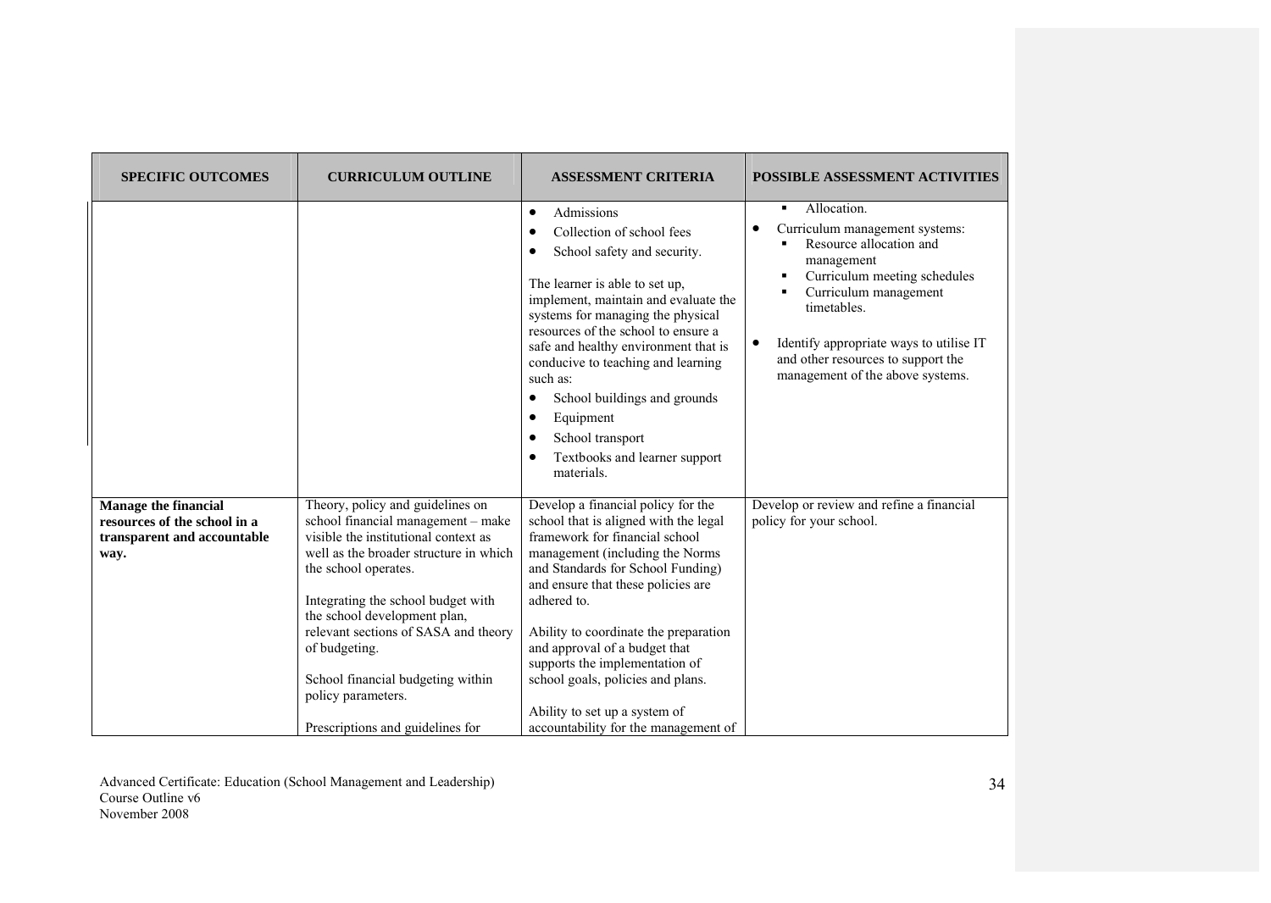| <b>SPECIFIC OUTCOMES</b>                                                                           | <b>CURRICULUM OUTLINE</b>                                                                                                                                                                                                                                                                                                                                                                                      | <b>ASSESSMENT CRITERIA</b>                                                                                                                                                                                                                                                                                                                                                                                                                                            | <b>POSSIBLE ASSESSMENT ACTIVITIES</b>                                                                                                                                                                                                                                                                                             |
|----------------------------------------------------------------------------------------------------|----------------------------------------------------------------------------------------------------------------------------------------------------------------------------------------------------------------------------------------------------------------------------------------------------------------------------------------------------------------------------------------------------------------|-----------------------------------------------------------------------------------------------------------------------------------------------------------------------------------------------------------------------------------------------------------------------------------------------------------------------------------------------------------------------------------------------------------------------------------------------------------------------|-----------------------------------------------------------------------------------------------------------------------------------------------------------------------------------------------------------------------------------------------------------------------------------------------------------------------------------|
|                                                                                                    |                                                                                                                                                                                                                                                                                                                                                                                                                | Admissions<br>$\bullet$<br>Collection of school fees<br>School safety and security.<br>The learner is able to set up,<br>implement, maintain and evaluate the<br>systems for managing the physical<br>resources of the school to ensure a<br>safe and healthy environment that is<br>conducive to teaching and learning<br>such as:<br>School buildings and grounds<br>$\bullet$<br>Equipment<br>٠<br>School transport<br>Textbooks and learner support<br>materials. | Allocation.<br>$\blacksquare$<br>Curriculum management systems:<br>Resource allocation and<br>management<br>Curriculum meeting schedules<br>٠<br>Curriculum management<br>$\blacksquare$<br>timetables.<br>Identify appropriate ways to utilise IT<br>٠<br>and other resources to support the<br>management of the above systems. |
| <b>Manage the financial</b><br>resources of the school in a<br>transparent and accountable<br>way. | Theory, policy and guidelines on<br>school financial management - make<br>visible the institutional context as<br>well as the broader structure in which<br>the school operates.<br>Integrating the school budget with<br>the school development plan,<br>relevant sections of SASA and theory<br>of budgeting.<br>School financial budgeting within<br>policy parameters.<br>Prescriptions and guidelines for | Develop a financial policy for the<br>school that is aligned with the legal<br>framework for financial school<br>management (including the Norms<br>and Standards for School Funding)<br>and ensure that these policies are<br>adhered to.<br>Ability to coordinate the preparation<br>and approval of a budget that<br>supports the implementation of<br>school goals, policies and plans.<br>Ability to set up a system of<br>accountability for the management of  | Develop or review and refine a financial<br>policy for your school.                                                                                                                                                                                                                                                               |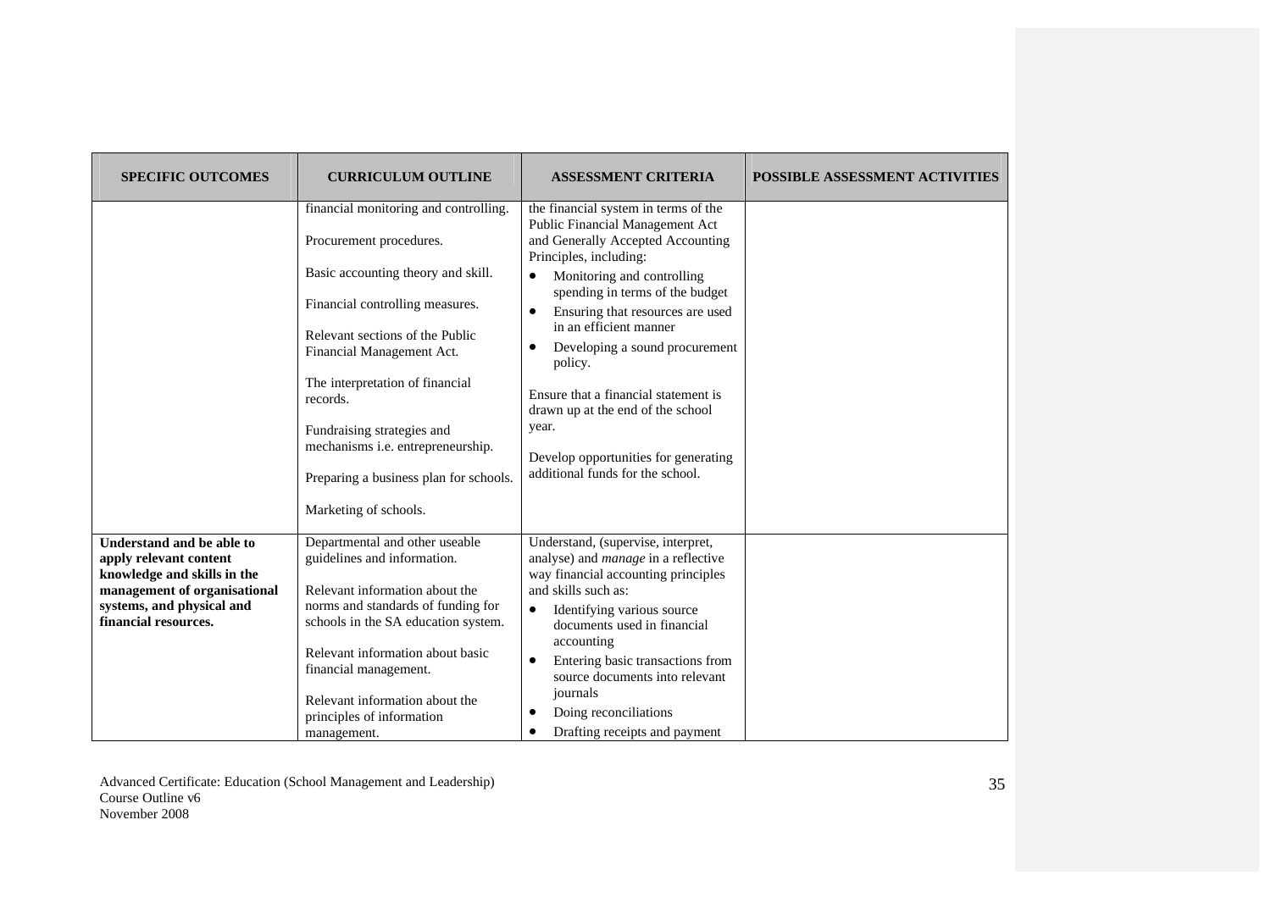| <b>SPECIFIC OUTCOMES</b>                                                                                                                                                | <b>CURRICULUM OUTLINE</b>                                                                                                                                                                                                                                                                                                                                                                      | <b>ASSESSMENT CRITERIA</b>                                                                                                                                                                                                                                                                                                                                                                                                                                                                                                  | POSSIBLE ASSESSMENT ACTIVITIES |
|-------------------------------------------------------------------------------------------------------------------------------------------------------------------------|------------------------------------------------------------------------------------------------------------------------------------------------------------------------------------------------------------------------------------------------------------------------------------------------------------------------------------------------------------------------------------------------|-----------------------------------------------------------------------------------------------------------------------------------------------------------------------------------------------------------------------------------------------------------------------------------------------------------------------------------------------------------------------------------------------------------------------------------------------------------------------------------------------------------------------------|--------------------------------|
|                                                                                                                                                                         | financial monitoring and controlling.<br>Procurement procedures.<br>Basic accounting theory and skill.<br>Financial controlling measures.<br>Relevant sections of the Public<br>Financial Management Act.<br>The interpretation of financial<br>records.<br>Fundraising strategies and<br>mechanisms i.e. entrepreneurship.<br>Preparing a business plan for schools.<br>Marketing of schools. | the financial system in terms of the<br>Public Financial Management Act<br>and Generally Accepted Accounting<br>Principles, including:<br>Monitoring and controlling<br>$\bullet$<br>spending in terms of the budget<br>Ensuring that resources are used<br>$\bullet$<br>in an efficient manner<br>Developing a sound procurement<br>$\bullet$<br>policy.<br>Ensure that a financial statement is<br>drawn up at the end of the school<br>year.<br>Develop opportunities for generating<br>additional funds for the school. |                                |
| Understand and be able to<br>apply relevant content<br>knowledge and skills in the<br>management of organisational<br>systems, and physical and<br>financial resources. | Departmental and other useable<br>guidelines and information.<br>Relevant information about the<br>norms and standards of funding for<br>schools in the SA education system.<br>Relevant information about basic<br>financial management.<br>Relevant information about the<br>principles of information<br>management.                                                                        | Understand, (supervise, interpret,<br>analyse) and <i>manage</i> in a reflective<br>way financial accounting principles<br>and skills such as:<br>Identifying various source<br>$\bullet$<br>documents used in financial<br>accounting<br>Entering basic transactions from<br>$\bullet$<br>source documents into relevant<br>journals<br>Doing reconciliations<br>Drafting receipts and payment                                                                                                                             |                                |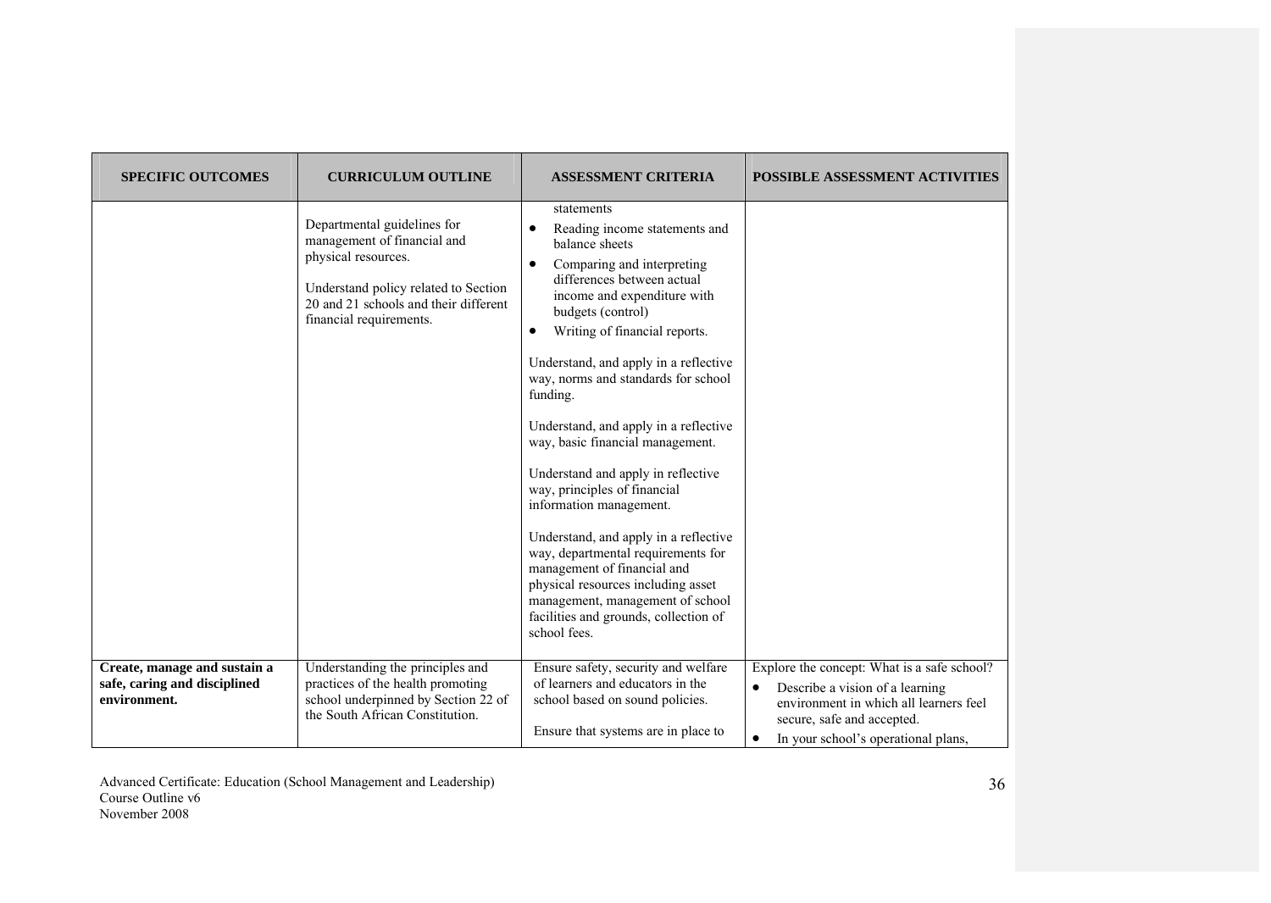| <b>SPECIFIC OUTCOMES</b>                                                     | <b>CURRICULUM OUTLINE</b>                                                                                                                                                                     | <b>ASSESSMENT CRITERIA</b>                                                                                                                                                                                                                                                                                                                                                                                                                                                                                                                                                                                                                                                                                                                             | POSSIBLE ASSESSMENT ACTIVITIES                                                                                                                                                                             |
|------------------------------------------------------------------------------|-----------------------------------------------------------------------------------------------------------------------------------------------------------------------------------------------|--------------------------------------------------------------------------------------------------------------------------------------------------------------------------------------------------------------------------------------------------------------------------------------------------------------------------------------------------------------------------------------------------------------------------------------------------------------------------------------------------------------------------------------------------------------------------------------------------------------------------------------------------------------------------------------------------------------------------------------------------------|------------------------------------------------------------------------------------------------------------------------------------------------------------------------------------------------------------|
|                                                                              | Departmental guidelines for<br>management of financial and<br>physical resources.<br>Understand policy related to Section<br>20 and 21 schools and their different<br>financial requirements. | statements<br>Reading income statements and<br>balance sheets<br>Comparing and interpreting<br>differences between actual<br>income and expenditure with<br>budgets (control)<br>Writing of financial reports.<br>$\bullet$<br>Understand, and apply in a reflective<br>way, norms and standards for school<br>funding.<br>Understand, and apply in a reflective<br>way, basic financial management.<br>Understand and apply in reflective<br>way, principles of financial<br>information management.<br>Understand, and apply in a reflective<br>way, departmental requirements for<br>management of financial and<br>physical resources including asset<br>management, management of school<br>facilities and grounds, collection of<br>school fees. |                                                                                                                                                                                                            |
| Create, manage and sustain a<br>safe, caring and disciplined<br>environment. | Understanding the principles and<br>practices of the health promoting<br>school underpinned by Section 22 of<br>the South African Constitution.                                               | Ensure safety, security and welfare<br>of learners and educators in the<br>school based on sound policies.<br>Ensure that systems are in place to                                                                                                                                                                                                                                                                                                                                                                                                                                                                                                                                                                                                      | Explore the concept: What is a safe school?<br>Describe a vision of a learning<br>$\bullet$<br>environment in which all learners feel<br>secure, safe and accepted.<br>In your school's operational plans, |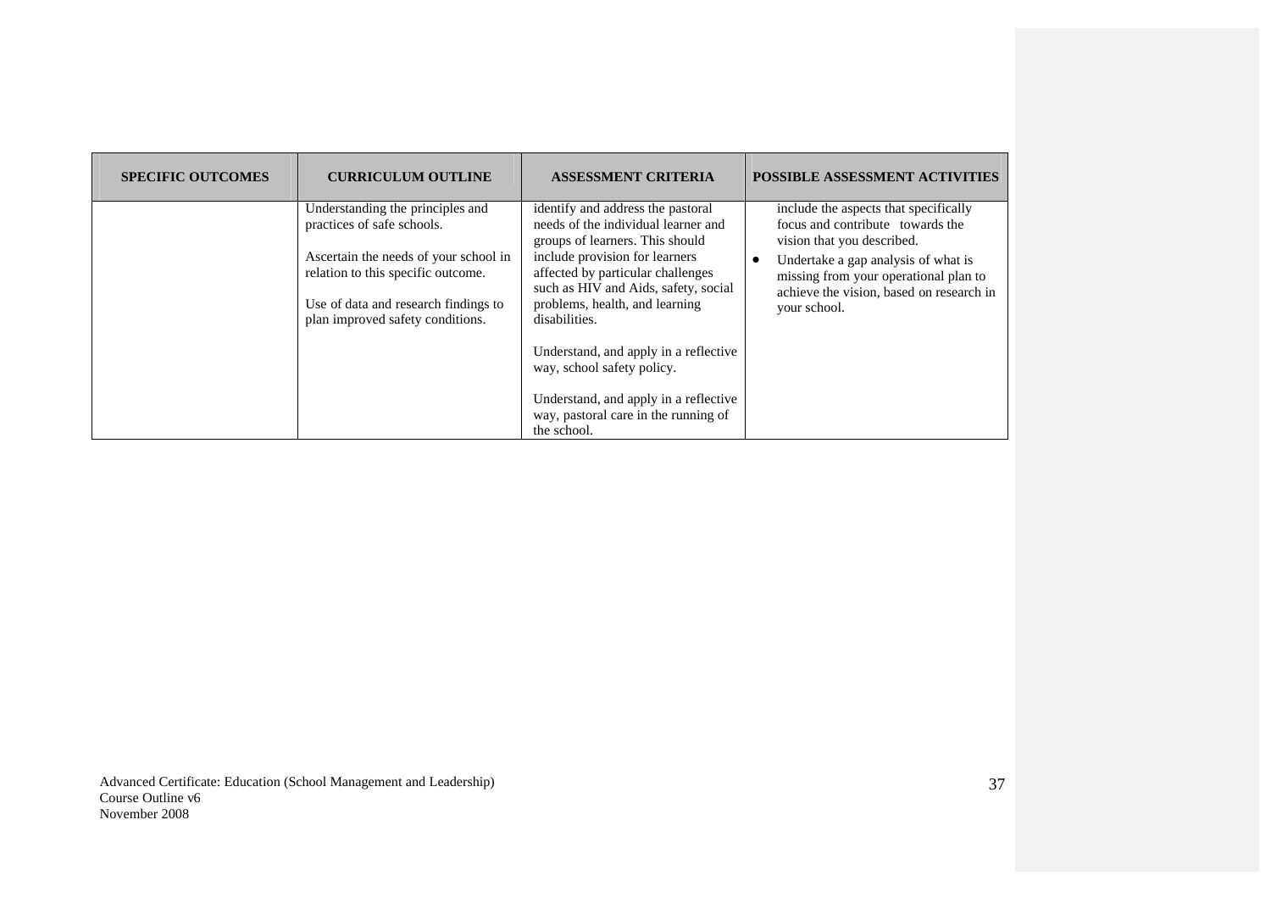| <b>SPECIFIC OUTCOMES</b> | <b>CURRICULUM OUTLINE</b>                                                                                                                                                                                                 | <b>ASSESSMENT CRITERIA</b>                                                                                                                                                                                                                                                                                                                                                                                                                           | <b>POSSIBLE ASSESSMENT ACTIVITIES</b>                                                                                                                                                                                                               |
|--------------------------|---------------------------------------------------------------------------------------------------------------------------------------------------------------------------------------------------------------------------|------------------------------------------------------------------------------------------------------------------------------------------------------------------------------------------------------------------------------------------------------------------------------------------------------------------------------------------------------------------------------------------------------------------------------------------------------|-----------------------------------------------------------------------------------------------------------------------------------------------------------------------------------------------------------------------------------------------------|
|                          | Understanding the principles and<br>practices of safe schools.<br>Ascertain the needs of your school in<br>relation to this specific outcome.<br>Use of data and research findings to<br>plan improved safety conditions. | identify and address the pastoral<br>needs of the individual learner and<br>groups of learners. This should<br>include provision for learners<br>affected by particular challenges<br>such as HIV and Aids, safety, social<br>problems, health, and learning<br>disabilities.<br>Understand, and apply in a reflective<br>way, school safety policy.<br>Understand, and apply in a reflective<br>way, pastoral care in the running of<br>the school. | include the aspects that specifically<br>focus and contribute towards the<br>vision that you described.<br>Undertake a gap analysis of what is<br>missing from your operational plan to<br>achieve the vision, based on research in<br>your school. |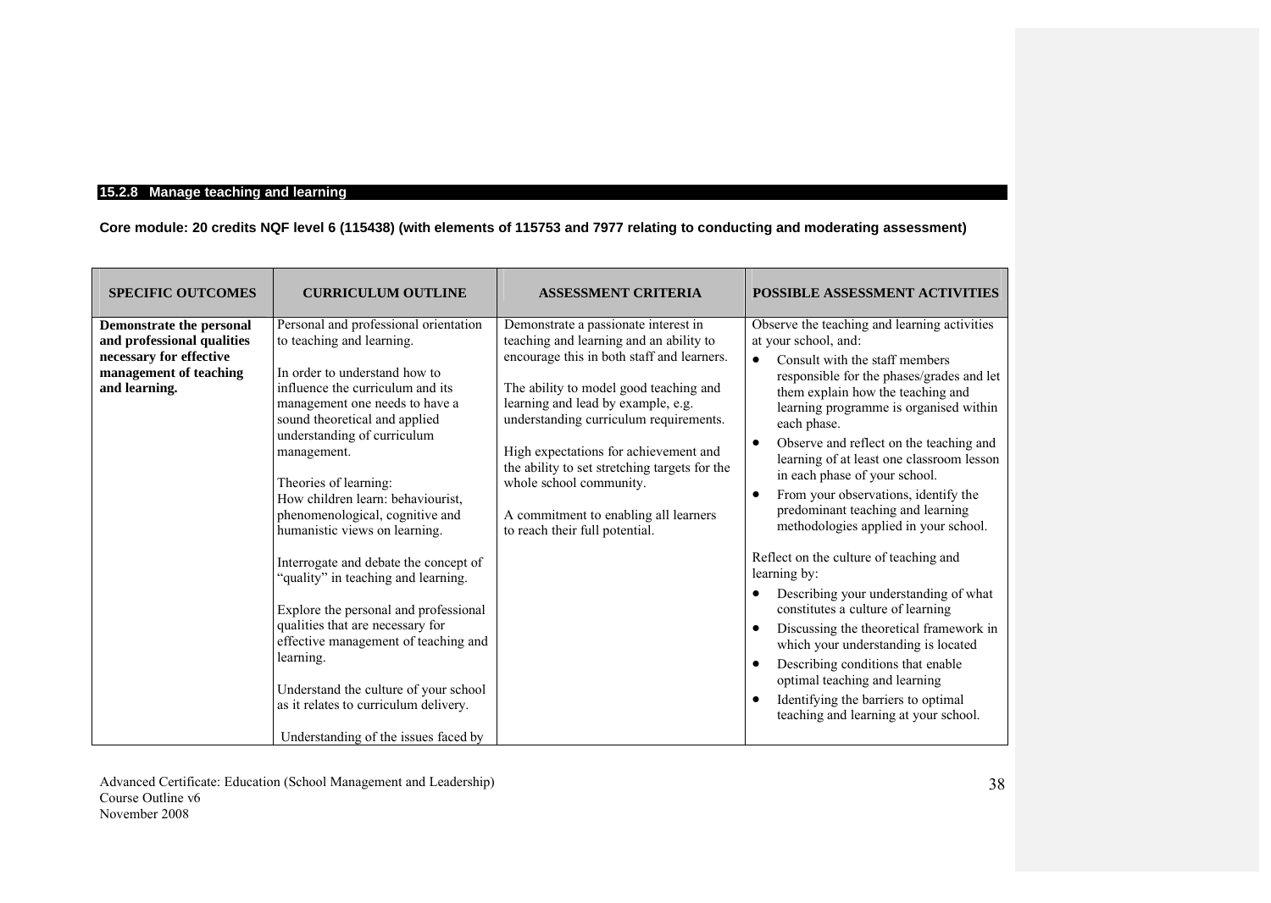# **15.2.8 Manage teaching and learning**

**Core module: 20 credits NQF level 6 (115438) (with elements of 115753 and 7977 relating to conducting and moderating assessment)**

| <b>SPECIFIC OUTCOMES</b>                                                                                                     | <b>CURRICULUM OUTLINE</b>                                                                                                                                                                                                                                                                                                                                                                                                                                                                                                                                                                                                                                                                                                              | <b>ASSESSMENT CRITERIA</b>                                                                                                                                                                                                                                                                                                                                                                                                                              | <b>POSSIBLE ASSESSMENT ACTIVITIES</b>                                                                                                                                                                                                                                                                                                                                                                                                                                                                                                                                                                                                                                                                                                                                                                                                                                                                                                                                       |
|------------------------------------------------------------------------------------------------------------------------------|----------------------------------------------------------------------------------------------------------------------------------------------------------------------------------------------------------------------------------------------------------------------------------------------------------------------------------------------------------------------------------------------------------------------------------------------------------------------------------------------------------------------------------------------------------------------------------------------------------------------------------------------------------------------------------------------------------------------------------------|---------------------------------------------------------------------------------------------------------------------------------------------------------------------------------------------------------------------------------------------------------------------------------------------------------------------------------------------------------------------------------------------------------------------------------------------------------|-----------------------------------------------------------------------------------------------------------------------------------------------------------------------------------------------------------------------------------------------------------------------------------------------------------------------------------------------------------------------------------------------------------------------------------------------------------------------------------------------------------------------------------------------------------------------------------------------------------------------------------------------------------------------------------------------------------------------------------------------------------------------------------------------------------------------------------------------------------------------------------------------------------------------------------------------------------------------------|
| Demonstrate the personal<br>and professional qualities<br>necessary for effective<br>management of teaching<br>and learning. | Personal and professional orientation<br>to teaching and learning.<br>In order to understand how to<br>influence the curriculum and its<br>management one needs to have a<br>sound theoretical and applied<br>understanding of curriculum<br>management.<br>Theories of learning:<br>How children learn: behaviourist,<br>phenomenological, cognitive and<br>humanistic views on learning.<br>Interrogate and debate the concept of<br>"quality" in teaching and learning.<br>Explore the personal and professional<br>qualities that are necessary for<br>effective management of teaching and<br>learning.<br>Understand the culture of your school<br>as it relates to curriculum delivery.<br>Understanding of the issues faced by | Demonstrate a passionate interest in<br>teaching and learning and an ability to<br>encourage this in both staff and learners.<br>The ability to model good teaching and<br>learning and lead by example, e.g.<br>understanding curriculum requirements.<br>High expectations for achievement and<br>the ability to set stretching targets for the<br>whole school community.<br>A commitment to enabling all learners<br>to reach their full potential. | Observe the teaching and learning activities<br>at your school, and:<br>Consult with the staff members<br>$\bullet$<br>responsible for the phases/grades and let<br>them explain how the teaching and<br>learning programme is organised within<br>each phase.<br>Observe and reflect on the teaching and<br>$\bullet$<br>learning of at least one classroom lesson<br>in each phase of your school.<br>From your observations, identify the<br>$\bullet$<br>predominant teaching and learning<br>methodologies applied in your school.<br>Reflect on the culture of teaching and<br>learning by:<br>Describing your understanding of what<br>$\bullet$<br>constitutes a culture of learning<br>Discussing the theoretical framework in<br>$\bullet$<br>which your understanding is located<br>Describing conditions that enable<br>$\bullet$<br>optimal teaching and learning<br>Identifying the barriers to optimal<br>$\bullet$<br>teaching and learning at your school. |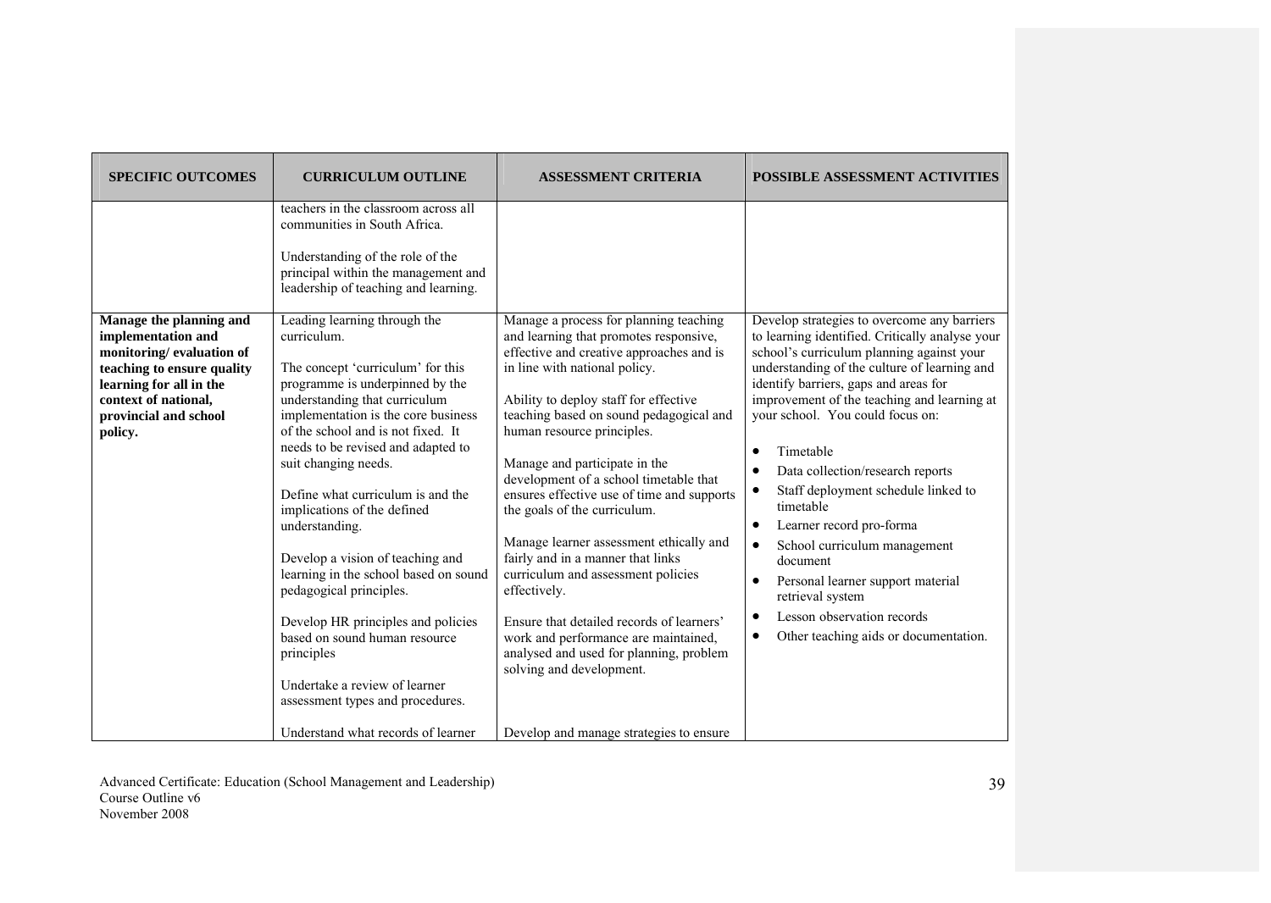| <b>SPECIFIC OUTCOMES</b>                                                                                                                                                                       | <b>CURRICULUM OUTLINE</b>                                                                                                                                                                                                                                                                                                                                                                                                                                                                                                                                                                                                                                     | <b>ASSESSMENT CRITERIA</b>                                                                                                                                                                                                                                                                                                                                                                                                                                                                                                                                     | POSSIBLE ASSESSMENT ACTIVITIES                                                                                                                                                                                                                                                                                                                                                                                                                                                                                                                                                                                          |
|------------------------------------------------------------------------------------------------------------------------------------------------------------------------------------------------|---------------------------------------------------------------------------------------------------------------------------------------------------------------------------------------------------------------------------------------------------------------------------------------------------------------------------------------------------------------------------------------------------------------------------------------------------------------------------------------------------------------------------------------------------------------------------------------------------------------------------------------------------------------|----------------------------------------------------------------------------------------------------------------------------------------------------------------------------------------------------------------------------------------------------------------------------------------------------------------------------------------------------------------------------------------------------------------------------------------------------------------------------------------------------------------------------------------------------------------|-------------------------------------------------------------------------------------------------------------------------------------------------------------------------------------------------------------------------------------------------------------------------------------------------------------------------------------------------------------------------------------------------------------------------------------------------------------------------------------------------------------------------------------------------------------------------------------------------------------------------|
| Manage the planning and<br>implementation and<br>monitoring/evaluation of<br>teaching to ensure quality<br>learning for all in the<br>context of national,<br>provincial and school<br>policy. | teachers in the classroom across all<br>communities in South Africa.<br>Understanding of the role of the<br>principal within the management and<br>leadership of teaching and learning.<br>Leading learning through the<br>curriculum.<br>The concept 'curriculum' for this<br>programme is underpinned by the<br>understanding that curriculum<br>implementation is the core business<br>of the school and is not fixed. It<br>needs to be revised and adapted to<br>suit changing needs.<br>Define what curriculum is and the<br>implications of the defined<br>understanding.<br>Develop a vision of teaching and<br>learning in the school based on sound | Manage a process for planning teaching<br>and learning that promotes responsive,<br>effective and creative approaches and is<br>in line with national policy.<br>Ability to deploy staff for effective<br>teaching based on sound pedagogical and<br>human resource principles.<br>Manage and participate in the<br>development of a school timetable that<br>ensures effective use of time and supports<br>the goals of the curriculum.<br>Manage learner assessment ethically and<br>fairly and in a manner that links<br>curriculum and assessment policies | Develop strategies to overcome any barriers<br>to learning identified. Critically analyse your<br>school's curriculum planning against your<br>understanding of the culture of learning and<br>identify barriers, gaps and areas for<br>improvement of the teaching and learning at<br>your school. You could focus on:<br>Timetable<br>$\bullet$<br>Data collection/research reports<br>$\bullet$<br>Staff deployment schedule linked to<br>$\bullet$<br>timetable<br>Learner record pro-forma<br>$\bullet$<br>School curriculum management<br>$\bullet$<br>document<br>Personal learner support material<br>$\bullet$ |
|                                                                                                                                                                                                | pedagogical principles.<br>Develop HR principles and policies<br>based on sound human resource<br>principles<br>Undertake a review of learner<br>assessment types and procedures.<br>Understand what records of learner                                                                                                                                                                                                                                                                                                                                                                                                                                       | effectively.<br>Ensure that detailed records of learners'<br>work and performance are maintained,<br>analysed and used for planning, problem<br>solving and development.<br>Develop and manage strategies to ensure                                                                                                                                                                                                                                                                                                                                            | retrieval system<br>Lesson observation records<br>$\bullet$<br>Other teaching aids or documentation.<br>$\bullet$                                                                                                                                                                                                                                                                                                                                                                                                                                                                                                       |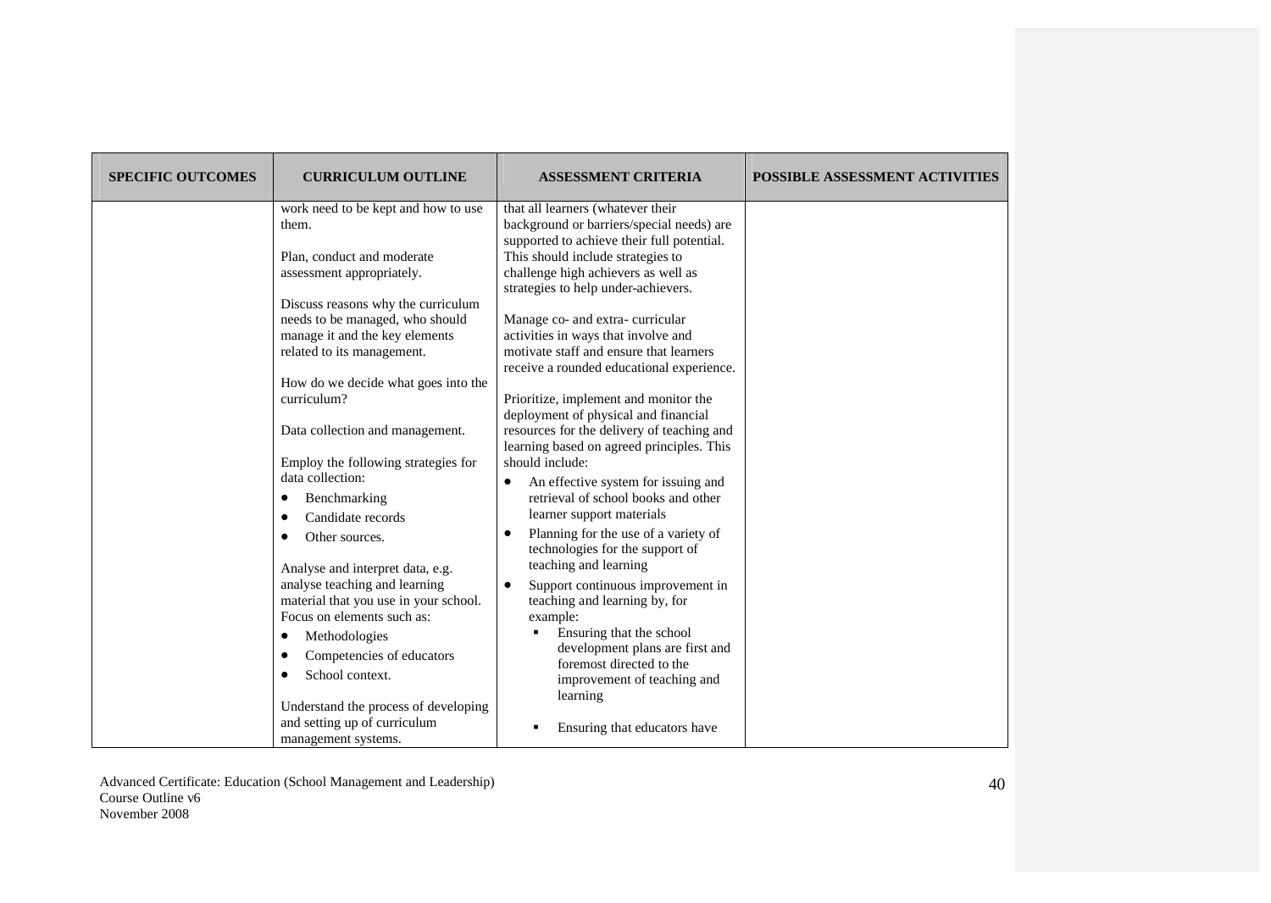| <b>SPECIFIC OUTCOMES</b> | <b>CURRICULUM OUTLINE</b>                                                                                                             | <b>ASSESSMENT CRITERIA</b>                                                                                                                                                                                                                      | POSSIBLE ASSESSMENT ACTIVITIES |
|--------------------------|---------------------------------------------------------------------------------------------------------------------------------------|-------------------------------------------------------------------------------------------------------------------------------------------------------------------------------------------------------------------------------------------------|--------------------------------|
|                          | work need to be kept and how to use<br>them.<br>Plan, conduct and moderate<br>assessment appropriately.                               | that all learners (whatever their<br>background or barriers/special needs) are<br>supported to achieve their full potential.<br>This should include strategies to<br>challenge high achievers as well as<br>strategies to help under-achievers. |                                |
|                          | Discuss reasons why the curriculum<br>needs to be managed, who should<br>manage it and the key elements<br>related to its management. | Manage co- and extra-curricular<br>activities in ways that involve and<br>motivate staff and ensure that learners<br>receive a rounded educational experience.                                                                                  |                                |
|                          | How do we decide what goes into the<br>curriculum?<br>Data collection and management.                                                 | Prioritize, implement and monitor the<br>deployment of physical and financial<br>resources for the delivery of teaching and                                                                                                                     |                                |
|                          | Employ the following strategies for<br>data collection:<br>Benchmarking<br>٠<br>Candidate records                                     | learning based on agreed principles. This<br>should include:<br>An effective system for issuing and<br>$\bullet$<br>retrieval of school books and other<br>learner support materials                                                            |                                |
|                          | Other sources.<br>٠<br>Analyse and interpret data, e.g.<br>analyse teaching and learning<br>material that you use in your school.     | Planning for the use of a variety of<br>technologies for the support of<br>teaching and learning<br>Support continuous improvement in<br>$\bullet$<br>teaching and learning by, for                                                             |                                |
|                          | Focus on elements such as:<br>Methodologies<br>٠<br>Competencies of educators<br>School context.<br>٠                                 | example:<br>Ensuring that the school<br>٠<br>development plans are first and<br>foremost directed to the<br>improvement of teaching and                                                                                                         |                                |
|                          | Understand the process of developing<br>and setting up of curriculum<br>management systems.                                           | learning<br>Ensuring that educators have                                                                                                                                                                                                        |                                |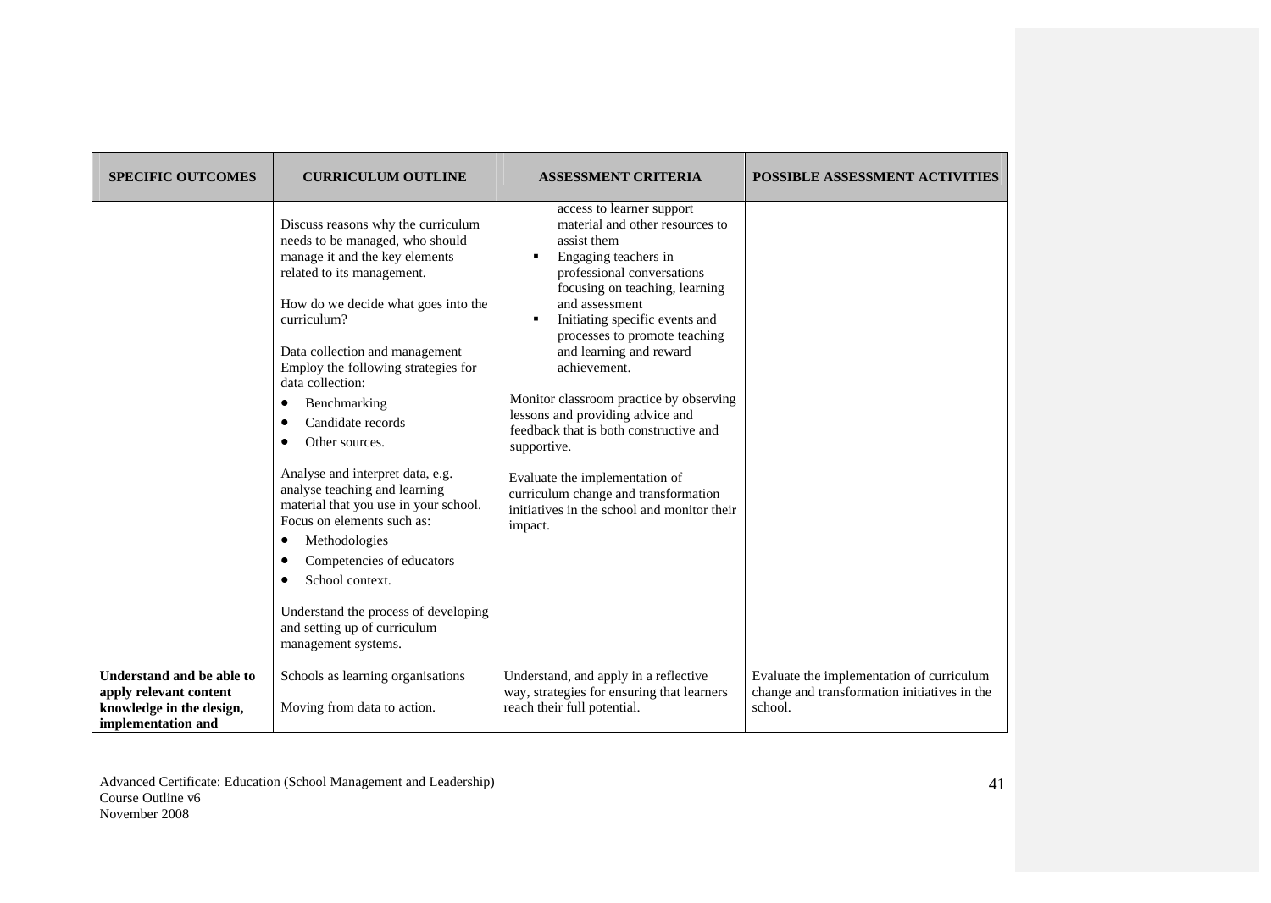| <b>SPECIFIC OUTCOMES</b>                                                                              | <b>CURRICULUM OUTLINE</b>                                                                                                                                                                                                                                                                                                                                                                                                                                                                                                                                                                                                                                        | <b>ASSESSMENT CRITERIA</b>                                                                                                                                                                                                                                                                                                                                                                                                                                                                                                                                                           | <b>POSSIBLE ASSESSMENT ACTIVITIES</b>                                                                |
|-------------------------------------------------------------------------------------------------------|------------------------------------------------------------------------------------------------------------------------------------------------------------------------------------------------------------------------------------------------------------------------------------------------------------------------------------------------------------------------------------------------------------------------------------------------------------------------------------------------------------------------------------------------------------------------------------------------------------------------------------------------------------------|--------------------------------------------------------------------------------------------------------------------------------------------------------------------------------------------------------------------------------------------------------------------------------------------------------------------------------------------------------------------------------------------------------------------------------------------------------------------------------------------------------------------------------------------------------------------------------------|------------------------------------------------------------------------------------------------------|
|                                                                                                       | Discuss reasons why the curriculum<br>needs to be managed, who should<br>manage it and the key elements<br>related to its management.<br>How do we decide what goes into the<br>curriculum?<br>Data collection and management<br>Employ the following strategies for<br>data collection:<br>Benchmarking<br>٠<br>Candidate records<br>Other sources.<br>Analyse and interpret data, e.g.<br>analyse teaching and learning<br>material that you use in your school.<br>Focus on elements such as:<br>Methodologies<br>Competencies of educators<br>School context.<br>Understand the process of developing<br>and setting up of curriculum<br>management systems. | access to learner support<br>material and other resources to<br>assist them<br>Engaging teachers in<br>professional conversations<br>focusing on teaching, learning<br>and assessment<br>Initiating specific events and<br>٠<br>processes to promote teaching<br>and learning and reward<br>achievement.<br>Monitor classroom practice by observing<br>lessons and providing advice and<br>feedback that is both constructive and<br>supportive.<br>Evaluate the implementation of<br>curriculum change and transformation<br>initiatives in the school and monitor their<br>impact. |                                                                                                      |
| Understand and be able to<br>apply relevant content<br>knowledge in the design,<br>implementation and | Schools as learning organisations<br>Moving from data to action.                                                                                                                                                                                                                                                                                                                                                                                                                                                                                                                                                                                                 | Understand, and apply in a reflective<br>way, strategies for ensuring that learners<br>reach their full potential.                                                                                                                                                                                                                                                                                                                                                                                                                                                                   | Evaluate the implementation of curriculum<br>change and transformation initiatives in the<br>school. |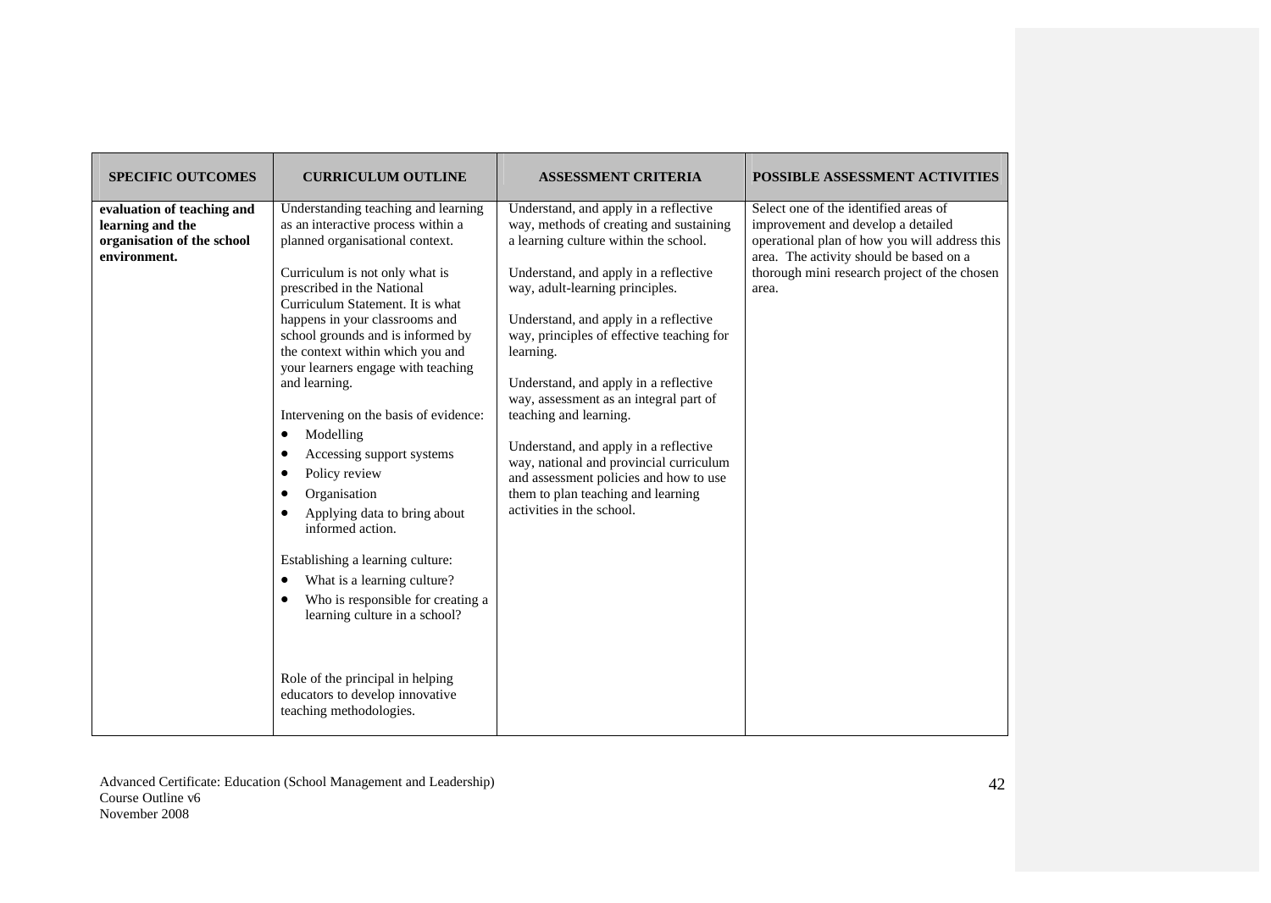| <b>SPECIFIC OUTCOMES</b>                                                                     | <b>CURRICULUM OUTLINE</b>                                                                                                                                                                                                                                                                                                                                                                                                                                                                                                                                                                                                                                                                                                                                                                                                                    | <b>ASSESSMENT CRITERIA</b>                                                                                                                                                                                                                                                                                                                                                                                                                                                                                                                                                                                             | POSSIBLE ASSESSMENT ACTIVITIES                                                                                                                                                                                                   |
|----------------------------------------------------------------------------------------------|----------------------------------------------------------------------------------------------------------------------------------------------------------------------------------------------------------------------------------------------------------------------------------------------------------------------------------------------------------------------------------------------------------------------------------------------------------------------------------------------------------------------------------------------------------------------------------------------------------------------------------------------------------------------------------------------------------------------------------------------------------------------------------------------------------------------------------------------|------------------------------------------------------------------------------------------------------------------------------------------------------------------------------------------------------------------------------------------------------------------------------------------------------------------------------------------------------------------------------------------------------------------------------------------------------------------------------------------------------------------------------------------------------------------------------------------------------------------------|----------------------------------------------------------------------------------------------------------------------------------------------------------------------------------------------------------------------------------|
| evaluation of teaching and<br>learning and the<br>organisation of the school<br>environment. | Understanding teaching and learning<br>as an interactive process within a<br>planned organisational context.<br>Curriculum is not only what is<br>prescribed in the National<br>Curriculum Statement. It is what<br>happens in your classrooms and<br>school grounds and is informed by<br>the context within which you and<br>your learners engage with teaching<br>and learning.<br>Intervening on the basis of evidence:<br>Modelling<br>$\bullet$<br>Accessing support systems<br>$\bullet$<br>Policy review<br>Organisation<br>Applying data to bring about<br>informed action.<br>Establishing a learning culture:<br>What is a learning culture?<br>$\bullet$<br>Who is responsible for creating a<br>learning culture in a school?<br>Role of the principal in helping<br>educators to develop innovative<br>teaching methodologies. | Understand, and apply in a reflective<br>way, methods of creating and sustaining<br>a learning culture within the school.<br>Understand, and apply in a reflective<br>way, adult-learning principles.<br>Understand, and apply in a reflective<br>way, principles of effective teaching for<br>learning.<br>Understand, and apply in a reflective<br>way, assessment as an integral part of<br>teaching and learning.<br>Understand, and apply in a reflective<br>way, national and provincial curriculum<br>and assessment policies and how to use<br>them to plan teaching and learning<br>activities in the school. | Select one of the identified areas of<br>improvement and develop a detailed<br>operational plan of how you will address this<br>area. The activity should be based on a<br>thorough mini research project of the chosen<br>area. |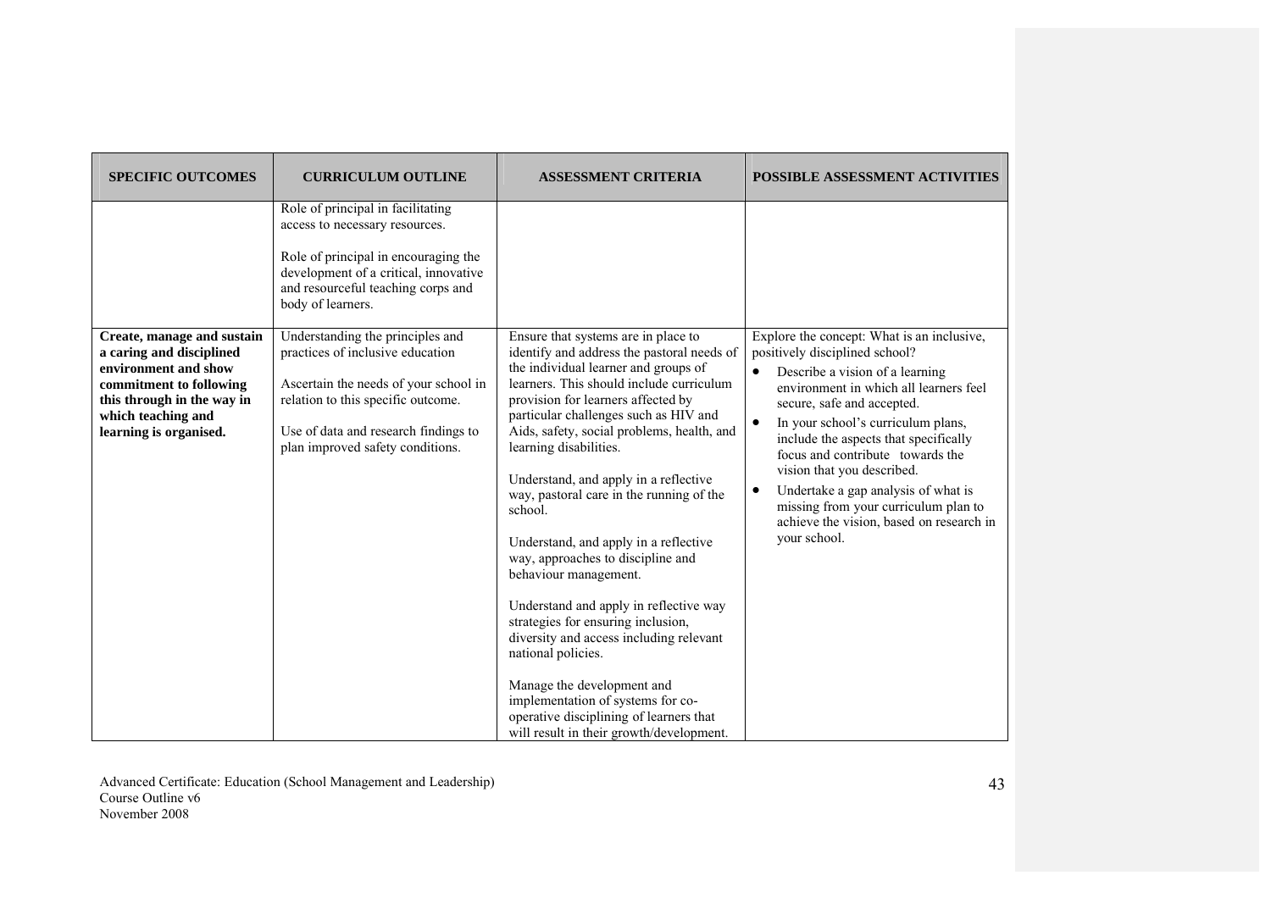| <b>SPECIFIC OUTCOMES</b>                                                                                                                                  | <b>CURRICULUM OUTLINE</b>                                                                                                                                                                                                                           | <b>ASSESSMENT CRITERIA</b>                                                                                                                                                                                                                                                                                                                                                                                                                                                                                                                                                                                                                                                                                                                                                                              | <b>POSSIBLE ASSESSMENT ACTIVITIES</b>                                                                                                                                                                                                                                                                                                                                                                                                                                        |
|-----------------------------------------------------------------------------------------------------------------------------------------------------------|-----------------------------------------------------------------------------------------------------------------------------------------------------------------------------------------------------------------------------------------------------|---------------------------------------------------------------------------------------------------------------------------------------------------------------------------------------------------------------------------------------------------------------------------------------------------------------------------------------------------------------------------------------------------------------------------------------------------------------------------------------------------------------------------------------------------------------------------------------------------------------------------------------------------------------------------------------------------------------------------------------------------------------------------------------------------------|------------------------------------------------------------------------------------------------------------------------------------------------------------------------------------------------------------------------------------------------------------------------------------------------------------------------------------------------------------------------------------------------------------------------------------------------------------------------------|
| Create, manage and sustain                                                                                                                                | Role of principal in facilitating<br>access to necessary resources.<br>Role of principal in encouraging the<br>development of a critical, innovative<br>and resourceful teaching corps and<br>body of learners.<br>Understanding the principles and | Ensure that systems are in place to                                                                                                                                                                                                                                                                                                                                                                                                                                                                                                                                                                                                                                                                                                                                                                     | Explore the concept: What is an inclusive,                                                                                                                                                                                                                                                                                                                                                                                                                                   |
| a caring and disciplined<br>environment and show<br>commitment to following<br>this through in the way in<br>which teaching and<br>learning is organised. | practices of inclusive education<br>Ascertain the needs of your school in<br>relation to this specific outcome.<br>Use of data and research findings to<br>plan improved safety conditions.                                                         | identify and address the pastoral needs of<br>the individual learner and groups of<br>learners. This should include curriculum<br>provision for learners affected by<br>particular challenges such as HIV and<br>Aids, safety, social problems, health, and<br>learning disabilities.<br>Understand, and apply in a reflective<br>way, pastoral care in the running of the<br>school.<br>Understand, and apply in a reflective<br>way, approaches to discipline and<br>behaviour management.<br>Understand and apply in reflective way<br>strategies for ensuring inclusion,<br>diversity and access including relevant<br>national policies.<br>Manage the development and<br>implementation of systems for co-<br>operative disciplining of learners that<br>will result in their growth/development. | positively disciplined school?<br>Describe a vision of a learning<br>$\bullet$<br>environment in which all learners feel<br>secure, safe and accepted.<br>In your school's curriculum plans,<br>$\bullet$<br>include the aspects that specifically<br>focus and contribute towards the<br>vision that you described.<br>Undertake a gap analysis of what is<br>$\bullet$<br>missing from your curriculum plan to<br>achieve the vision, based on research in<br>your school. |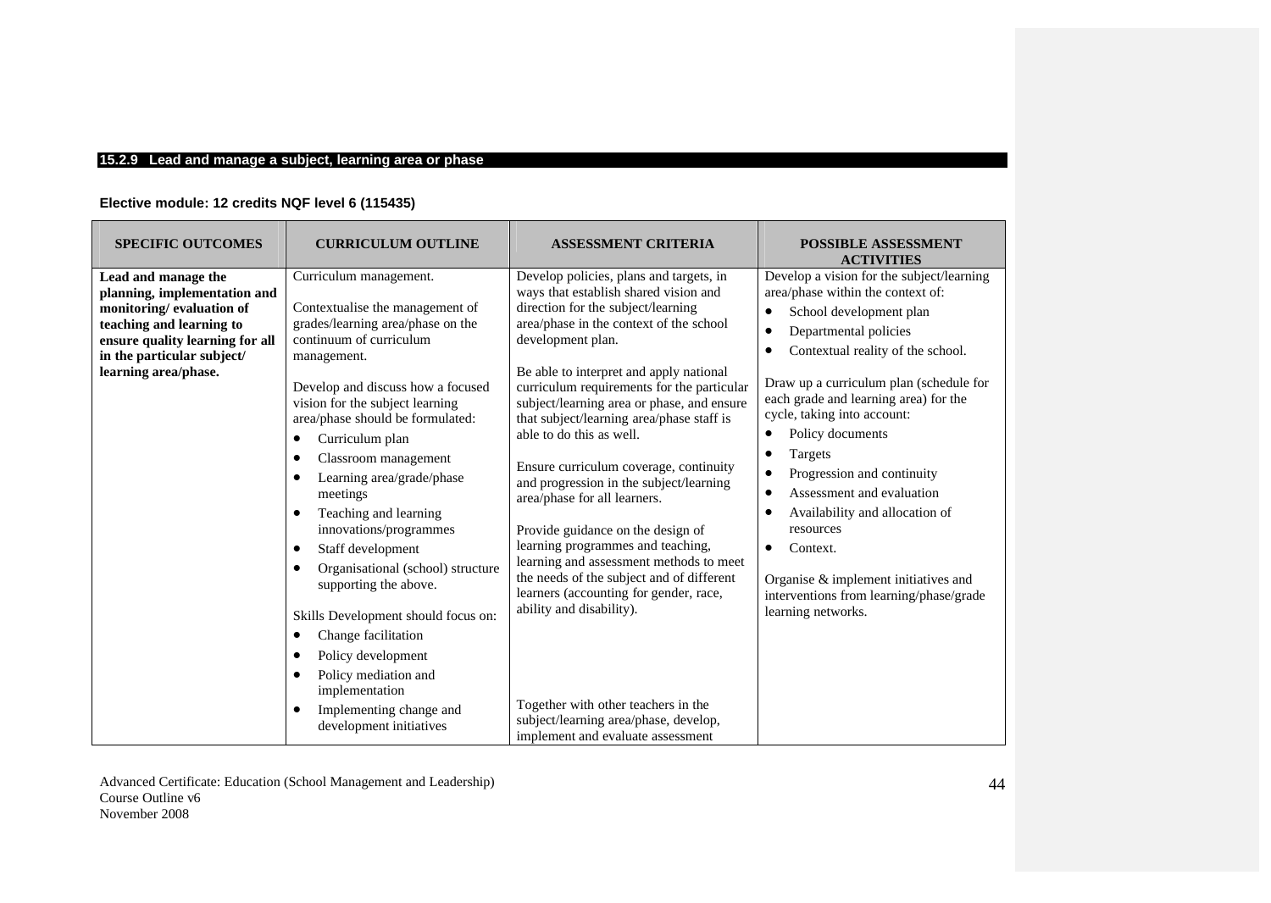## **15.2.9 Lead and manage a subject, learning area or phase**

# **Elective module: 12 credits NQF level 6 (115435)**

| <b>SPECIFIC OUTCOMES</b>                                                                                                                                                                             | <b>CURRICULUM OUTLINE</b>                                                                                                                                                                                                                                                                                                                                                                                                                                                                                                                                                                                                                                                    | <b>ASSESSMENT CRITERIA</b>                                                                                                                                                                                                                                                                                                                                                                                                                                                                                                                                                                                                                                                                                                                                                                                                                                                               | <b>POSSIBLE ASSESSMENT</b><br><b>ACTIVITIES</b>                                                                                                                                                                                                                                                                                                                                                                                                                                                                                                                                                      |
|------------------------------------------------------------------------------------------------------------------------------------------------------------------------------------------------------|------------------------------------------------------------------------------------------------------------------------------------------------------------------------------------------------------------------------------------------------------------------------------------------------------------------------------------------------------------------------------------------------------------------------------------------------------------------------------------------------------------------------------------------------------------------------------------------------------------------------------------------------------------------------------|------------------------------------------------------------------------------------------------------------------------------------------------------------------------------------------------------------------------------------------------------------------------------------------------------------------------------------------------------------------------------------------------------------------------------------------------------------------------------------------------------------------------------------------------------------------------------------------------------------------------------------------------------------------------------------------------------------------------------------------------------------------------------------------------------------------------------------------------------------------------------------------|------------------------------------------------------------------------------------------------------------------------------------------------------------------------------------------------------------------------------------------------------------------------------------------------------------------------------------------------------------------------------------------------------------------------------------------------------------------------------------------------------------------------------------------------------------------------------------------------------|
| Lead and manage the<br>planning, implementation and<br>monitoring/evaluation of<br>teaching and learning to<br>ensure quality learning for all<br>in the particular subject/<br>learning area/phase. | Curriculum management.<br>Contextualise the management of<br>grades/learning area/phase on the<br>continuum of curriculum<br>management.<br>Develop and discuss how a focused<br>vision for the subject learning<br>area/phase should be formulated:<br>Curriculum plan<br>٠<br>Classroom management<br>Learning area/grade/phase<br>meetings<br>Teaching and learning<br>innovations/programmes<br>Staff development<br>Organisational (school) structure<br>supporting the above.<br>Skills Development should focus on:<br>Change facilitation<br>Policy development<br>Policy mediation and<br>implementation<br>Implementing change and<br>٠<br>development initiatives | Develop policies, plans and targets, in<br>ways that establish shared vision and<br>direction for the subject/learning<br>area/phase in the context of the school<br>development plan.<br>Be able to interpret and apply national<br>curriculum requirements for the particular<br>subject/learning area or phase, and ensure<br>that subject/learning area/phase staff is<br>able to do this as well.<br>Ensure curriculum coverage, continuity<br>and progression in the subject/learning<br>area/phase for all learners.<br>Provide guidance on the design of<br>learning programmes and teaching,<br>learning and assessment methods to meet<br>the needs of the subject and of different<br>learners (accounting for gender, race,<br>ability and disability).<br>Together with other teachers in the<br>subject/learning area/phase, develop,<br>implement and evaluate assessment | Develop a vision for the subject/learning<br>area/phase within the context of:<br>School development plan<br>$\bullet$<br>Departmental policies<br>Contextual reality of the school.<br>Draw up a curriculum plan (schedule for<br>each grade and learning area) for the<br>cycle, taking into account:<br>Policy documents<br>Targets<br>٠<br>Progression and continuity<br>٠<br>Assessment and evaluation<br>٠<br>Availability and allocation of<br>resources<br>Context.<br>$\bullet$<br>Organise $\&$ implement initiatives and<br>interventions from learning/phase/grade<br>learning networks. |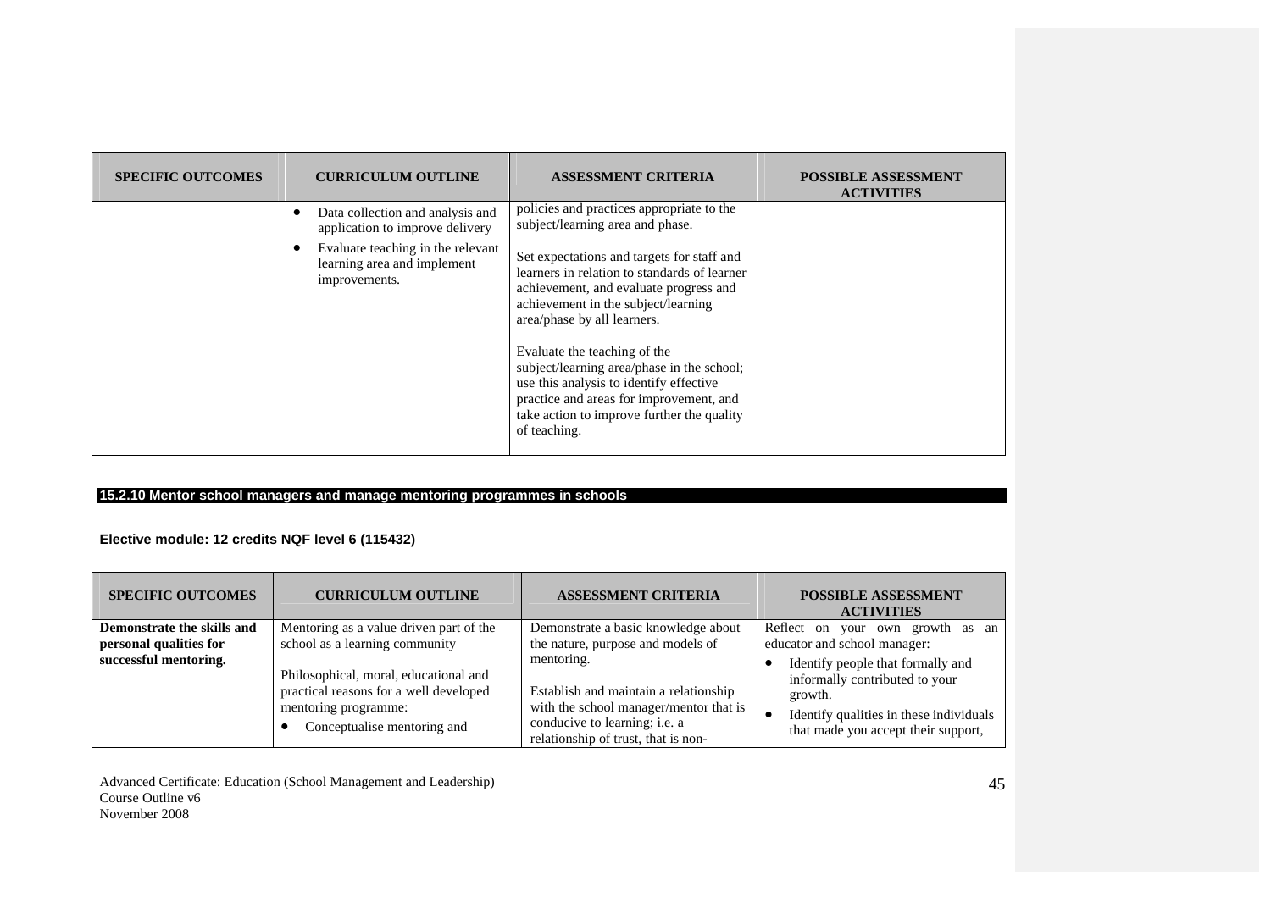| <b>SPECIFIC OUTCOMES</b> | <b>CURRICULUM OUTLINE</b>                                                         | <b>ASSESSMENT CRITERIA</b>                                                                                                                                                                                                                                                                                                                                                                                                                   | <b>POSSIBLE ASSESSMENT</b><br><b>ACTIVITIES</b> |
|--------------------------|-----------------------------------------------------------------------------------|----------------------------------------------------------------------------------------------------------------------------------------------------------------------------------------------------------------------------------------------------------------------------------------------------------------------------------------------------------------------------------------------------------------------------------------------|-------------------------------------------------|
|                          | Data collection and analysis and<br>application to improve delivery               | policies and practices appropriate to the<br>subject/learning area and phase.                                                                                                                                                                                                                                                                                                                                                                |                                                 |
|                          | Evaluate teaching in the relevant<br>learning area and implement<br>improvements. | Set expectations and targets for staff and<br>learners in relation to standards of learner<br>achievement, and evaluate progress and<br>achievement in the subject/learning<br>area/phase by all learners.<br>Evaluate the teaching of the<br>subject/learning area/phase in the school;<br>use this analysis to identify effective<br>practice and areas for improvement, and<br>take action to improve further the quality<br>of teaching. |                                                 |

# **15.2.10 Mentor school managers and manage mentoring programmes in schools**

# **Elective module: 12 credits NQF level 6 (115432)**

| <b>SPECIFIC OUTCOMES</b>                        | <b>CURRICULUM OUTLINE</b>                                                                                                                                                | <b>ASSESSMENT CRITERIA</b>                                                                                                                                                                                 | <b>POSSIBLE ASSESSMENT</b><br><b>ACTIVITIES</b>                                                                                                                                                  |
|-------------------------------------------------|--------------------------------------------------------------------------------------------------------------------------------------------------------------------------|------------------------------------------------------------------------------------------------------------------------------------------------------------------------------------------------------------|--------------------------------------------------------------------------------------------------------------------------------------------------------------------------------------------------|
| Demonstrate the skills and                      | Mentoring as a value driven part of the                                                                                                                                  | Demonstrate a basic knowledge about                                                                                                                                                                        | Reflect on your own growth as an                                                                                                                                                                 |
| personal qualities for<br>successful mentoring. | school as a learning community<br>Philosophical, moral, educational and<br>practical reasons for a well developed<br>mentoring programme:<br>Conceptualise mentoring and | the nature, purpose and models of<br>mentoring.<br>Establish and maintain a relationship<br>with the school manager/mentor that is<br>conducive to learning; i.e. a<br>relationship of trust, that is non- | educator and school manager:<br>Identify people that formally and<br>informally contributed to your<br>growth.<br>Identify qualities in these individuals<br>that made you accept their support, |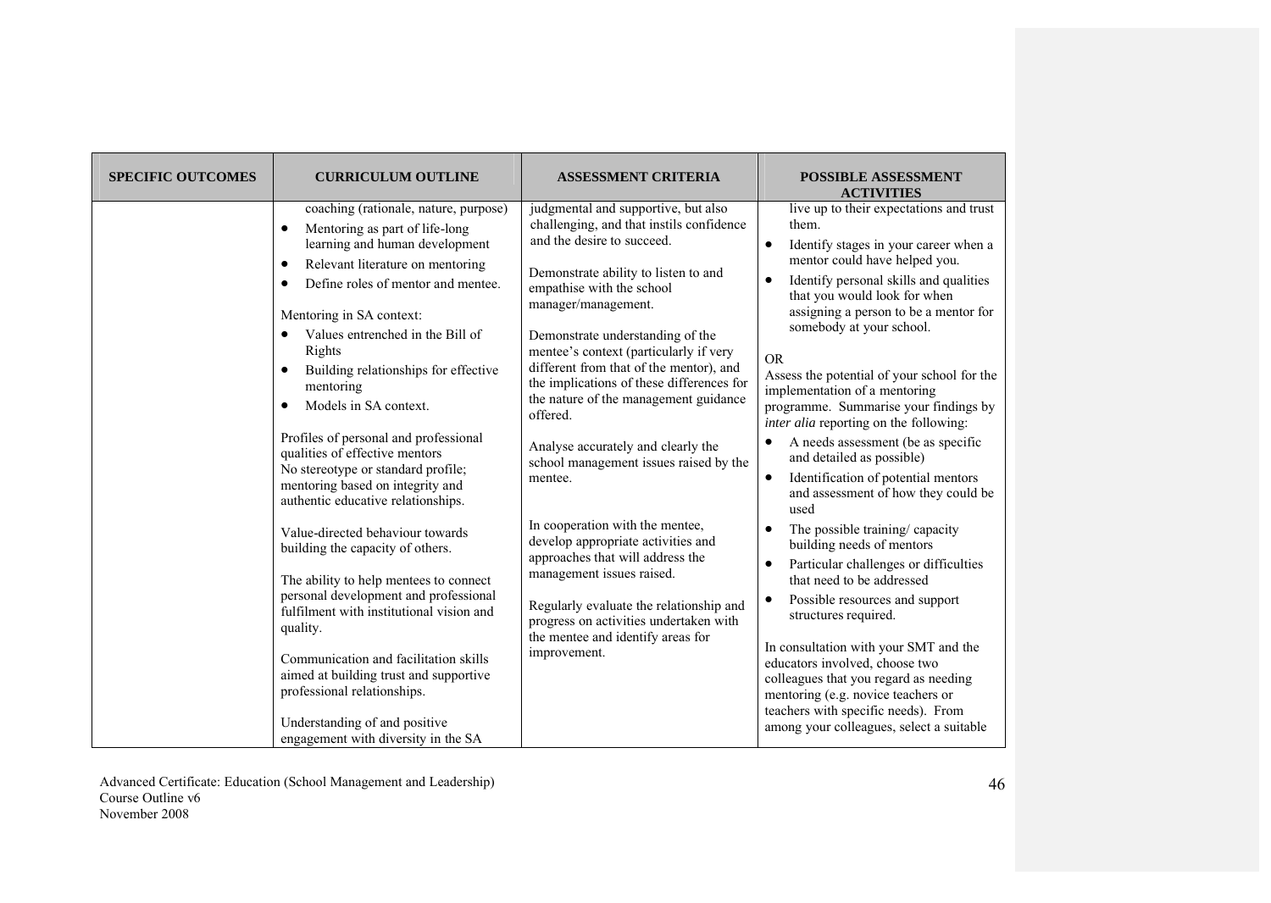| <b>SPECIFIC OUTCOMES</b> | <b>CURRICULUM OUTLINE</b>                                                                                                                                                                                                                                                                                                                                                                                                                                                                                                                                                                                                                                                                                                                                                                                                                                                                                                                    | <b>ASSESSMENT CRITERIA</b>                                                                                                                                                                                                                                                                                                                                                                                                                                                                                                                                                                                                                                                                                                                                                                                          | <b>POSSIBLE ASSESSMENT</b><br><b>ACTIVITIES</b>                                                                                                                                                                                                                                                                                                                                                                                                                                                                                                                                                                                                                                                                                                                                                                                                                                                                                                                                                                                                                                |
|--------------------------|----------------------------------------------------------------------------------------------------------------------------------------------------------------------------------------------------------------------------------------------------------------------------------------------------------------------------------------------------------------------------------------------------------------------------------------------------------------------------------------------------------------------------------------------------------------------------------------------------------------------------------------------------------------------------------------------------------------------------------------------------------------------------------------------------------------------------------------------------------------------------------------------------------------------------------------------|---------------------------------------------------------------------------------------------------------------------------------------------------------------------------------------------------------------------------------------------------------------------------------------------------------------------------------------------------------------------------------------------------------------------------------------------------------------------------------------------------------------------------------------------------------------------------------------------------------------------------------------------------------------------------------------------------------------------------------------------------------------------------------------------------------------------|--------------------------------------------------------------------------------------------------------------------------------------------------------------------------------------------------------------------------------------------------------------------------------------------------------------------------------------------------------------------------------------------------------------------------------------------------------------------------------------------------------------------------------------------------------------------------------------------------------------------------------------------------------------------------------------------------------------------------------------------------------------------------------------------------------------------------------------------------------------------------------------------------------------------------------------------------------------------------------------------------------------------------------------------------------------------------------|
|                          | coaching (rationale, nature, purpose)<br>Mentoring as part of life-long<br>$\bullet$<br>learning and human development<br>Relevant literature on mentoring<br>$\bullet$<br>Define roles of mentor and mentee.<br>$\bullet$<br>Mentoring in SA context:<br>Values entrenched in the Bill of<br>Rights<br>Building relationships for effective<br>$\bullet$<br>mentoring<br>Models in SA context.<br>$\bullet$<br>Profiles of personal and professional<br>qualities of effective mentors<br>No stereotype or standard profile;<br>mentoring based on integrity and<br>authentic educative relationships.<br>Value-directed behaviour towards<br>building the capacity of others.<br>The ability to help mentees to connect<br>personal development and professional<br>fulfilment with institutional vision and<br>quality.<br>Communication and facilitation skills<br>aimed at building trust and supportive<br>professional relationships. | judgmental and supportive, but also<br>challenging, and that instils confidence<br>and the desire to succeed.<br>Demonstrate ability to listen to and<br>empathise with the school<br>manager/management.<br>Demonstrate understanding of the<br>mentee's context (particularly if very<br>different from that of the mentor), and<br>the implications of these differences for<br>the nature of the management guidance<br>offered.<br>Analyse accurately and clearly the<br>school management issues raised by the<br>mentee.<br>In cooperation with the mentee,<br>develop appropriate activities and<br>approaches that will address the<br>management issues raised.<br>Regularly evaluate the relationship and<br>progress on activities undertaken with<br>the mentee and identify areas for<br>improvement. | live up to their expectations and trust<br>them.<br>Identify stages in your career when a<br>$\bullet$<br>mentor could have helped you.<br>Identify personal skills and qualities<br>that you would look for when<br>assigning a person to be a mentor for<br>somebody at your school.<br><b>OR</b><br>Assess the potential of your school for the<br>implementation of a mentoring<br>programme. Summarise your findings by<br><i>inter alia</i> reporting on the following:<br>A needs assessment (be as specific<br>$\bullet$<br>and detailed as possible)<br>Identification of potential mentors<br>and assessment of how they could be<br>used<br>The possible training/ capacity<br>$\bullet$<br>building needs of mentors<br>Particular challenges or difficulties<br>$\bullet$<br>that need to be addressed<br>Possible resources and support<br>structures required.<br>In consultation with your SMT and the<br>educators involved, choose two<br>colleagues that you regard as needing<br>mentoring (e.g. novice teachers or<br>teachers with specific needs). From |
|                          | Understanding of and positive<br>engagement with diversity in the SA                                                                                                                                                                                                                                                                                                                                                                                                                                                                                                                                                                                                                                                                                                                                                                                                                                                                         |                                                                                                                                                                                                                                                                                                                                                                                                                                                                                                                                                                                                                                                                                                                                                                                                                     | among your colleagues, select a suitable                                                                                                                                                                                                                                                                                                                                                                                                                                                                                                                                                                                                                                                                                                                                                                                                                                                                                                                                                                                                                                       |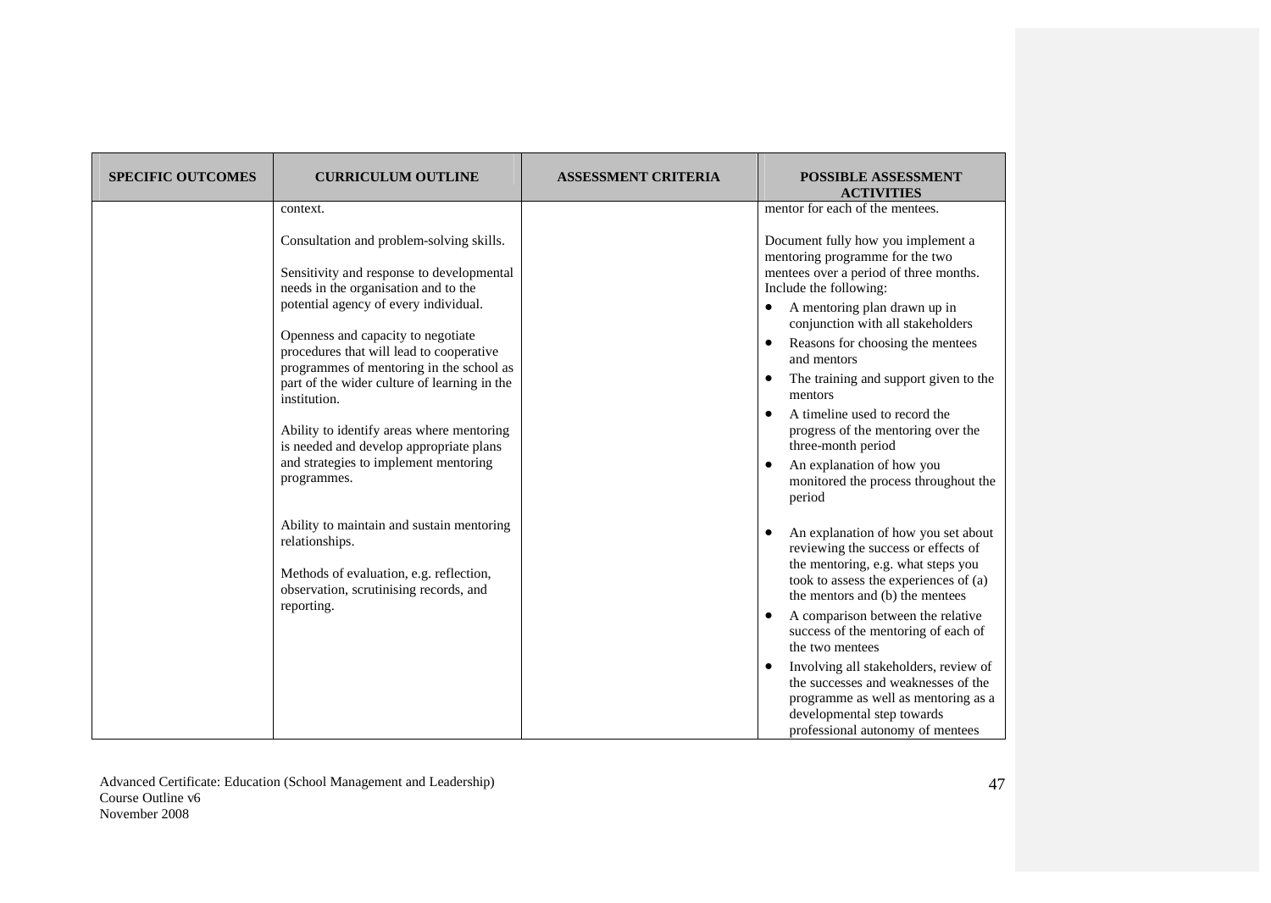| <b>SPECIFIC OUTCOMES</b> | <b>CURRICULUM OUTLINE</b>                                                                                                                        | <b>ASSESSMENT CRITERIA</b> | <b>POSSIBLE ASSESSMENT</b><br><b>ACTIVITIES</b>                                                                                                                                                    |
|--------------------------|--------------------------------------------------------------------------------------------------------------------------------------------------|----------------------------|----------------------------------------------------------------------------------------------------------------------------------------------------------------------------------------------------|
|                          | context.                                                                                                                                         |                            | mentor for each of the mentees.                                                                                                                                                                    |
|                          | Consultation and problem-solving skills.<br>Sensitivity and response to developmental<br>needs in the organisation and to the                    |                            | Document fully how you implement a<br>mentoring programme for the two<br>mentees over a period of three months.<br>Include the following:                                                          |
|                          | potential agency of every individual.<br>Openness and capacity to negotiate                                                                      |                            | A mentoring plan drawn up in<br>conjunction with all stakeholders<br>Reasons for choosing the mentees<br>$\bullet$                                                                                 |
|                          | procedures that will lead to cooperative<br>programmes of mentoring in the school as                                                             |                            | and mentors                                                                                                                                                                                        |
|                          | part of the wider culture of learning in the<br>institution.                                                                                     |                            | The training and support given to the<br>mentors                                                                                                                                                   |
|                          | Ability to identify areas where mentoring<br>is needed and develop appropriate plans                                                             |                            | A timeline used to record the<br>progress of the mentoring over the<br>three-month period                                                                                                          |
|                          | and strategies to implement mentoring<br>programmes.                                                                                             |                            | An explanation of how you<br>monitored the process throughout the<br>period                                                                                                                        |
|                          | Ability to maintain and sustain mentoring<br>relationships.<br>Methods of evaluation, e.g. reflection,<br>observation, scrutinising records, and |                            | An explanation of how you set about<br>reviewing the success or effects of<br>the mentoring, e.g. what steps you<br>took to assess the experiences of (a)<br>the mentors and (b) the mentees       |
|                          | reporting.                                                                                                                                       |                            | A comparison between the relative<br>success of the mentoring of each of<br>the two mentees                                                                                                        |
|                          |                                                                                                                                                  |                            | Involving all stakeholders, review of<br>$\bullet$<br>the successes and weaknesses of the<br>programme as well as mentoring as a<br>developmental step towards<br>professional autonomy of mentees |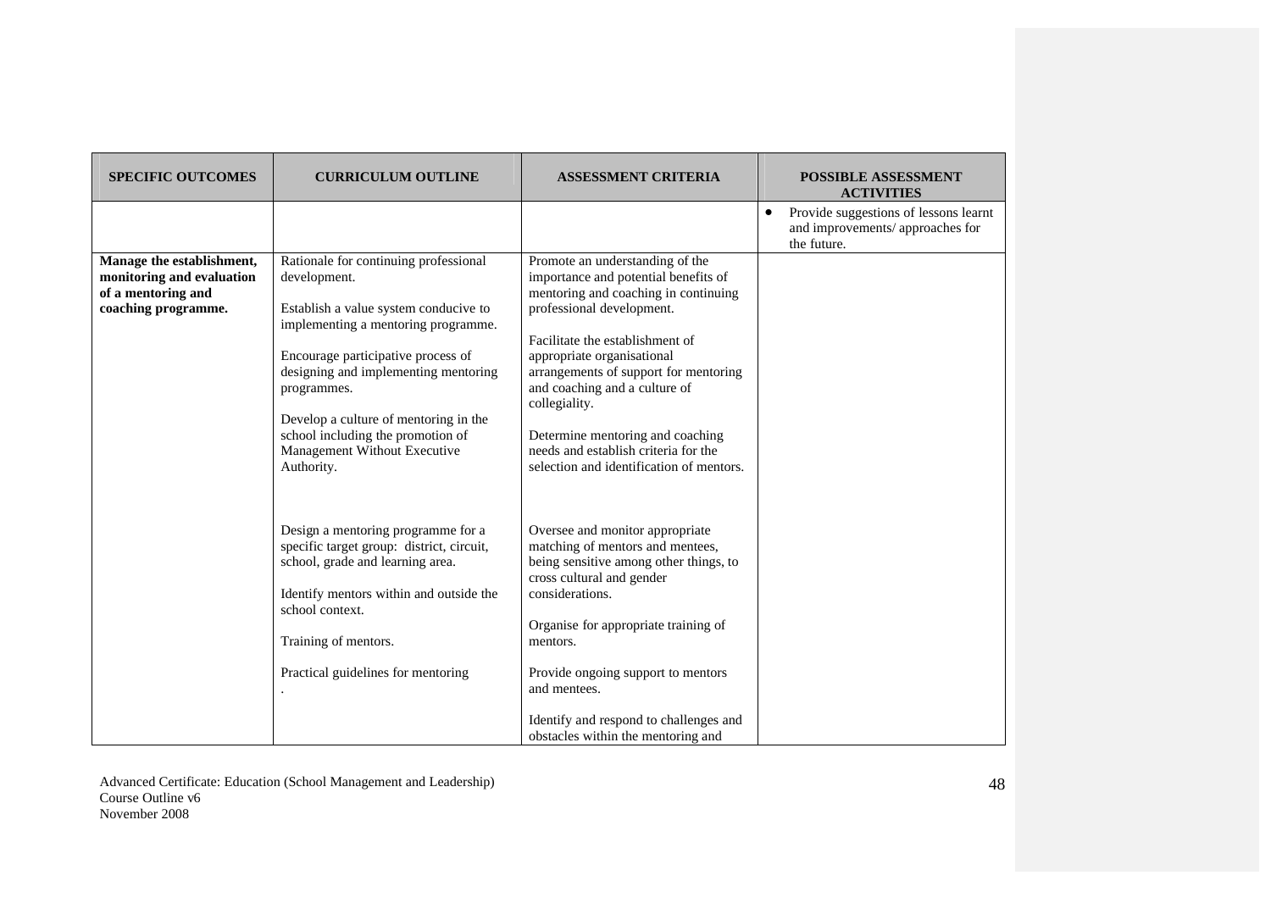| <b>SPECIFIC OUTCOMES</b>                                                                            | <b>CURRICULUM OUTLINE</b>                                                                                                                                                                                                                                                                                                                                      | <b>ASSESSMENT CRITERIA</b>                                                                                                                                                                                                                                                                                                                                                                                                       | <b>POSSIBLE ASSESSMENT</b><br><b>ACTIVITIES</b>                                                       |
|-----------------------------------------------------------------------------------------------------|----------------------------------------------------------------------------------------------------------------------------------------------------------------------------------------------------------------------------------------------------------------------------------------------------------------------------------------------------------------|----------------------------------------------------------------------------------------------------------------------------------------------------------------------------------------------------------------------------------------------------------------------------------------------------------------------------------------------------------------------------------------------------------------------------------|-------------------------------------------------------------------------------------------------------|
|                                                                                                     |                                                                                                                                                                                                                                                                                                                                                                |                                                                                                                                                                                                                                                                                                                                                                                                                                  | Provide suggestions of lessons learnt<br>$\bullet$<br>and improvements/ approaches for<br>the future. |
| Manage the establishment,<br>monitoring and evaluation<br>of a mentoring and<br>coaching programme. | Rationale for continuing professional<br>development.<br>Establish a value system conducive to<br>implementing a mentoring programme.<br>Encourage participative process of<br>designing and implementing mentoring<br>programmes.<br>Develop a culture of mentoring in the<br>school including the promotion of<br>Management Without Executive<br>Authority. | Promote an understanding of the<br>importance and potential benefits of<br>mentoring and coaching in continuing<br>professional development.<br>Facilitate the establishment of<br>appropriate organisational<br>arrangements of support for mentoring<br>and coaching and a culture of<br>collegiality.<br>Determine mentoring and coaching<br>needs and establish criteria for the<br>selection and identification of mentors. |                                                                                                       |
|                                                                                                     | Design a mentoring programme for a<br>specific target group: district, circuit,<br>school, grade and learning area.<br>Identify mentors within and outside the<br>school context.<br>Training of mentors.<br>Practical guidelines for mentoring                                                                                                                | Oversee and monitor appropriate<br>matching of mentors and mentees,<br>being sensitive among other things, to<br>cross cultural and gender<br>considerations.<br>Organise for appropriate training of<br>mentors.<br>Provide ongoing support to mentors<br>and mentees.<br>Identify and respond to challenges and<br>obstacles within the mentoring and                                                                          |                                                                                                       |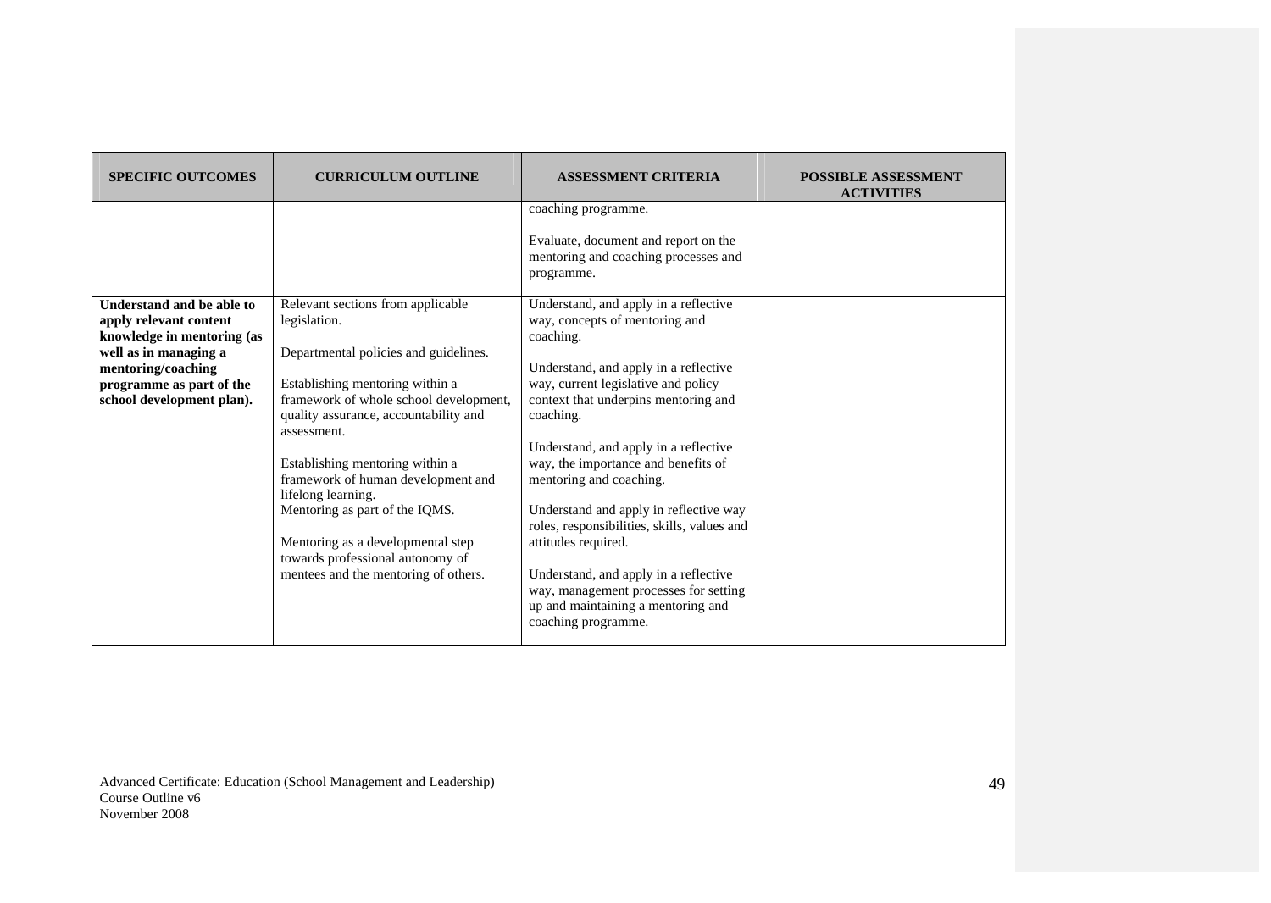| <b>SPECIFIC OUTCOMES</b>                                                                                                                                                                  | <b>CURRICULUM OUTLINE</b>                                                                                                                                                                                                                                                                                                                                                                                                                                                         | <b>ASSESSMENT CRITERIA</b>                                                                                                                                                                                                                                                                                                                                                                                                                                                                                                                                                                                                                                                                                               | <b>POSSIBLE ASSESSMENT</b><br><b>ACTIVITIES</b> |
|-------------------------------------------------------------------------------------------------------------------------------------------------------------------------------------------|-----------------------------------------------------------------------------------------------------------------------------------------------------------------------------------------------------------------------------------------------------------------------------------------------------------------------------------------------------------------------------------------------------------------------------------------------------------------------------------|--------------------------------------------------------------------------------------------------------------------------------------------------------------------------------------------------------------------------------------------------------------------------------------------------------------------------------------------------------------------------------------------------------------------------------------------------------------------------------------------------------------------------------------------------------------------------------------------------------------------------------------------------------------------------------------------------------------------------|-------------------------------------------------|
| Understand and be able to<br>apply relevant content<br>knowledge in mentoring (as<br>well as in managing a<br>mentoring/coaching<br>programme as part of the<br>school development plan). | Relevant sections from applicable<br>legislation.<br>Departmental policies and guidelines.<br>Establishing mentoring within a<br>framework of whole school development,<br>quality assurance, accountability and<br>assessment.<br>Establishing mentoring within a<br>framework of human development and<br>lifelong learning.<br>Mentoring as part of the IQMS.<br>Mentoring as a developmental step<br>towards professional autonomy of<br>mentees and the mentoring of others. | coaching programme.<br>Evaluate, document and report on the<br>mentoring and coaching processes and<br>programme.<br>Understand, and apply in a reflective<br>way, concepts of mentoring and<br>coaching.<br>Understand, and apply in a reflective<br>way, current legislative and policy<br>context that underpins mentoring and<br>coaching.<br>Understand, and apply in a reflective<br>way, the importance and benefits of<br>mentoring and coaching.<br>Understand and apply in reflective way<br>roles, responsibilities, skills, values and<br>attitudes required.<br>Understand, and apply in a reflective<br>way, management processes for setting<br>up and maintaining a mentoring and<br>coaching programme. |                                                 |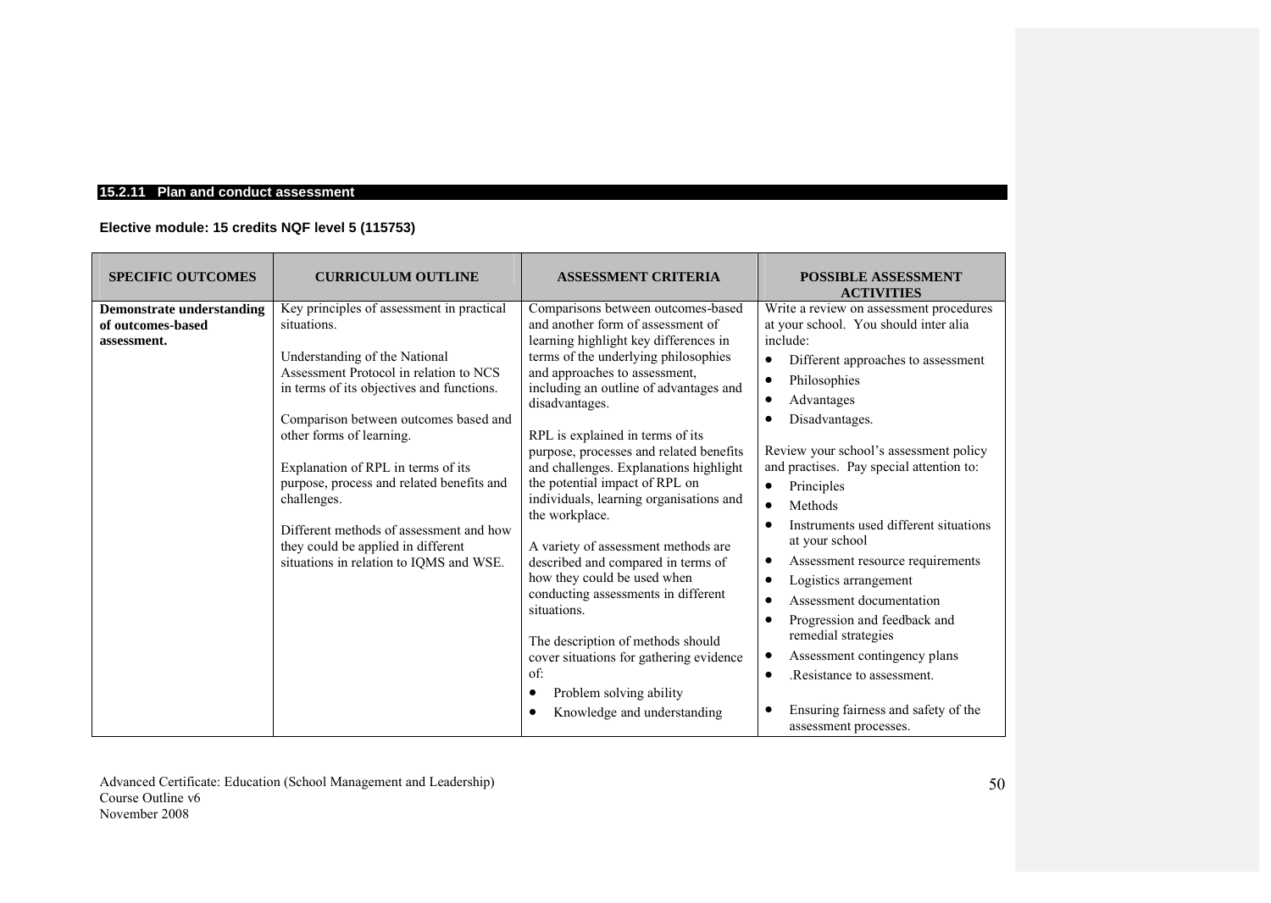### **15.2.11 Plan and conduct assessment**

# **Elective module: 15 credits NQF level 5 (115753)**

| <b>SPECIFIC OUTCOMES</b>                                             | <b>CURRICULUM OUTLINE</b>                                                                                                                                                                                                                                                                                                                                                                                                                                                           | <b>ASSESSMENT CRITERIA</b>                                                                                                                                                                                                                                                                                                                                                                                                                                                                                                                                                                                                                                                                                                                                                                       | <b>POSSIBLE ASSESSMENT</b><br><b>ACTIVITIES</b>                                                                                                                                                                                                                                                                                                                                                                                                                                                                                                                                                                                                                                             |
|----------------------------------------------------------------------|-------------------------------------------------------------------------------------------------------------------------------------------------------------------------------------------------------------------------------------------------------------------------------------------------------------------------------------------------------------------------------------------------------------------------------------------------------------------------------------|--------------------------------------------------------------------------------------------------------------------------------------------------------------------------------------------------------------------------------------------------------------------------------------------------------------------------------------------------------------------------------------------------------------------------------------------------------------------------------------------------------------------------------------------------------------------------------------------------------------------------------------------------------------------------------------------------------------------------------------------------------------------------------------------------|---------------------------------------------------------------------------------------------------------------------------------------------------------------------------------------------------------------------------------------------------------------------------------------------------------------------------------------------------------------------------------------------------------------------------------------------------------------------------------------------------------------------------------------------------------------------------------------------------------------------------------------------------------------------------------------------|
| <b>Demonstrate understanding</b><br>of outcomes-based<br>assessment. | Key principles of assessment in practical<br>situations.<br>Understanding of the National<br>Assessment Protocol in relation to NCS<br>in terms of its objectives and functions.<br>Comparison between outcomes based and<br>other forms of learning.<br>Explanation of RPL in terms of its<br>purpose, process and related benefits and<br>challenges.<br>Different methods of assessment and how<br>they could be applied in different<br>situations in relation to IQMS and WSE. | Comparisons between outcomes-based<br>and another form of assessment of<br>learning highlight key differences in<br>terms of the underlying philosophies<br>and approaches to assessment,<br>including an outline of advantages and<br>disadvantages.<br>RPL is explained in terms of its<br>purpose, processes and related benefits<br>and challenges. Explanations highlight<br>the potential impact of RPL on<br>individuals, learning organisations and<br>the workplace.<br>A variety of assessment methods are<br>described and compared in terms of<br>how they could be used when<br>conducting assessments in different<br>situations.<br>The description of methods should<br>cover situations for gathering evidence<br>of:<br>Problem solving ability<br>Knowledge and understanding | Write a review on assessment procedures<br>at your school. You should inter alia<br>include:<br>Different approaches to assessment<br>Philosophies<br>٠<br>Advantages<br>Disadvantages.<br>Review your school's assessment policy<br>and practises. Pay special attention to:<br>Principles<br>Methods<br>$\bullet$<br>Instruments used different situations<br>at your school<br>Assessment resource requirements<br>٠<br>Logistics arrangement<br>Assessment documentation<br>$\bullet$<br>Progression and feedback and<br>$\epsilon$<br>remedial strategies<br>Assessment contingency plans<br>Resistance to assessment.<br>Ensuring fairness and safety of the<br>assessment processes. |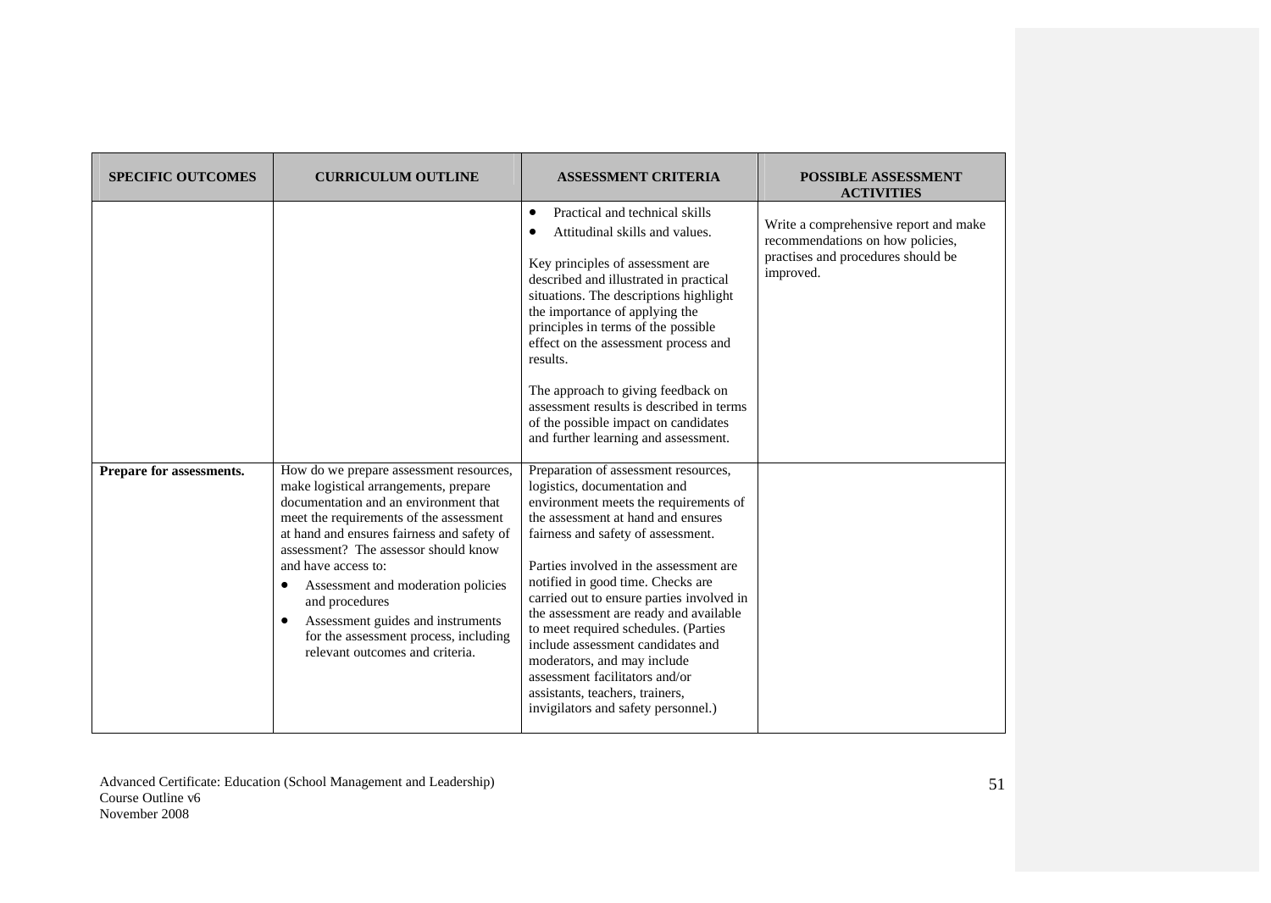| <b>SPECIFIC OUTCOMES</b>              | <b>CURRICULUM OUTLINE</b>                                                                                                                                                                                                                                                                                                                                                                                                                                  | <b>ASSESSMENT CRITERIA</b>                                                                                                                                                                                                                                                                                                                                                                                                                                                                                                                                                                                                                                                                                                                                                                                                                                                                                                                                                                                                                                                                       | <b>POSSIBLE ASSESSMENT</b><br><b>ACTIVITIES</b>                                                                              |
|---------------------------------------|------------------------------------------------------------------------------------------------------------------------------------------------------------------------------------------------------------------------------------------------------------------------------------------------------------------------------------------------------------------------------------------------------------------------------------------------------------|--------------------------------------------------------------------------------------------------------------------------------------------------------------------------------------------------------------------------------------------------------------------------------------------------------------------------------------------------------------------------------------------------------------------------------------------------------------------------------------------------------------------------------------------------------------------------------------------------------------------------------------------------------------------------------------------------------------------------------------------------------------------------------------------------------------------------------------------------------------------------------------------------------------------------------------------------------------------------------------------------------------------------------------------------------------------------------------------------|------------------------------------------------------------------------------------------------------------------------------|
| Prepare for assessments.<br>$\bullet$ | How do we prepare assessment resources,<br>make logistical arrangements, prepare<br>documentation and an environment that<br>meet the requirements of the assessment<br>at hand and ensures fairness and safety of<br>assessment? The assessor should know<br>and have access to:<br>Assessment and moderation policies<br>and procedures<br>Assessment guides and instruments<br>for the assessment process, including<br>relevant outcomes and criteria. | Practical and technical skills<br>$\bullet$<br>Attitudinal skills and values.<br>Key principles of assessment are<br>described and illustrated in practical<br>situations. The descriptions highlight<br>the importance of applying the<br>principles in terms of the possible<br>effect on the assessment process and<br>results.<br>The approach to giving feedback on<br>assessment results is described in terms<br>of the possible impact on candidates<br>and further learning and assessment.<br>Preparation of assessment resources,<br>logistics, documentation and<br>environment meets the requirements of<br>the assessment at hand and ensures<br>fairness and safety of assessment.<br>Parties involved in the assessment are.<br>notified in good time. Checks are<br>carried out to ensure parties involved in<br>the assessment are ready and available<br>to meet required schedules. (Parties<br>include assessment candidates and<br>moderators, and may include<br>assessment facilitators and/or<br>assistants, teachers, trainers,<br>invigilators and safety personnel.) | Write a comprehensive report and make<br>recommendations on how policies,<br>practises and procedures should be<br>improved. |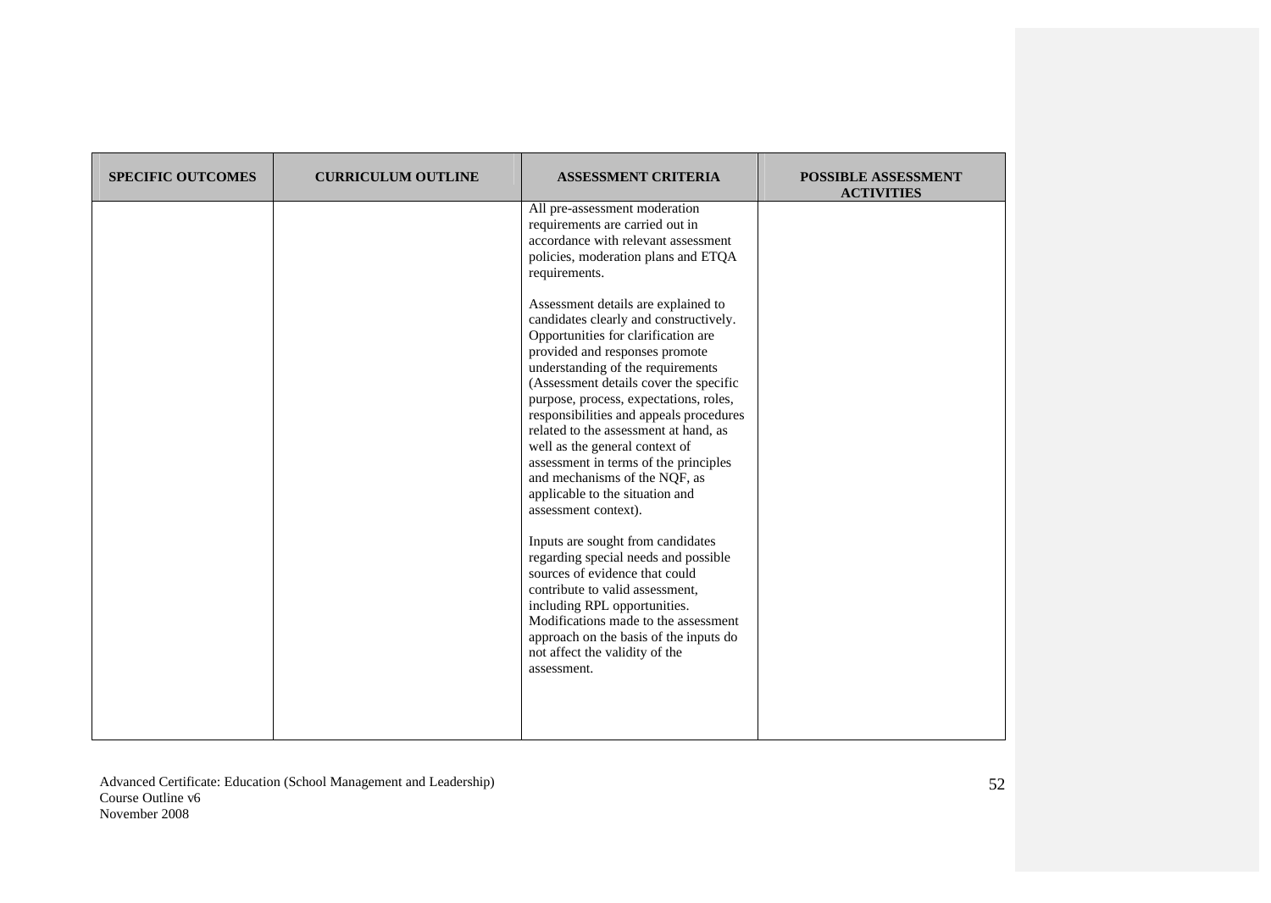| <b>SPECIFIC OUTCOMES</b> | <b>CURRICULUM OUTLINE</b> | <b>ASSESSMENT CRITERIA</b>                                                                                                                                                                                                                                                                                                                                                                                                                                                                                                                 | <b>POSSIBLE ASSESSMENT</b><br><b>ACTIVITIES</b> |
|--------------------------|---------------------------|--------------------------------------------------------------------------------------------------------------------------------------------------------------------------------------------------------------------------------------------------------------------------------------------------------------------------------------------------------------------------------------------------------------------------------------------------------------------------------------------------------------------------------------------|-------------------------------------------------|
|                          |                           | All pre-assessment moderation<br>requirements are carried out in<br>accordance with relevant assessment<br>policies, moderation plans and ETQA<br>requirements.                                                                                                                                                                                                                                                                                                                                                                            |                                                 |
|                          |                           | Assessment details are explained to<br>candidates clearly and constructively.<br>Opportunities for clarification are<br>provided and responses promote<br>understanding of the requirements<br>(Assessment details cover the specific<br>purpose, process, expectations, roles,<br>responsibilities and appeals procedures<br>related to the assessment at hand, as<br>well as the general context of<br>assessment in terms of the principles<br>and mechanisms of the NQF, as<br>applicable to the situation and<br>assessment context). |                                                 |
|                          |                           | Inputs are sought from candidates<br>regarding special needs and possible<br>sources of evidence that could<br>contribute to valid assessment,<br>including RPL opportunities.<br>Modifications made to the assessment<br>approach on the basis of the inputs do<br>not affect the validity of the<br>assessment.                                                                                                                                                                                                                          |                                                 |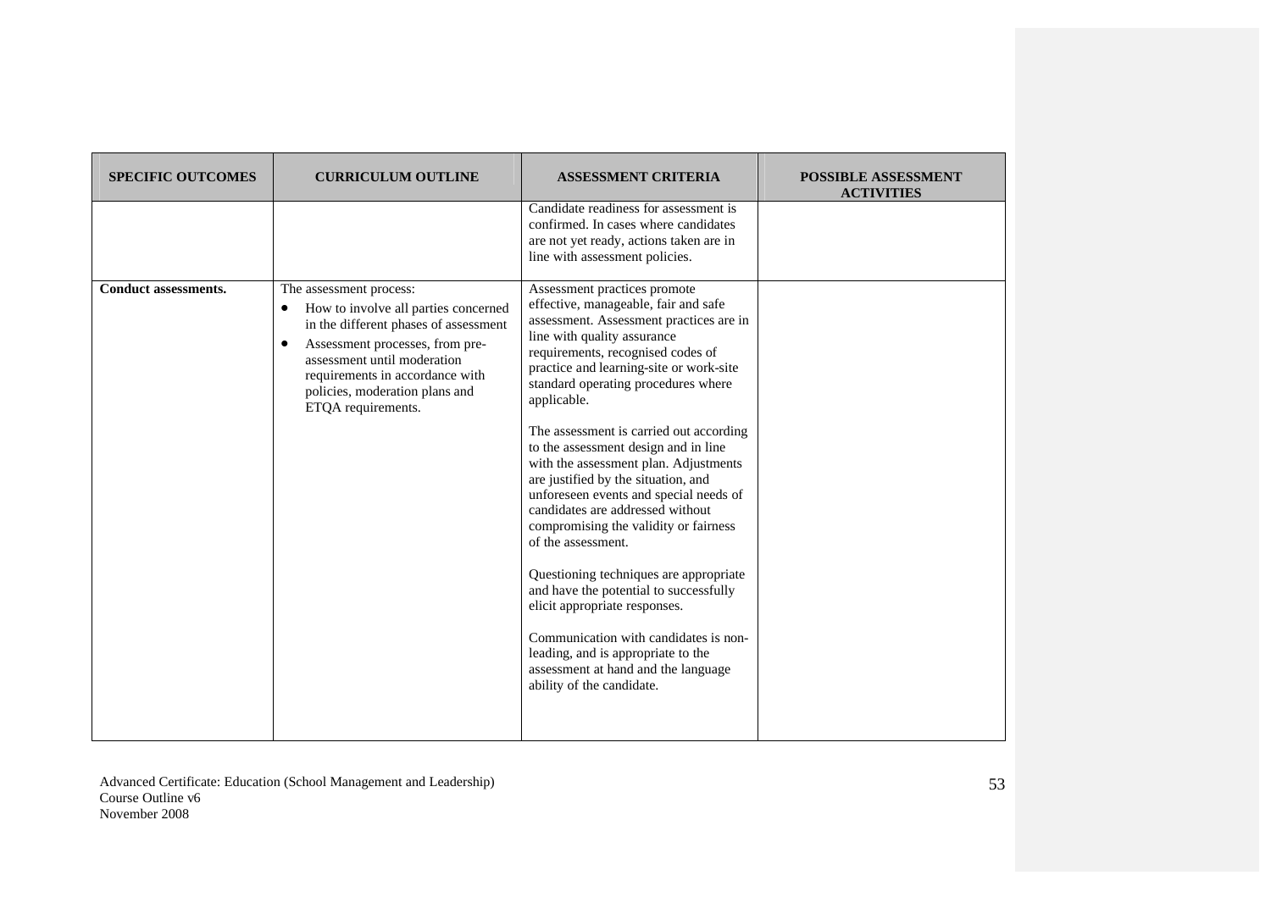| <b>SPECIFIC OUTCOMES</b>    | <b>CURRICULUM OUTLINE</b>                                                                                                                                                                                                                                                  | <b>ASSESSMENT CRITERIA</b>                                                                                                                                                                                                                                                                                                                                                                                                                                                                                                                                                                                                                                                                                                                                                                                                                                                   | <b>POSSIBLE ASSESSMENT</b><br><b>ACTIVITIES</b> |
|-----------------------------|----------------------------------------------------------------------------------------------------------------------------------------------------------------------------------------------------------------------------------------------------------------------------|------------------------------------------------------------------------------------------------------------------------------------------------------------------------------------------------------------------------------------------------------------------------------------------------------------------------------------------------------------------------------------------------------------------------------------------------------------------------------------------------------------------------------------------------------------------------------------------------------------------------------------------------------------------------------------------------------------------------------------------------------------------------------------------------------------------------------------------------------------------------------|-------------------------------------------------|
|                             |                                                                                                                                                                                                                                                                            | Candidate readiness for assessment is<br>confirmed. In cases where candidates<br>are not yet ready, actions taken are in<br>line with assessment policies.                                                                                                                                                                                                                                                                                                                                                                                                                                                                                                                                                                                                                                                                                                                   |                                                 |
| <b>Conduct assessments.</b> | The assessment process:<br>How to involve all parties concerned<br>٠<br>in the different phases of assessment<br>Assessment processes, from pre-<br>assessment until moderation<br>requirements in accordance with<br>policies, moderation plans and<br>ETQA requirements. | Assessment practices promote<br>effective, manageable, fair and safe<br>assessment. Assessment practices are in<br>line with quality assurance<br>requirements, recognised codes of<br>practice and learning-site or work-site<br>standard operating procedures where<br>applicable.<br>The assessment is carried out according<br>to the assessment design and in line<br>with the assessment plan. Adjustments<br>are justified by the situation, and<br>unforeseen events and special needs of<br>candidates are addressed without<br>compromising the validity or fairness<br>of the assessment.<br>Questioning techniques are appropriate<br>and have the potential to successfully<br>elicit appropriate responses.<br>Communication with candidates is non-<br>leading, and is appropriate to the<br>assessment at hand and the language<br>ability of the candidate. |                                                 |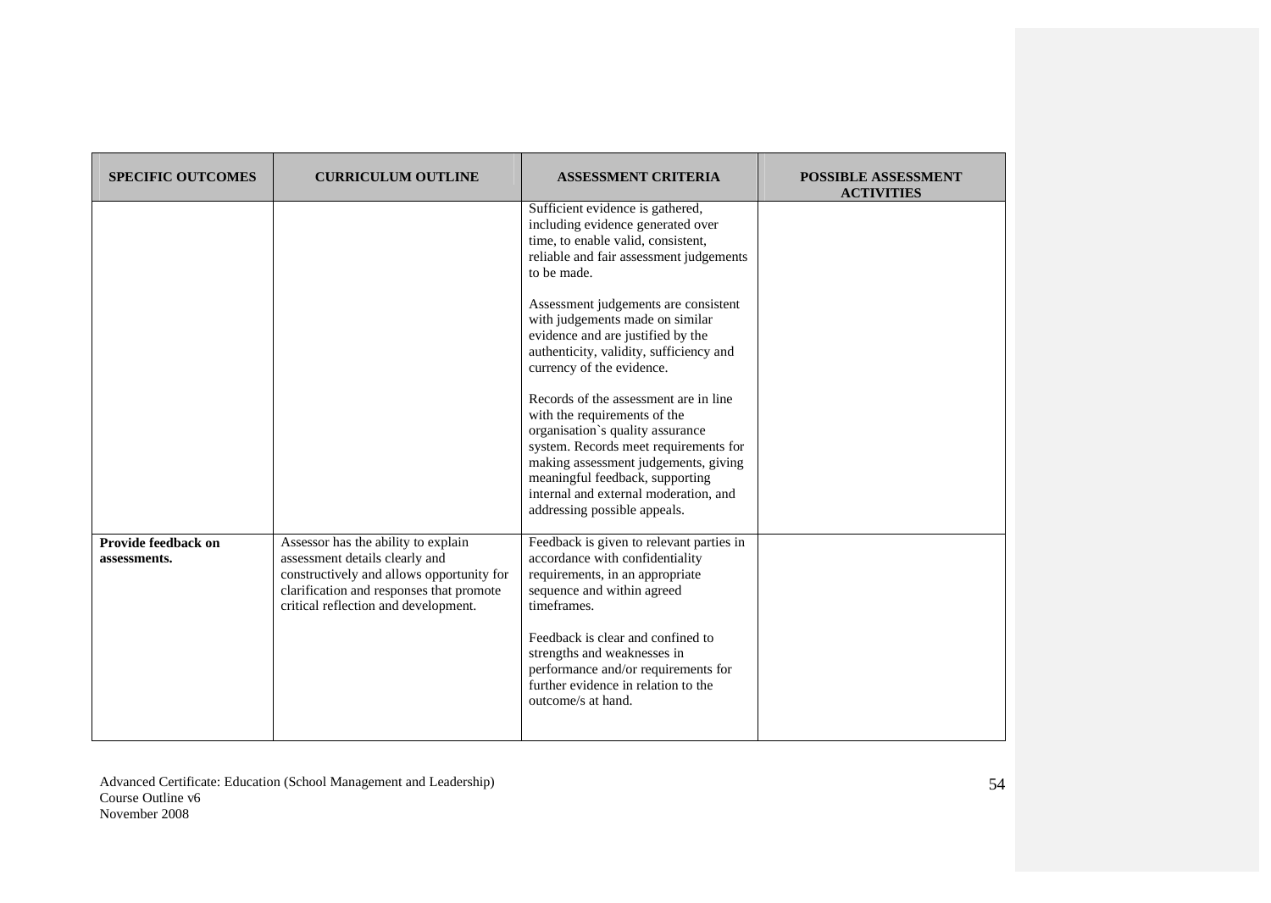| <b>SPECIFIC OUTCOMES</b>            | <b>CURRICULUM OUTLINE</b>                                                                                                                                                                              | <b>ASSESSMENT CRITERIA</b>                                                                                                                                                                                                                                                                             | <b>POSSIBLE ASSESSMENT</b><br><b>ACTIVITIES</b> |
|-------------------------------------|--------------------------------------------------------------------------------------------------------------------------------------------------------------------------------------------------------|--------------------------------------------------------------------------------------------------------------------------------------------------------------------------------------------------------------------------------------------------------------------------------------------------------|-------------------------------------------------|
|                                     |                                                                                                                                                                                                        | Sufficient evidence is gathered,<br>including evidence generated over<br>time, to enable valid, consistent,<br>reliable and fair assessment judgements<br>to be made.                                                                                                                                  |                                                 |
|                                     |                                                                                                                                                                                                        | Assessment judgements are consistent<br>with judgements made on similar<br>evidence and are justified by the<br>authenticity, validity, sufficiency and<br>currency of the evidence.                                                                                                                   |                                                 |
|                                     |                                                                                                                                                                                                        | Records of the assessment are in line<br>with the requirements of the<br>organisation's quality assurance<br>system. Records meet requirements for<br>making assessment judgements, giving<br>meaningful feedback, supporting<br>internal and external moderation, and<br>addressing possible appeals. |                                                 |
| Provide feedback on<br>assessments. | Assessor has the ability to explain<br>assessment details clearly and<br>constructively and allows opportunity for<br>clarification and responses that promote<br>critical reflection and development. | Feedback is given to relevant parties in<br>accordance with confidentiality<br>requirements, in an appropriate<br>sequence and within agreed<br>timeframes.                                                                                                                                            |                                                 |
|                                     |                                                                                                                                                                                                        | Feedback is clear and confined to<br>strengths and weaknesses in<br>performance and/or requirements for<br>further evidence in relation to the<br>outcome/s at hand.                                                                                                                                   |                                                 |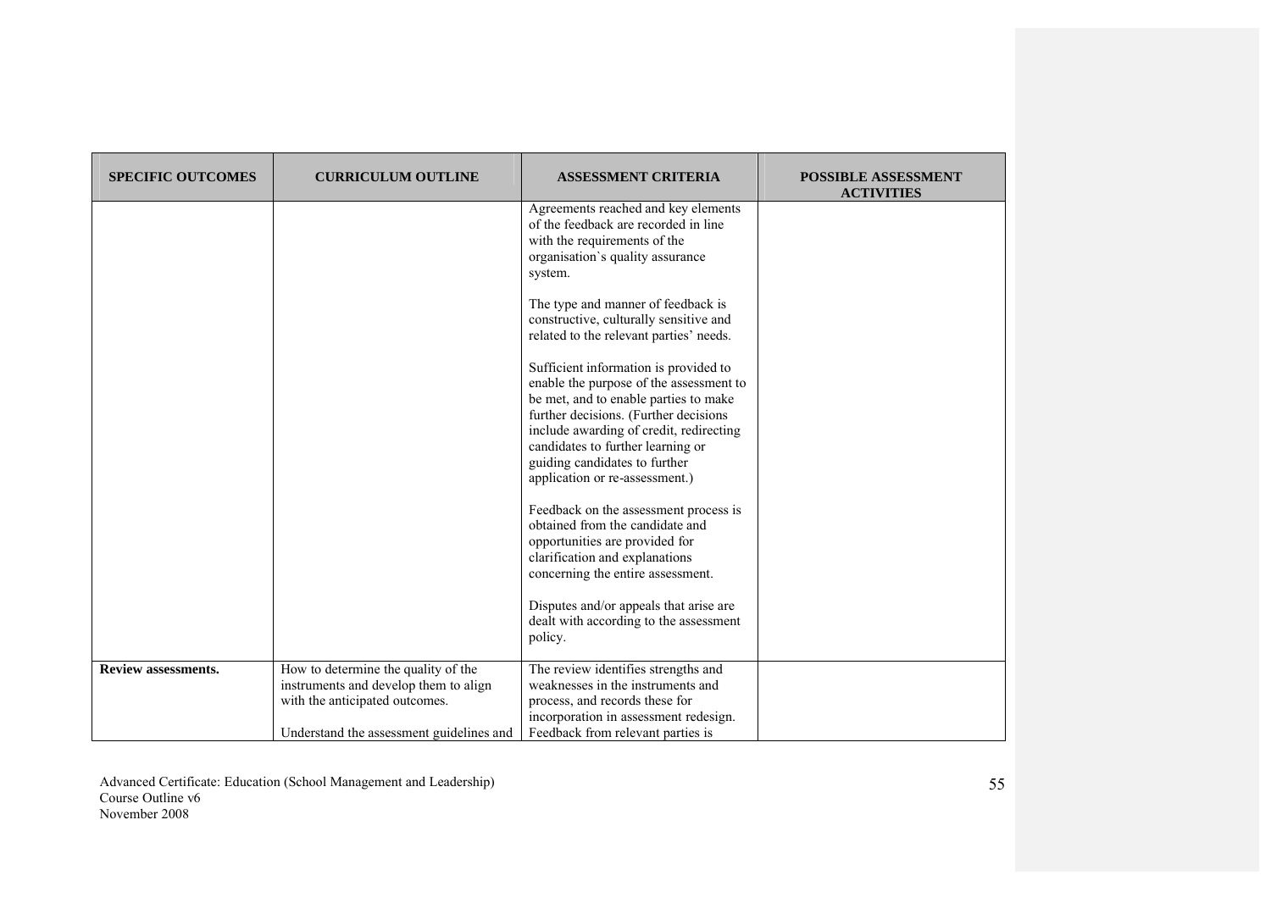| <b>SPECIFIC OUTCOMES</b>   | <b>CURRICULUM OUTLINE</b>                                                                                                                                  | <b>ASSESSMENT CRITERIA</b>                                                                                                                                                                                                                                                                                            | <b>POSSIBLE ASSESSMENT</b><br><b>ACTIVITIES</b> |
|----------------------------|------------------------------------------------------------------------------------------------------------------------------------------------------------|-----------------------------------------------------------------------------------------------------------------------------------------------------------------------------------------------------------------------------------------------------------------------------------------------------------------------|-------------------------------------------------|
|                            |                                                                                                                                                            | Agreements reached and key elements<br>of the feedback are recorded in line<br>with the requirements of the<br>organisation's quality assurance<br>system.                                                                                                                                                            |                                                 |
|                            |                                                                                                                                                            | The type and manner of feedback is<br>constructive, culturally sensitive and<br>related to the relevant parties' needs.                                                                                                                                                                                               |                                                 |
|                            |                                                                                                                                                            | Sufficient information is provided to<br>enable the purpose of the assessment to<br>be met, and to enable parties to make<br>further decisions. (Further decisions<br>include awarding of credit, redirecting<br>candidates to further learning or<br>guiding candidates to further<br>application or re-assessment.) |                                                 |
|                            |                                                                                                                                                            | Feedback on the assessment process is<br>obtained from the candidate and<br>opportunities are provided for<br>clarification and explanations<br>concerning the entire assessment.                                                                                                                                     |                                                 |
|                            |                                                                                                                                                            | Disputes and/or appeals that arise are<br>dealt with according to the assessment<br>policy.                                                                                                                                                                                                                           |                                                 |
| <b>Review assessments.</b> | How to determine the quality of the<br>instruments and develop them to align<br>with the anticipated outcomes.<br>Understand the assessment guidelines and | The review identifies strengths and<br>weaknesses in the instruments and<br>process, and records these for<br>incorporation in assessment redesign.<br>Feedback from relevant parties is                                                                                                                              |                                                 |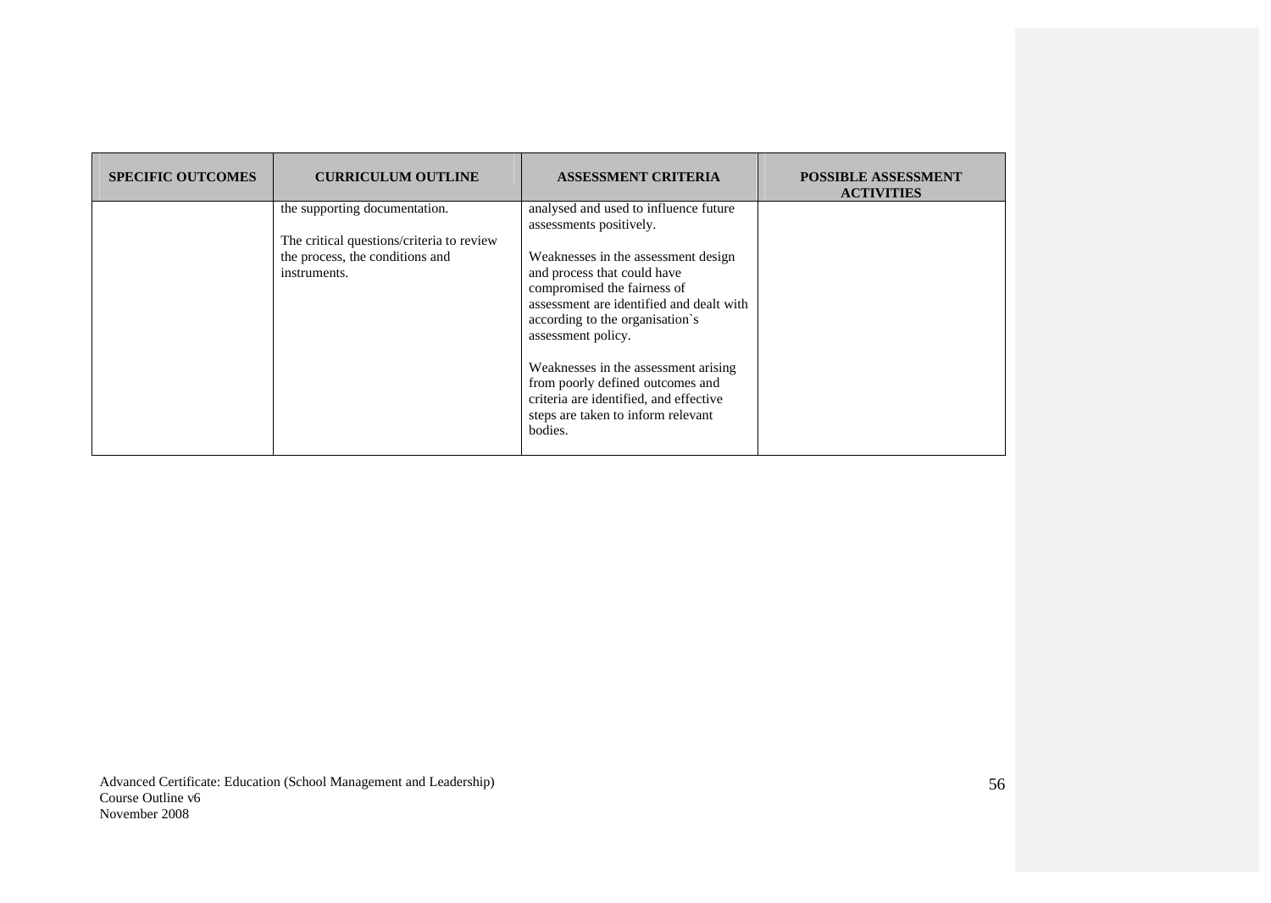| <b>SPECIFIC OUTCOMES</b> | <b>CURRICULUM OUTLINE</b>                                                                                                     | <b>ASSESSMENT CRITERIA</b>                                                                                                                                                                                                                                                                                                                                                                                                                        | <b>POSSIBLE ASSESSMENT</b><br><b>ACTIVITIES</b> |
|--------------------------|-------------------------------------------------------------------------------------------------------------------------------|---------------------------------------------------------------------------------------------------------------------------------------------------------------------------------------------------------------------------------------------------------------------------------------------------------------------------------------------------------------------------------------------------------------------------------------------------|-------------------------------------------------|
|                          | the supporting documentation.<br>The critical questions/criteria to review<br>the process, the conditions and<br>instruments. | analysed and used to influence future<br>assessments positively.<br>Weaknesses in the assessment design<br>and process that could have<br>compromised the fairness of<br>assessment are identified and dealt with<br>according to the organisation's<br>assessment policy.<br>Weaknesses in the assessment arising<br>from poorly defined outcomes and<br>criteria are identified, and effective<br>steps are taken to inform relevant<br>bodies. |                                                 |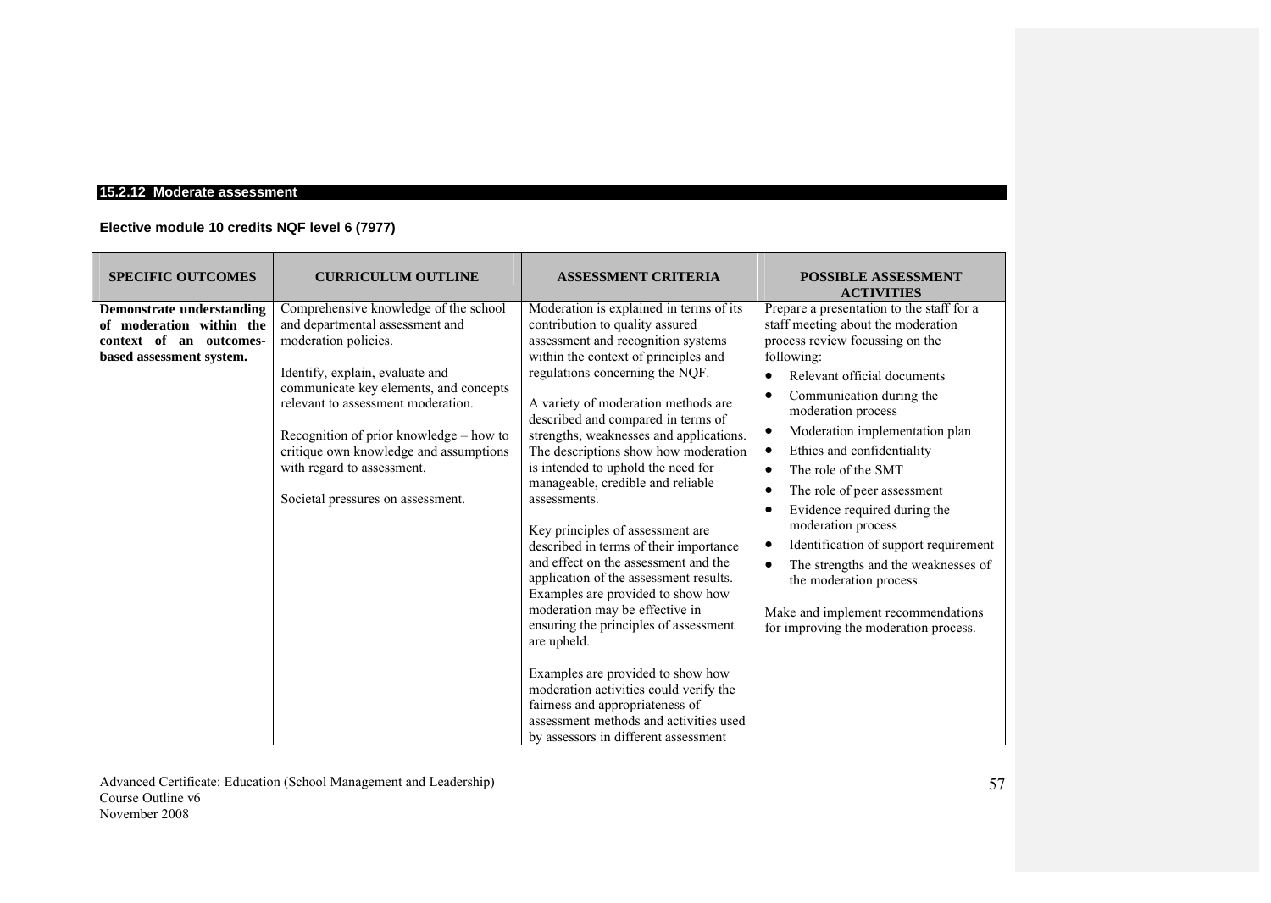## **15.2.12 Moderate assessment**

# **Elective module 10 credits NQF level 6 (7977)**

| <b>SPECIFIC OUTCOMES</b>                                                                                     | <b>CURRICULUM OUTLINE</b>                                                                                                                                                                                                                                                                                                                                                   | <b>ASSESSMENT CRITERIA</b>                                                                                                                                                                                                                                                                                                                                                                                                                                                                                                                                                                                                                                                                                                                                                                                                                                                                                                                                | <b>POSSIBLE ASSESSMENT</b><br><b>ACTIVITIES</b>                                                                                                                                                                                                                                                                                                                                                                                                                                                                                                                                         |
|--------------------------------------------------------------------------------------------------------------|-----------------------------------------------------------------------------------------------------------------------------------------------------------------------------------------------------------------------------------------------------------------------------------------------------------------------------------------------------------------------------|-----------------------------------------------------------------------------------------------------------------------------------------------------------------------------------------------------------------------------------------------------------------------------------------------------------------------------------------------------------------------------------------------------------------------------------------------------------------------------------------------------------------------------------------------------------------------------------------------------------------------------------------------------------------------------------------------------------------------------------------------------------------------------------------------------------------------------------------------------------------------------------------------------------------------------------------------------------|-----------------------------------------------------------------------------------------------------------------------------------------------------------------------------------------------------------------------------------------------------------------------------------------------------------------------------------------------------------------------------------------------------------------------------------------------------------------------------------------------------------------------------------------------------------------------------------------|
| Demonstrate understanding<br>of moderation within the<br>context of an outcomes-<br>based assessment system. | Comprehensive knowledge of the school<br>and departmental assessment and<br>moderation policies.<br>Identify, explain, evaluate and<br>communicate key elements, and concepts<br>relevant to assessment moderation.<br>Recognition of prior knowledge – how to<br>critique own knowledge and assumptions<br>with regard to assessment.<br>Societal pressures on assessment. | Moderation is explained in terms of its<br>contribution to quality assured<br>assessment and recognition systems<br>within the context of principles and<br>regulations concerning the NQF.<br>A variety of moderation methods are<br>described and compared in terms of<br>strengths, weaknesses and applications.<br>The descriptions show how moderation<br>is intended to uphold the need for<br>manageable, credible and reliable<br>assessments.<br>Key principles of assessment are<br>described in terms of their importance<br>and effect on the assessment and the<br>application of the assessment results.<br>Examples are provided to show how<br>moderation may be effective in<br>ensuring the principles of assessment<br>are upheld.<br>Examples are provided to show how<br>moderation activities could verify the<br>fairness and appropriateness of<br>assessment methods and activities used<br>by assessors in different assessment | Prepare a presentation to the staff for a<br>staff meeting about the moderation<br>process review focussing on the<br>following:<br>Relevant official documents<br>Communication during the<br>moderation process<br>Moderation implementation plan<br>Ethics and confidentiality<br>The role of the SMT<br>The role of peer assessment<br>Evidence required during the<br>moderation process<br>Identification of support requirement<br>The strengths and the weaknesses of<br>the moderation process.<br>Make and implement recommendations<br>for improving the moderation process. |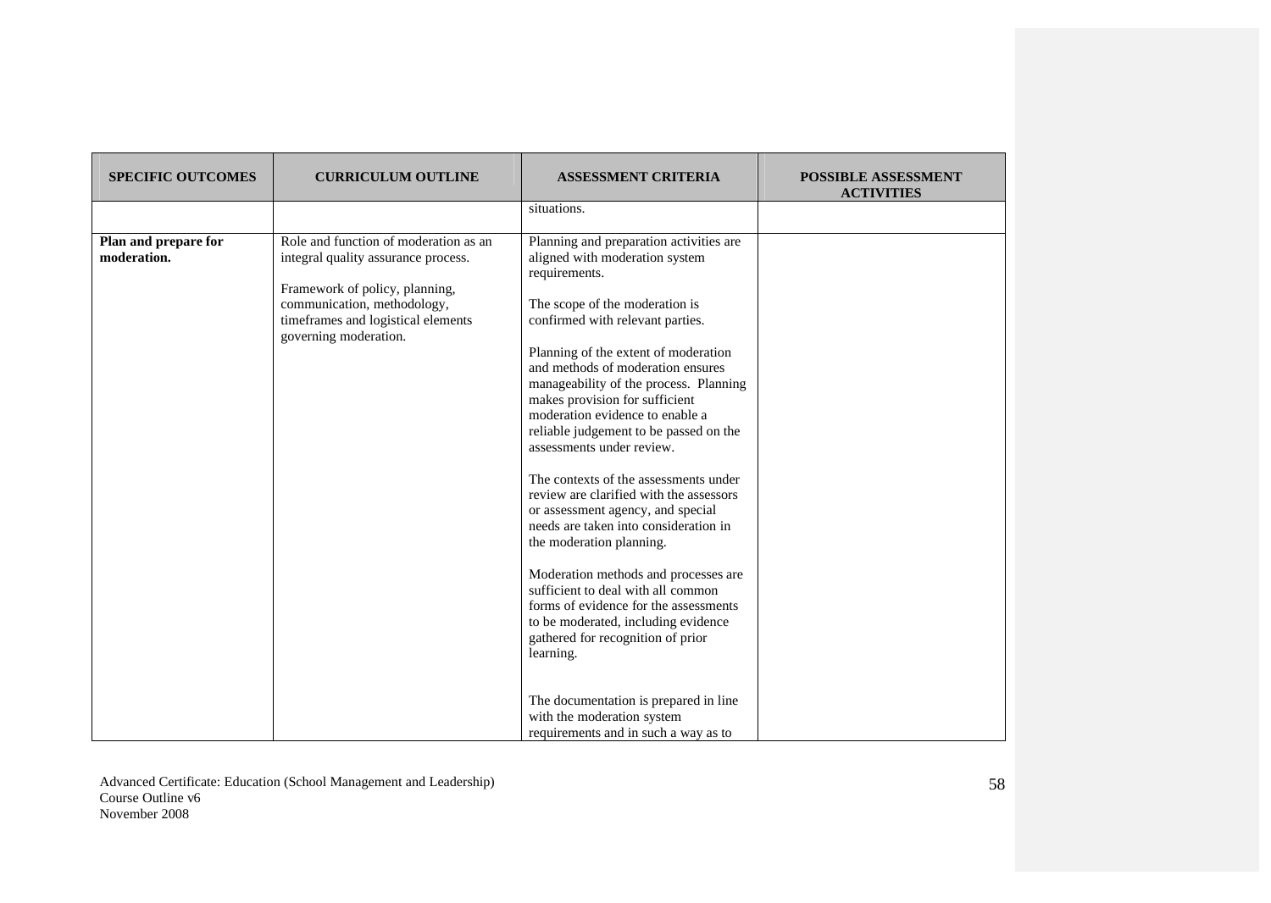| <b>SPECIFIC OUTCOMES</b>            | <b>CURRICULUM OUTLINE</b>                                                                                                                                                                                    | <b>ASSESSMENT CRITERIA</b>                                                                                                                                                                                                                                                                                                                                                                                                                                                                                                                                                                                                                                                                                                                                                                                                                        | <b>POSSIBLE ASSESSMENT</b><br><b>ACTIVITIES</b> |
|-------------------------------------|--------------------------------------------------------------------------------------------------------------------------------------------------------------------------------------------------------------|---------------------------------------------------------------------------------------------------------------------------------------------------------------------------------------------------------------------------------------------------------------------------------------------------------------------------------------------------------------------------------------------------------------------------------------------------------------------------------------------------------------------------------------------------------------------------------------------------------------------------------------------------------------------------------------------------------------------------------------------------------------------------------------------------------------------------------------------------|-------------------------------------------------|
|                                     |                                                                                                                                                                                                              | situations.                                                                                                                                                                                                                                                                                                                                                                                                                                                                                                                                                                                                                                                                                                                                                                                                                                       |                                                 |
| Plan and prepare for<br>moderation. | Role and function of moderation as an<br>integral quality assurance process.<br>Framework of policy, planning,<br>communication, methodology,<br>timeframes and logistical elements<br>governing moderation. | Planning and preparation activities are<br>aligned with moderation system<br>requirements.<br>The scope of the moderation is<br>confirmed with relevant parties.<br>Planning of the extent of moderation<br>and methods of moderation ensures<br>manageability of the process. Planning<br>makes provision for sufficient<br>moderation evidence to enable a<br>reliable judgement to be passed on the<br>assessments under review.<br>The contexts of the assessments under<br>review are clarified with the assessors<br>or assessment agency, and special<br>needs are taken into consideration in<br>the moderation planning.<br>Moderation methods and processes are<br>sufficient to deal with all common<br>forms of evidence for the assessments<br>to be moderated, including evidence<br>gathered for recognition of prior<br>learning. |                                                 |
|                                     |                                                                                                                                                                                                              | The documentation is prepared in line<br>with the moderation system<br>requirements and in such a way as to                                                                                                                                                                                                                                                                                                                                                                                                                                                                                                                                                                                                                                                                                                                                       |                                                 |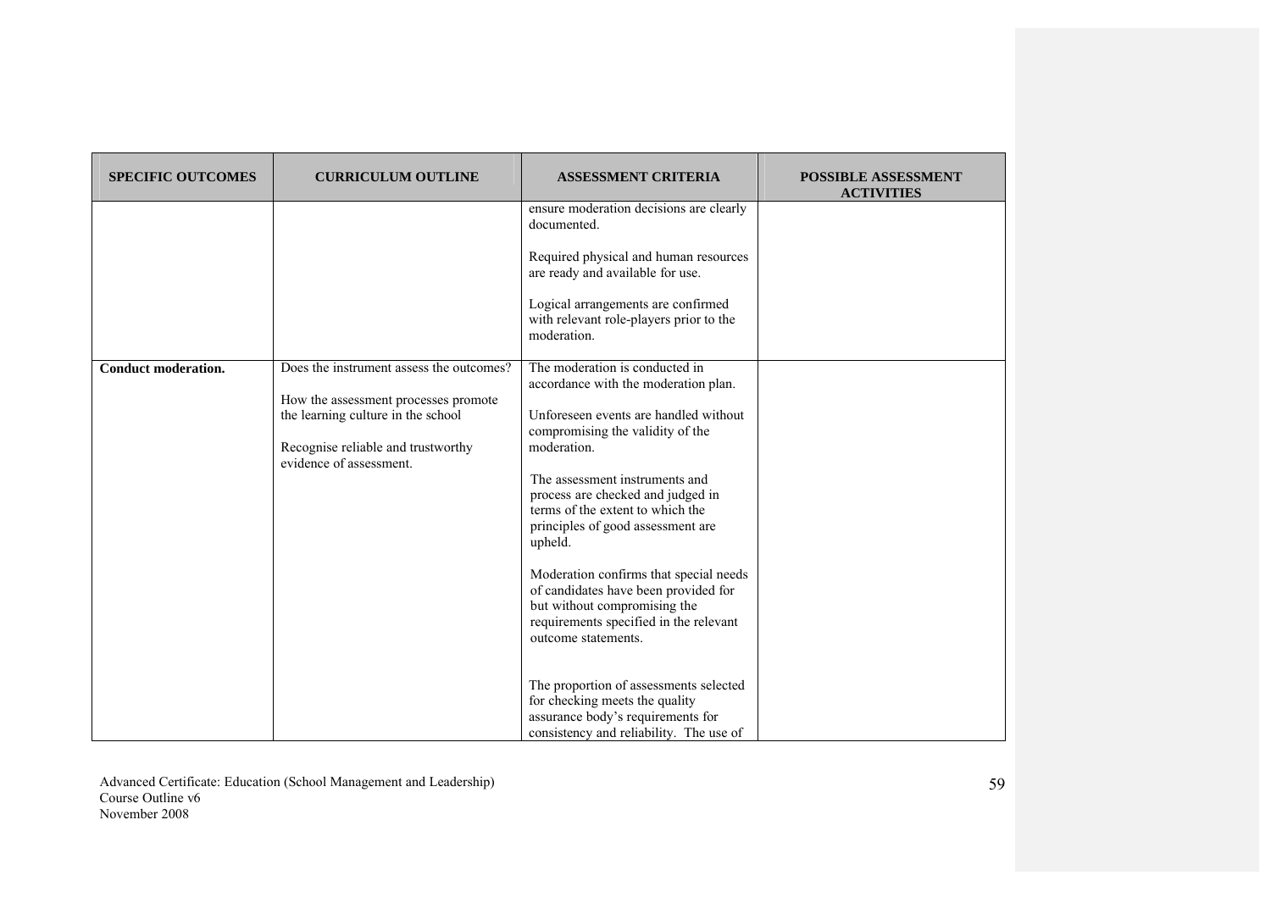| <b>SPECIFIC OUTCOMES</b>   | <b>CURRICULUM OUTLINE</b>                                                                                                                                                               | <b>ASSESSMENT CRITERIA</b>                                                                                                                                                                                                                                                                                                                                                                                                                                                                                                                                                                                                                                                   | <b>POSSIBLE ASSESSMENT</b><br><b>ACTIVITIES</b> |
|----------------------------|-----------------------------------------------------------------------------------------------------------------------------------------------------------------------------------------|------------------------------------------------------------------------------------------------------------------------------------------------------------------------------------------------------------------------------------------------------------------------------------------------------------------------------------------------------------------------------------------------------------------------------------------------------------------------------------------------------------------------------------------------------------------------------------------------------------------------------------------------------------------------------|-------------------------------------------------|
|                            |                                                                                                                                                                                         | ensure moderation decisions are clearly<br>documented.<br>Required physical and human resources<br>are ready and available for use.<br>Logical arrangements are confirmed<br>with relevant role-players prior to the<br>moderation.                                                                                                                                                                                                                                                                                                                                                                                                                                          |                                                 |
| <b>Conduct moderation.</b> | Does the instrument assess the outcomes?<br>How the assessment processes promote<br>the learning culture in the school<br>Recognise reliable and trustworthy<br>evidence of assessment. | The moderation is conducted in<br>accordance with the moderation plan.<br>Unforeseen events are handled without<br>compromising the validity of the<br>moderation.<br>The assessment instruments and<br>process are checked and judged in<br>terms of the extent to which the<br>principles of good assessment are<br>upheld.<br>Moderation confirms that special needs<br>of candidates have been provided for<br>but without compromising the<br>requirements specified in the relevant<br>outcome statements.<br>The proportion of assessments selected<br>for checking meets the quality<br>assurance body's requirements for<br>consistency and reliability. The use of |                                                 |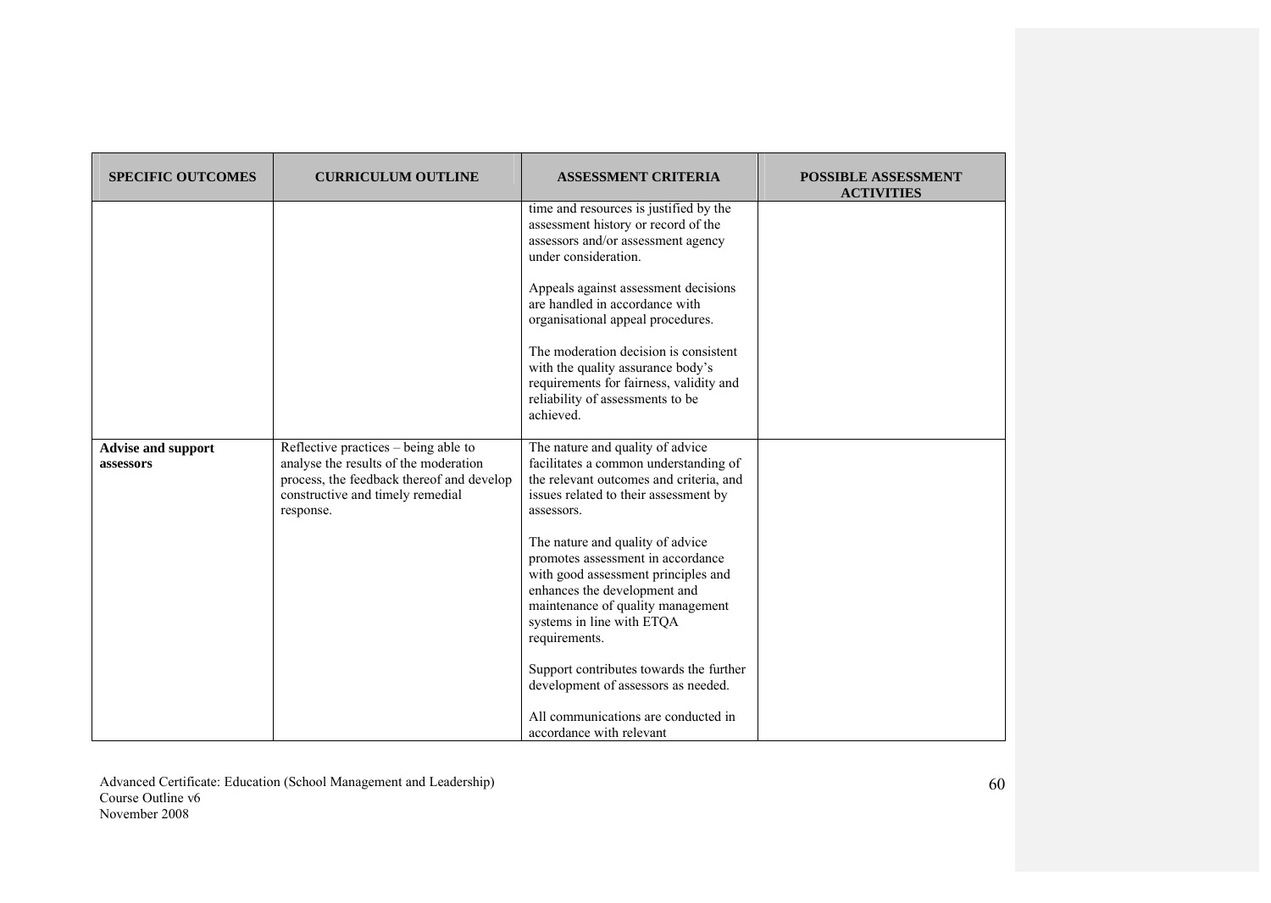| <b>SPECIFIC OUTCOMES</b>               | <b>CURRICULUM OUTLINE</b>                                                                                                                                                   | <b>ASSESSMENT CRITERIA</b>                                                                                                                                                                                                      | <b>POSSIBLE ASSESSMENT</b><br><b>ACTIVITIES</b> |
|----------------------------------------|-----------------------------------------------------------------------------------------------------------------------------------------------------------------------------|---------------------------------------------------------------------------------------------------------------------------------------------------------------------------------------------------------------------------------|-------------------------------------------------|
|                                        |                                                                                                                                                                             | time and resources is justified by the<br>assessment history or record of the<br>assessors and/or assessment agency<br>under consideration.                                                                                     |                                                 |
|                                        |                                                                                                                                                                             | Appeals against assessment decisions<br>are handled in accordance with<br>organisational appeal procedures.                                                                                                                     |                                                 |
|                                        |                                                                                                                                                                             | The moderation decision is consistent<br>with the quality assurance body's<br>requirements for fairness, validity and<br>reliability of assessments to be<br>achieved.                                                          |                                                 |
| <b>Advise and support</b><br>assessors | Reflective practices – being able to<br>analyse the results of the moderation<br>process, the feedback thereof and develop<br>constructive and timely remedial<br>response. | The nature and quality of advice<br>facilitates a common understanding of<br>the relevant outcomes and criteria, and<br>issues related to their assessment by<br>assessors.                                                     |                                                 |
|                                        |                                                                                                                                                                             | The nature and quality of advice<br>promotes assessment in accordance<br>with good assessment principles and<br>enhances the development and<br>maintenance of quality management<br>systems in line with ETQA<br>requirements. |                                                 |
|                                        |                                                                                                                                                                             | Support contributes towards the further<br>development of assessors as needed.                                                                                                                                                  |                                                 |
|                                        |                                                                                                                                                                             | All communications are conducted in<br>accordance with relevant                                                                                                                                                                 |                                                 |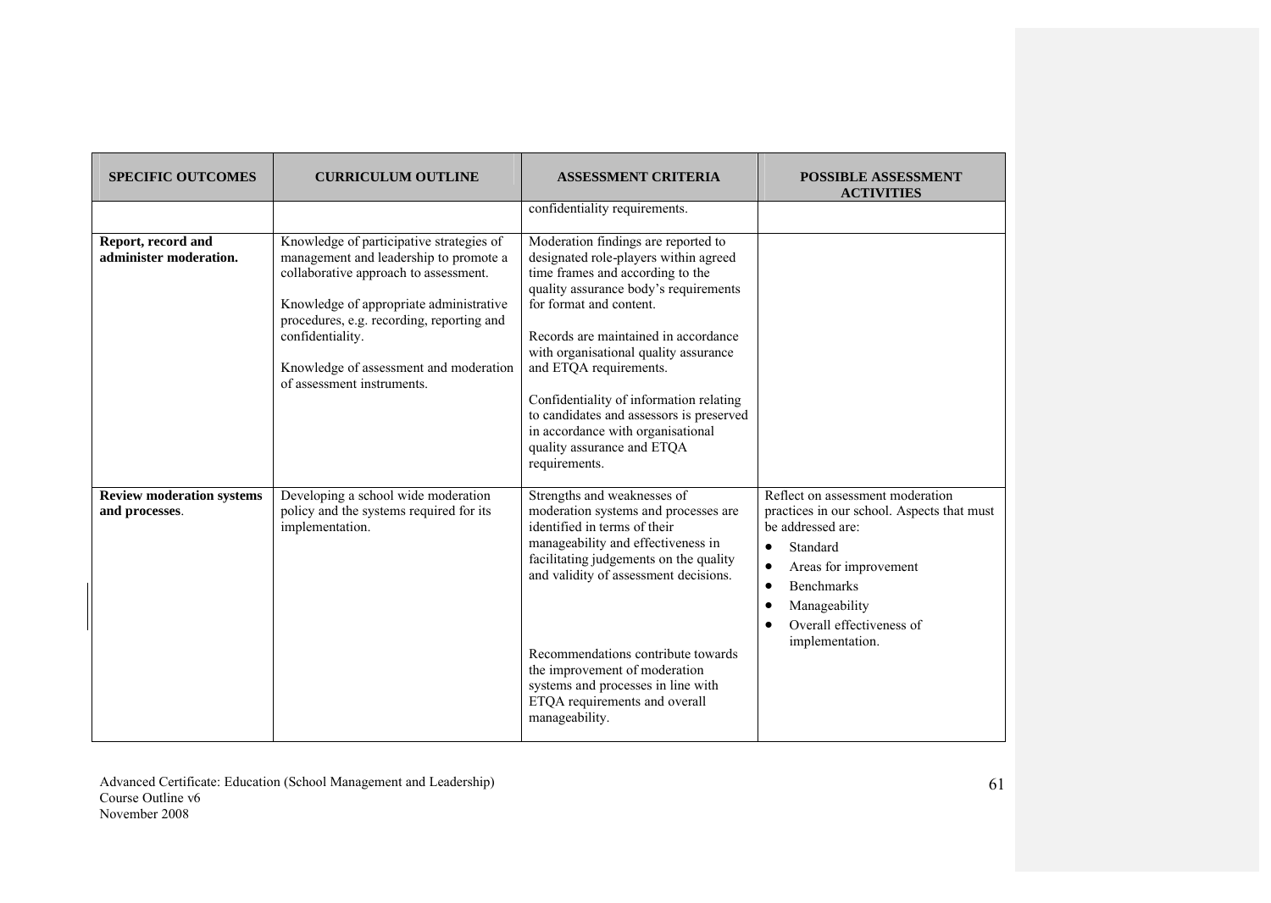| <b>SPECIFIC OUTCOMES</b>                           | <b>CURRICULUM OUTLINE</b>                                                                                                                                                                                                                                                                                       | <b>ASSESSMENT CRITERIA</b>                                                                                                                                                                                                                                                                                                                                                                                                                                                 | <b>POSSIBLE ASSESSMENT</b><br><b>ACTIVITIES</b>                                                                                                                                                                                                                                                |
|----------------------------------------------------|-----------------------------------------------------------------------------------------------------------------------------------------------------------------------------------------------------------------------------------------------------------------------------------------------------------------|----------------------------------------------------------------------------------------------------------------------------------------------------------------------------------------------------------------------------------------------------------------------------------------------------------------------------------------------------------------------------------------------------------------------------------------------------------------------------|------------------------------------------------------------------------------------------------------------------------------------------------------------------------------------------------------------------------------------------------------------------------------------------------|
|                                                    |                                                                                                                                                                                                                                                                                                                 | confidentiality requirements.                                                                                                                                                                                                                                                                                                                                                                                                                                              |                                                                                                                                                                                                                                                                                                |
| Report, record and<br>administer moderation.       | Knowledge of participative strategies of<br>management and leadership to promote a<br>collaborative approach to assessment.<br>Knowledge of appropriate administrative<br>procedures, e.g. recording, reporting and<br>confidentiality.<br>Knowledge of assessment and moderation<br>of assessment instruments. | Moderation findings are reported to<br>designated role-players within agreed<br>time frames and according to the<br>quality assurance body's requirements<br>for format and content.<br>Records are maintained in accordance<br>with organisational quality assurance<br>and ETQA requirements.<br>Confidentiality of information relating<br>to candidates and assessors is preserved<br>in accordance with organisational<br>quality assurance and ETQA<br>requirements. |                                                                                                                                                                                                                                                                                                |
| <b>Review moderation systems</b><br>and processes. | Developing a school wide moderation<br>policy and the systems required for its<br>implementation.                                                                                                                                                                                                               | Strengths and weaknesses of<br>moderation systems and processes are<br>identified in terms of their<br>manageability and effectiveness in<br>facilitating judgements on the quality<br>and validity of assessment decisions.<br>Recommendations contribute towards<br>the improvement of moderation<br>systems and processes in line with<br>ETQA requirements and overall<br>manageability.                                                                               | Reflect on assessment moderation<br>practices in our school. Aspects that must<br>be addressed are:<br>Standard<br>$\bullet$<br>Areas for improvement<br>$\bullet$<br><b>Benchmarks</b><br>$\bullet$<br>Manageability<br>$\bullet$<br>Overall effectiveness of<br>$\bullet$<br>implementation. |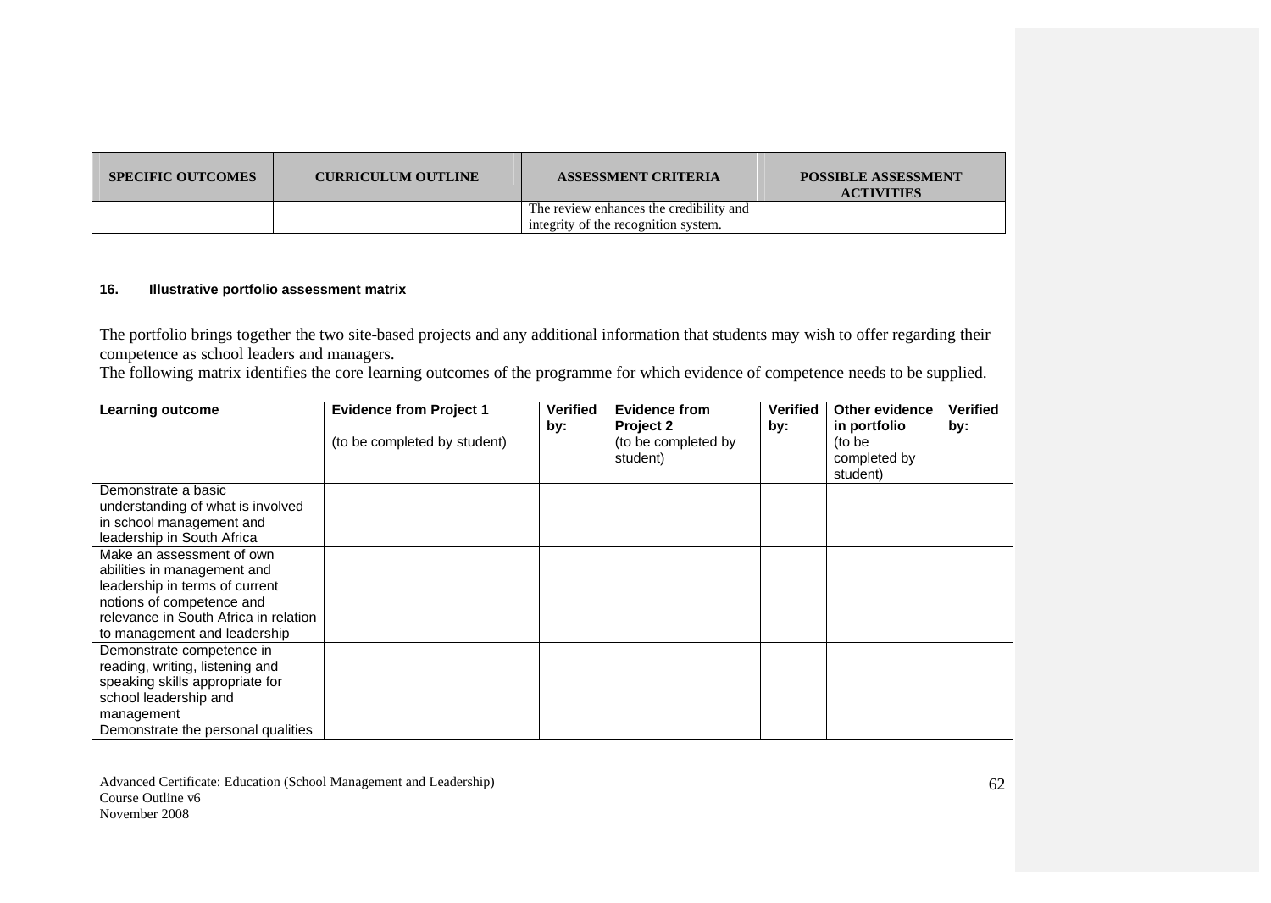| <b>SPECIFIC OUTCOMES</b> | <b>CURRICULUM OUTLINE</b> | <b>ASSESSMENT CRITERIA</b>              | <b>POSSIBLE ASSESSMENT</b><br><b>ACTIVITIES</b> |
|--------------------------|---------------------------|-----------------------------------------|-------------------------------------------------|
|                          |                           | The review enhances the credibility and |                                                 |
|                          |                           | integrity of the recognition system.    |                                                 |

### **16. Illustrative portfolio assessment matrix**

The portfolio brings together the two site-based projects and any additional information that students may wish to offer regarding their competence as school leaders and managers.

The following matrix identifies the core learning outcomes of the programme for which evidence of competence needs to be supplied.

| <b>Learning outcome</b>                                                                                                                                                                          | <b>Evidence from Project 1</b> | <b>Verified</b> | <b>Evidence from</b>            | <b>Verified</b> | <b>Other evidence</b>              | <b>Verified</b> |
|--------------------------------------------------------------------------------------------------------------------------------------------------------------------------------------------------|--------------------------------|-----------------|---------------------------------|-----------------|------------------------------------|-----------------|
|                                                                                                                                                                                                  |                                | by:             | Project 2                       | by:             | in portfolio                       | by:             |
|                                                                                                                                                                                                  | (to be completed by student)   |                 | (to be completed by<br>student) |                 | (to be<br>completed by<br>student) |                 |
| Demonstrate a basic<br>understanding of what is involved<br>in school management and<br>leadership in South Africa                                                                               |                                |                 |                                 |                 |                                    |                 |
| Make an assessment of own<br>abilities in management and<br>leadership in terms of current<br>notions of competence and<br>relevance in South Africa in relation<br>to management and leadership |                                |                 |                                 |                 |                                    |                 |
| Demonstrate competence in<br>reading, writing, listening and<br>speaking skills appropriate for<br>school leadership and<br>management                                                           |                                |                 |                                 |                 |                                    |                 |
| Demonstrate the personal qualities                                                                                                                                                               |                                |                 |                                 |                 |                                    |                 |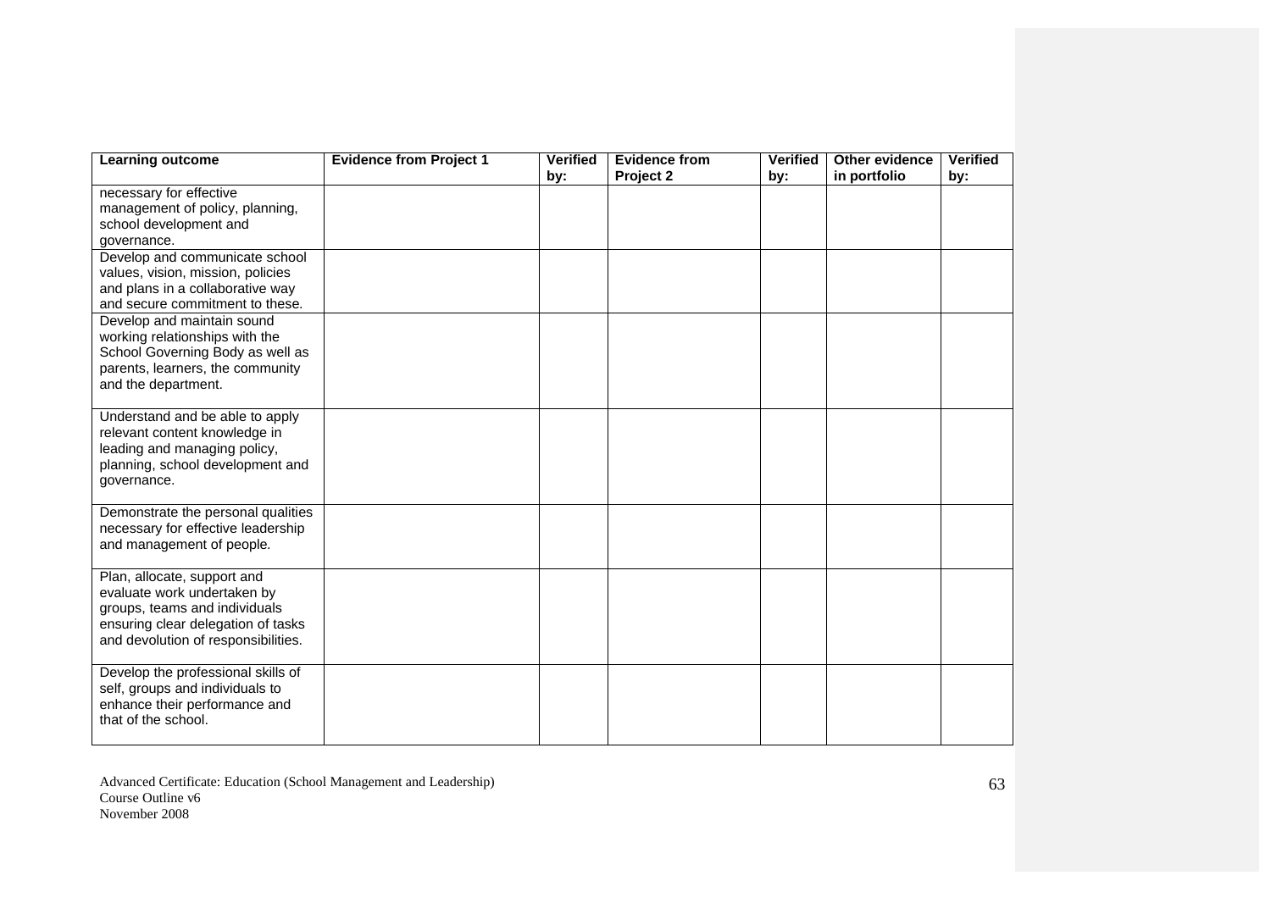| Learning outcome                                                                                                                                                         | <b>Evidence from Project 1</b> | <b>Verified</b><br>by: | <b>Evidence from</b><br>Project 2 | <b>Verified</b><br>by: | Other evidence<br>in portfolio | <b>Verified</b><br>by: |
|--------------------------------------------------------------------------------------------------------------------------------------------------------------------------|--------------------------------|------------------------|-----------------------------------|------------------------|--------------------------------|------------------------|
| necessary for effective<br>management of policy, planning,<br>school development and<br>governance.                                                                      |                                |                        |                                   |                        |                                |                        |
| Develop and communicate school<br>values, vision, mission, policies<br>and plans in a collaborative way<br>and secure commitment to these.                               |                                |                        |                                   |                        |                                |                        |
| Develop and maintain sound<br>working relationships with the<br>School Governing Body as well as<br>parents, learners, the community<br>and the department.              |                                |                        |                                   |                        |                                |                        |
| Understand and be able to apply<br>relevant content knowledge in<br>leading and managing policy,<br>planning, school development and<br>governance.                      |                                |                        |                                   |                        |                                |                        |
| Demonstrate the personal qualities<br>necessary for effective leadership<br>and management of people.                                                                    |                                |                        |                                   |                        |                                |                        |
| Plan, allocate, support and<br>evaluate work undertaken by<br>groups, teams and individuals<br>ensuring clear delegation of tasks<br>and devolution of responsibilities. |                                |                        |                                   |                        |                                |                        |
| Develop the professional skills of<br>self, groups and individuals to<br>enhance their performance and<br>that of the school.                                            |                                |                        |                                   |                        |                                |                        |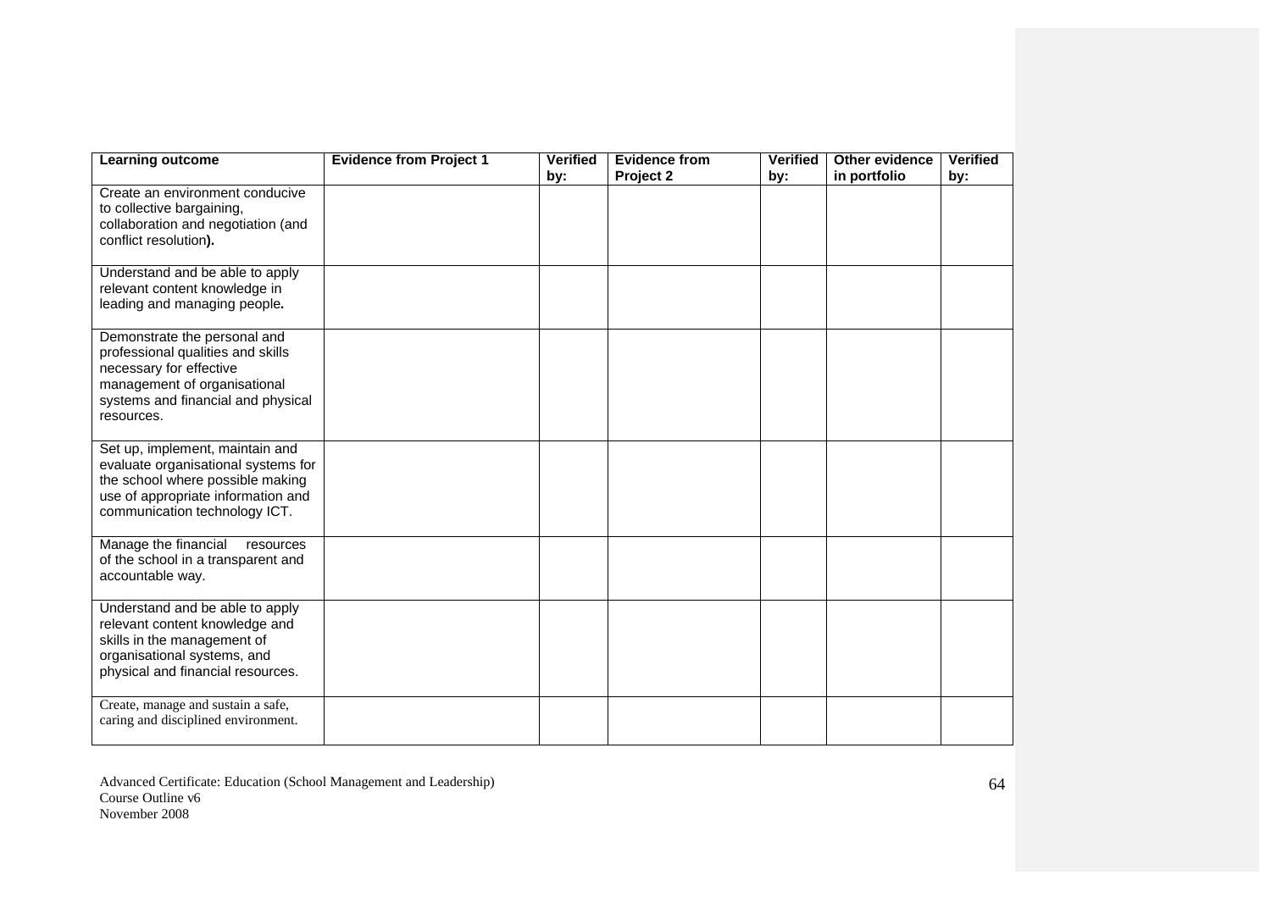| Learning outcome                                                                                                                                                                  | <b>Evidence from Project 1</b> | <b>Verified</b><br>by: | <b>Evidence from</b><br>Project 2 | <b>Verified</b><br>by: | Other evidence<br>in portfolio | <b>Verified</b><br>by: |
|-----------------------------------------------------------------------------------------------------------------------------------------------------------------------------------|--------------------------------|------------------------|-----------------------------------|------------------------|--------------------------------|------------------------|
| Create an environment conducive<br>to collective bargaining,<br>collaboration and negotiation (and<br>conflict resolution).                                                       |                                |                        |                                   |                        |                                |                        |
| Understand and be able to apply<br>relevant content knowledge in<br>leading and managing people.                                                                                  |                                |                        |                                   |                        |                                |                        |
| Demonstrate the personal and<br>professional qualities and skills<br>necessary for effective<br>management of organisational<br>systems and financial and physical<br>resources.  |                                |                        |                                   |                        |                                |                        |
| Set up, implement, maintain and<br>evaluate organisational systems for<br>the school where possible making<br>use of appropriate information and<br>communication technology ICT. |                                |                        |                                   |                        |                                |                        |
| Manage the financial<br>resources<br>of the school in a transparent and<br>accountable way.                                                                                       |                                |                        |                                   |                        |                                |                        |
| Understand and be able to apply<br>relevant content knowledge and<br>skills in the management of<br>organisational systems, and<br>physical and financial resources.              |                                |                        |                                   |                        |                                |                        |
| Create, manage and sustain a safe,<br>caring and disciplined environment.                                                                                                         |                                |                        |                                   |                        |                                |                        |